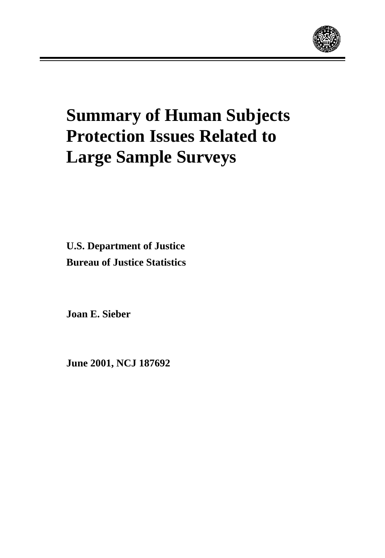

# **Summary of Human Subjects Protection Issues Related to Large Sample Surveys**

**U.S. Department of Justice Bureau of Justice Statistics**

**Joan E. Sieber**

**June 2001, NCJ 187692**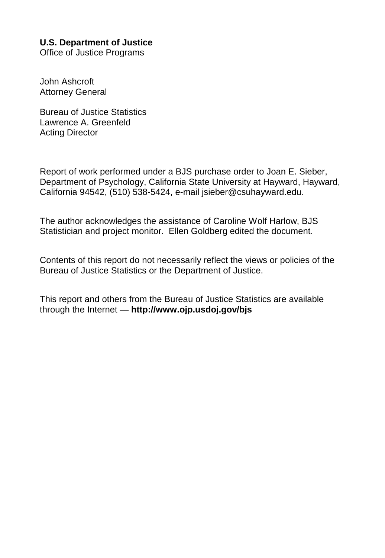# **U.S. Department of Justice**

Office of Justice Programs

John Ashcroft Attorney General

Bureau of Justice Statistics Lawrence A. Greenfeld Acting Director

Report of work performed under a BJS purchase order to Joan E. Sieber, Department of Psychology, California State University at Hayward, Hayward, California 94542, (510) 538-5424, e-mail jsieber@csuhayward.edu.

The author acknowledges the assistance of Caroline Wolf Harlow, BJS Statistician and project monitor. Ellen Goldberg edited the document.

Contents of this report do not necessarily reflect the views or policies of the Bureau of Justice Statistics or the Department of Justice.

This report and others from the Bureau of Justice Statistics are available through the Internet — **http://www.ojp.usdoj.gov/bjs**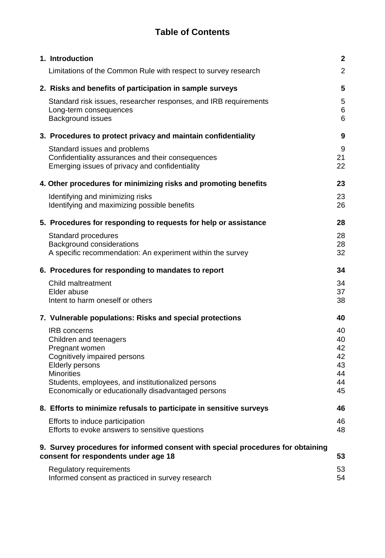# **Table of Contents**

| 1. Introduction                                                                                                                                                                                                                                             | $\mathbf{2}$                                 |  |  |  |  |
|-------------------------------------------------------------------------------------------------------------------------------------------------------------------------------------------------------------------------------------------------------------|----------------------------------------------|--|--|--|--|
| Limitations of the Common Rule with respect to survey research                                                                                                                                                                                              | $\overline{2}$                               |  |  |  |  |
| 2. Risks and benefits of participation in sample surveys                                                                                                                                                                                                    | $5\phantom{.0}$                              |  |  |  |  |
| Standard risk issues, researcher responses, and IRB requirements<br>Long-term consequences<br>Background issues                                                                                                                                             | 5<br>6<br>6                                  |  |  |  |  |
| 3. Procedures to protect privacy and maintain confidentiality                                                                                                                                                                                               | 9                                            |  |  |  |  |
| Standard issues and problems<br>Confidentiality assurances and their consequences<br>Emerging issues of privacy and confidentiality                                                                                                                         | 9<br>21<br>22                                |  |  |  |  |
| 4. Other procedures for minimizing risks and promoting benefits                                                                                                                                                                                             | 23                                           |  |  |  |  |
| Identifying and minimizing risks<br>Identifying and maximizing possible benefits                                                                                                                                                                            | 23<br>26                                     |  |  |  |  |
| 5. Procedures for responding to requests for help or assistance                                                                                                                                                                                             | 28                                           |  |  |  |  |
| Standard procedures<br>Background considerations<br>A specific recommendation: An experiment within the survey                                                                                                                                              | 28<br>28<br>32                               |  |  |  |  |
| 6. Procedures for responding to mandates to report                                                                                                                                                                                                          | 34                                           |  |  |  |  |
| Child maltreatment<br>Elder abuse<br>Intent to harm oneself or others                                                                                                                                                                                       | 34<br>37<br>38                               |  |  |  |  |
| 7. Vulnerable populations: Risks and special protections                                                                                                                                                                                                    | 40                                           |  |  |  |  |
| <b>IRB</b> concerns<br>Children and teenagers<br>Pregnant women<br>Cognitively impaired persons<br><b>Elderly persons</b><br><b>Minorities</b><br>Students, employees, and institutionalized persons<br>Economically or educationally disadvantaged persons | 40<br>40<br>42<br>42<br>43<br>44<br>44<br>45 |  |  |  |  |
| 8. Efforts to minimize refusals to participate in sensitive surveys                                                                                                                                                                                         | 46                                           |  |  |  |  |
| Efforts to induce participation<br>Efforts to evoke answers to sensitive questions                                                                                                                                                                          | 46<br>48                                     |  |  |  |  |
| 9. Survey procedures for informed consent with special procedures for obtaining<br>consent for respondents under age 18<br>53                                                                                                                               |                                              |  |  |  |  |
| Regulatory requirements<br>Informed consent as practiced in survey research                                                                                                                                                                                 | 53<br>54                                     |  |  |  |  |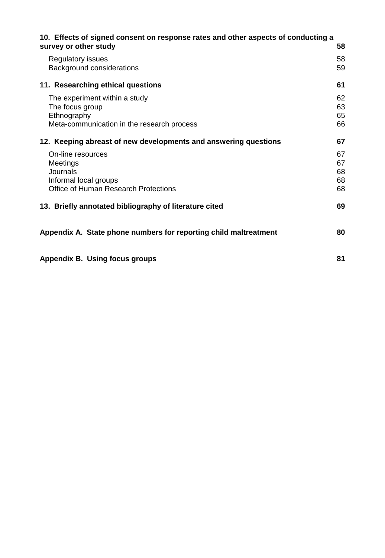| 10. Effects of signed consent on response rates and other aspects of conducting a<br>survey or other study    | 58                         |
|---------------------------------------------------------------------------------------------------------------|----------------------------|
| Regulatory issues<br>Background considerations                                                                | 58<br>59                   |
| 11. Researching ethical questions                                                                             | 61                         |
| The experiment within a study<br>The focus group<br>Ethnography<br>Meta-communication in the research process | 62<br>63<br>65<br>66       |
| 12. Keeping abreast of new developments and answering questions                                               | 67                         |
| On-line resources<br>Meetings<br>Journals<br>Informal local groups<br>Office of Human Research Protections    | 67<br>67<br>68<br>68<br>68 |
| 13. Briefly annotated bibliography of literature cited                                                        | 69                         |
| Appendix A. State phone numbers for reporting child maltreatment                                              | 80                         |
| Appendix B. Using focus groups                                                                                | 81                         |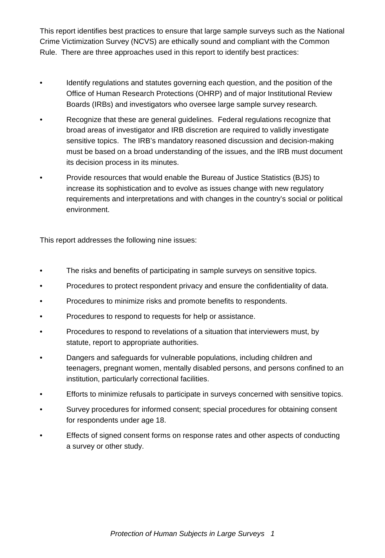This report identifies best practices to ensure that large sample surveys such as the National Crime Victimization Survey (NCVS) are ethically sound and compliant with the Common Rule. There are three approaches used in this report to identify best practices:

- Identify regulations and statutes governing each question, and the position of the Office of Human Research Protections (OHRP) and of major Institutional Review Boards (IRBs) and investigators who oversee large sample survey research*.*
- *•* Recognize that these are general guidelines. Federal regulations recognize that broad areas of investigator and IRB discretion are required to validly investigate sensitive topics. The IRB's mandatory reasoned discussion and decision-making must be based on a broad understanding of the issues, and the IRB must document its decision process in its minutes.
- Provide resources that would enable the Bureau of Justice Statistics (BJS) to increase its sophistication and to evolve as issues change with new regulatory requirements and interpretations and with changes in the country's social or political environment.

This report addresses the following nine issues:

- The risks and benefits of participating in sample surveys on sensitive topics.
- Procedures to protect respondent privacy and ensure the confidentiality of data.
- Procedures to minimize risks and promote benefits to respondents.
- Procedures to respond to requests for help or assistance.
- Procedures to respond to revelations of a situation that interviewers must, by statute, report to appropriate authorities.
- Dangers and safeguards for vulnerable populations, including children and teenagers, pregnant women, mentally disabled persons, and persons confined to an institution, particularly correctional facilities.
- Efforts to minimize refusals to participate in surveys concerned with sensitive topics.
- Survey procedures for informed consent; special procedures for obtaining consent for respondents under age 18.
- Effects of signed consent forms on response rates and other aspects of conducting a survey or other study.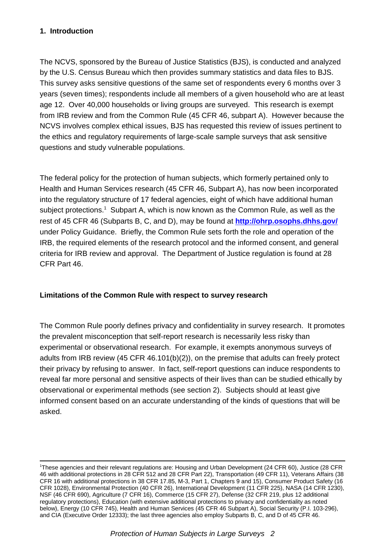### **1. Introduction**

The NCVS, sponsored by the Bureau of Justice Statistics (BJS), is conducted and analyzed by the U.S. Census Bureau which then provides summary statistics and data files to BJS. This survey asks sensitive questions of the same set of respondents every 6 months over 3 years (seven times); respondents include all members of a given household who are at least age 12. Over 40,000 households or living groups are surveyed. This research is exempt from IRB review and from the Common Rule (45 CFR 46, subpart A). However because the NCVS involves complex ethical issues, BJS has requested this review of issues pertinent to the ethics and regulatory requirements of large-scale sample surveys that ask sensitive questions and study vulnerable populations.

The federal policy for the protection of human subjects, which formerly pertained only to Health and Human Services research (45 CFR 46, Subpart A), has now been incorporated into the regulatory structure of 17 federal agencies, eight of which have additional human subject protections.<sup>1</sup> Subpart A, which is now known as the Common Rule, as well as the rest of 45 CFR 46 (Subparts B, C, and D), may be found at **http://ohrp.osophs.dhhs.gov/** under Policy Guidance. Briefly, the Common Rule sets forth the role and operation of the IRB, the required elements of the research protocol and the informed consent, and general criteria for IRB review and approval. The Department of Justice regulation is found at 28 CFR Part 46.

#### **Limitations of the Common Rule with respect to survey research**

The Common Rule poorly defines privacy and confidentiality in survey research. It promotes the prevalent misconception that self-report research is necessarily less risky than experimental or observational research. For example, it exempts anonymous surveys of adults from IRB review (45 CFR 46.101(b)(2)), on the premise that adults can freely protect their privacy by refusing to answer. In fact, self-report questions can induce respondents to reveal far more personal and sensitive aspects of their lives than can be studied ethically by observational or experimental methods (see section 2). Subjects should at least give informed consent based on an accurate understanding of the kinds of questions that will be asked.

<sup>1</sup> These agencies and their relevant regulations are: Housing and Urban Development (24 CFR 60), Justice (28 CFR 46 with additional protections in 28 CFR 512 and 28 CFR Part 22), Transportation (49 CFR 11), Veterans Affairs (38 CFR 16 with additional protections in 38 CFR 17.85, M-3, Part 1, Chapters 9 and 15), Consumer Product Safety (16 CFR 1028), Environmental Protection (40 CFR 26), International Development (11 CFR 225), NASA (14 CFR 1230), NSF (46 CFR 690), Agriculture (7 CFR 16), Commerce (15 CFR 27), Defense (32 CFR 219, plus 12 additional regulatory protections), Education (with extensive additional protections to privacy and confidentiality as noted below), Energy (10 CFR 745), Health and Human Services (45 CFR 46 Subpart A), Social Security (P.I. 103-296), and CIA (Executive Order 12333); the last three agencies also employ Subparts B, C, and D of 45 CFR 46.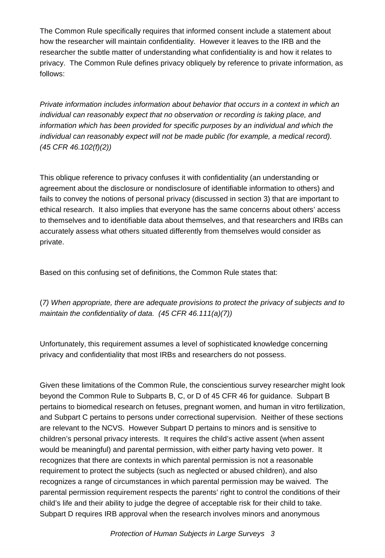The Common Rule specifically requires that informed consent include a statement about how the researcher will maintain confidentiality. However it leaves to the IRB and the researcher the subtle matter of understanding what confidentiality is and how it relates to privacy. The Common Rule defines privacy obliquely by reference to private information, as follows:

*Private information includes information about behavior that occurs in a context in which an individual can reasonably expect that no observation or recording is taking place, and information which has been provided for specific purposes by an individual and which the individual can reasonably expect will not be made public (for example, a medical record). (45 CFR 46.102(f)(2))*

This oblique reference to privacy confuses it with confidentiality (an understanding or agreement about the disclosure or nondisclosure of identifiable information to others) and fails to convey the notions of personal privacy (discussed in section 3) that are important to ethical research. It also implies that everyone has the same concerns about others' access to themselves and to identifiable data about themselves, and that researchers and IRBs can accurately assess what others situated differently from themselves would consider as private.

Based on this confusing set of definitions, the Common Rule states that:

(*7) When appropriate, there are adequate provisions to protect the privacy of subjects and to maintain the confidentiality of data. (45 CFR 46.111(a)(7))*

Unfortunately, this requirement assumes a level of sophisticated knowledge concerning privacy and confidentiality that most IRBs and researchers do not possess.

Given these limitations of the Common Rule, the conscientious survey researcher might look beyond the Common Rule to Subparts B, C, or D of 45 CFR 46 for guidance. Subpart B pertains to biomedical research on fetuses, pregnant women, and human in vitro fertilization, and Subpart C pertains to persons under correctional supervision. Neither of these sections are relevant to the NCVS. However Subpart D pertains to minors and is sensitive to children's personal privacy interests. It requires the child's active assent (when assent would be meaningful) and parental permission, with either party having veto power. It recognizes that there are contexts in which parental permission is not a reasonable requirement to protect the subjects (such as neglected or abused children), and also recognizes a range of circumstances in which parental permission may be waived. The parental permission requirement respects the parents' right to control the conditions of their child's life and their ability to judge the degree of acceptable risk for their child to take. Subpart D requires IRB approval when the research involves minors and anonymous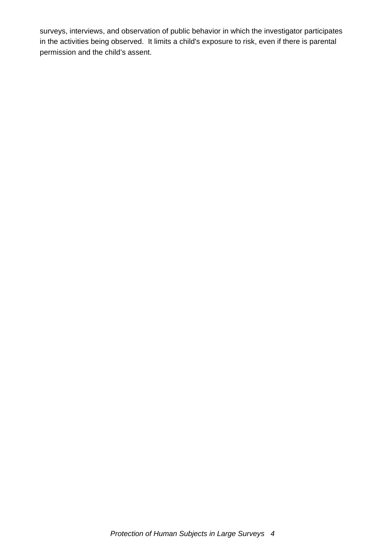surveys, interviews, and observation of public behavior in which the investigator participates in the activities being observed. It limits a child's exposure to risk, even if there is parental permission and the child's assent.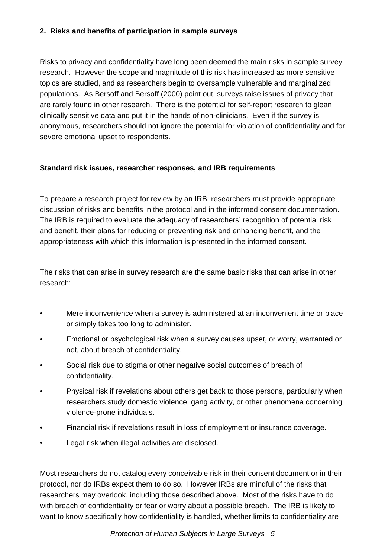#### **2. Risks and benefits of participation in sample surveys**

Risks to privacy and confidentiality have long been deemed the main risks in sample survey research. However the scope and magnitude of this risk has increased as more sensitive topics are studied, and as researchers begin to oversample vulnerable and marginalized populations. As Bersoff and Bersoff (2000) point out, surveys raise issues of privacy that are rarely found in other research. There is the potential for self-report research to glean clinically sensitive data and put it in the hands of non-clinicians. Even if the survey is anonymous, researchers should not ignore the potential for violation of confidentiality and for severe emotional upset to respondents.

## **Standard risk issues, researcher responses, and IRB requirements**

To prepare a research project for review by an IRB, researchers must provide appropriate discussion of risks and benefits in the protocol and in the informed consent documentation. The IRB is required to evaluate the adequacy of researchers' recognition of potential risk and benefit, their plans for reducing or preventing risk and enhancing benefit, and the appropriateness with which this information is presented in the informed consent.

The risks that can arise in survey research are the same basic risks that can arise in other research:

- Mere inconvenience when a survey is administered at an inconvenient time or place or simply takes too long to administer.
- Emotional or psychological risk when a survey causes upset, or worry, warranted or not, about breach of confidentiality.
- Social risk due to stigma or other negative social outcomes of breach of confidentiality.
- Physical risk if revelations about others get back to those persons, particularly when researchers study domestic violence, gang activity, or other phenomena concerning violence-prone individuals.
- Financial risk if revelations result in loss of employment or insurance coverage.
- Legal risk when illegal activities are disclosed.

Most researchers do not catalog every conceivable risk in their consent document or in their protocol, nor do IRBs expect them to do so. However IRBs are mindful of the risks that researchers may overlook, including those described above. Most of the risks have to do with breach of confidentiality or fear or worry about a possible breach. The IRB is likely to want to know specifically how confidentiality is handled, whether limits to confidentiality are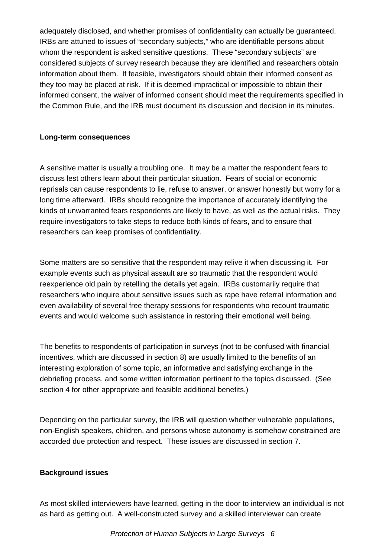adequately disclosed, and whether promises of confidentiality can actually be guaranteed. IRBs are attuned to issues of "secondary subjects," who are identifiable persons about whom the respondent is asked sensitive questions. These "secondary subjects" are considered subjects of survey research because they are identified and researchers obtain information about them. If feasible, investigators should obtain their informed consent as they too may be placed at risk. If it is deemed impractical or impossible to obtain their informed consent, the waiver of informed consent should meet the requirements specified in the Common Rule, and the IRB must document its discussion and decision in its minutes.

#### **Long-term consequences**

A sensitive matter is usually a troubling one. It may be a matter the respondent fears to discuss lest others learn about their particular situation. Fears of social or economic reprisals can cause respondents to lie, refuse to answer, or answer honestly but worry for a long time afterward. IRBs should recognize the importance of accurately identifying the kinds of unwarranted fears respondents are likely to have, as well as the actual risks. They require investigators to take steps to reduce both kinds of fears, and to ensure that researchers can keep promises of confidentiality.

Some matters are so sensitive that the respondent may relive it when discussing it. For example events such as physical assault are so traumatic that the respondent would reexperience old pain by retelling the details yet again. IRBs customarily require that researchers who inquire about sensitive issues such as rape have referral information and even availability of several free therapy sessions for respondents who recount traumatic events and would welcome such assistance in restoring their emotional well being.

The benefits to respondents of participation in surveys (not to be confused with financial incentives, which are discussed in section 8) are usually limited to the benefits of an interesting exploration of some topic, an informative and satisfying exchange in the debriefing process, and some written information pertinent to the topics discussed. (See section 4 for other appropriate and feasible additional benefits.)

Depending on the particular survey, the IRB will question whether vulnerable populations, non-English speakers, children, and persons whose autonomy is somehow constrained are accorded due protection and respect. These issues are discussed in section 7.

#### **Background issues**

As most skilled interviewers have learned, getting in the door to interview an individual is not as hard as getting out. A well-constructed survey and a skilled interviewer can create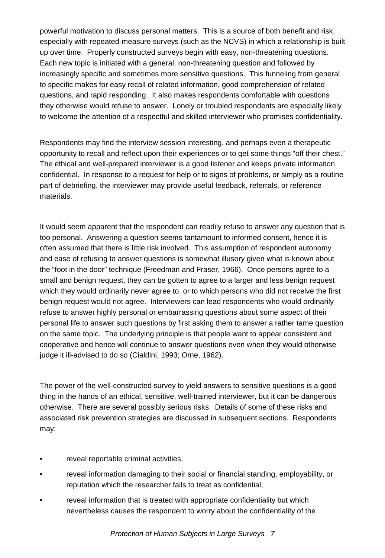powerful motivation to discuss personal matters. This is a source of both benefit and risk, especially with repeated-measure surveys (such as the NCVS) in which a relationship is built up over time. Properly constructed surveys begin with easy, non-threatening questions. Each new topic is initiated with a general, non-threatening question and followed by increasingly specific and sometimes more sensitive questions. This funneling from general to specific makes for easy recall of related information, good comprehension of related questions, and rapid responding. It also makes respondents comfortable with questions they otherwise would refuse to answer. Lonely or troubled respondents are especially likely to welcome the attention of a respectful and skilled interviewer who promises confidentiality.

Respondents may find the interview session interesting, and perhaps even a therapeutic opportunity to recall and reflect upon their experiences or to get some things "off their chest." The ethical and well-prepared interviewer is a good listener and keeps private information confidential. In response to a request for help or to signs of problems, or simply as a routine part of debriefing, the interviewer may provide useful feedback, referrals, or reference materials.

It would seem apparent that the respondent can readily refuse to answer any question that is too personal. Answering a question seems tantamount to informed consent, hence it is often assumed that there is little risk involved. This assumption of respondent autonomy and ease of refusing to answer questions is somewhat illusory given what is known about the "foot in the door" technique (Freedman and Fraser, 1966). Once persons agree to a small and benign request, they can be gotten to agree to a larger and less benign request which they would ordinarily never agree to, or to which persons who did not receive the first benign request would not agree. Interviewers can lead respondents who would ordinarily refuse to answer highly personal or embarrassing questions about some aspect of their personal life to answer such questions by first asking them to answer a rather tame question on the same topic. The underlying principle is that people want to appear consistent and cooperative and hence will continue to answer questions even when they would otherwise judge it ill-advised to do so (Cialdini, 1993; Orne, 1962).

The power of the well-constructed survey to yield answers to sensitive questions is a good thing in the hands of an ethical, sensitive, well-trained interviewer, but it can be dangerous otherwise. There are several possibly serious risks. Details of some of these risks and associated risk prevention strategies are discussed in subsequent sections. Respondents may:

- reveal reportable criminal activities,
- reveal information damaging to their social or financial standing, employability, or reputation which the researcher fails to treat as confidential,
- reveal information that is treated with appropriate confidentiality but which nevertheless causes the respondent to worry about the confidentiality of the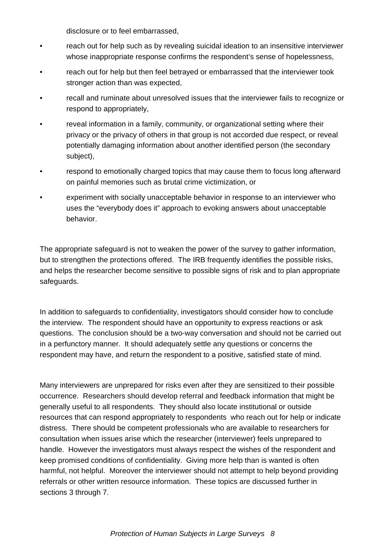disclosure or to feel embarrassed,

- reach out for help such as by revealing suicidal ideation to an insensitive interviewer whose inappropriate response confirms the respondent's sense of hopelessness,
- reach out for help but then feel betrayed or embarrassed that the interviewer took stronger action than was expected,
- recall and ruminate about unresolved issues that the interviewer fails to recognize or respond to appropriately,
- reveal information in a family, community, or organizational setting where their privacy or the privacy of others in that group is not accorded due respect, or reveal potentially damaging information about another identified person (the secondary subject),
- respond to emotionally charged topics that may cause them to focus long afterward on painful memories such as brutal crime victimization, or
- experiment with socially unacceptable behavior in response to an interviewer who uses the "everybody does it" approach to evoking answers about unacceptable behavior.

The appropriate safeguard is not to weaken the power of the survey to gather information, but to strengthen the protections offered. The IRB frequently identifies the possible risks, and helps the researcher become sensitive to possible signs of risk and to plan appropriate safeguards.

In addition to safeguards to confidentiality, investigators should consider how to conclude the interview. The respondent should have an opportunity to express reactions or ask questions. The conclusion should be a two-way conversation and should not be carried out in a perfunctory manner. It should adequately settle any questions or concerns the respondent may have, and return the respondent to a positive, satisfied state of mind.

Many interviewers are unprepared for risks even after they are sensitized to their possible occurrence. Researchers should develop referral and feedback information that might be generally useful to all respondents. They should also locate institutional or outside resources that can respond appropriately to respondents who reach out for help or indicate distress. There should be competent professionals who are available to researchers for consultation when issues arise which the researcher (interviewer) feels unprepared to handle. However the investigators must always respect the wishes of the respondent and keep promised conditions of confidentiality. Giving more help than is wanted is often harmful, not helpful. Moreover the interviewer should not attempt to help beyond providing referrals or other written resource information. These topics are discussed further in sections 3 through 7.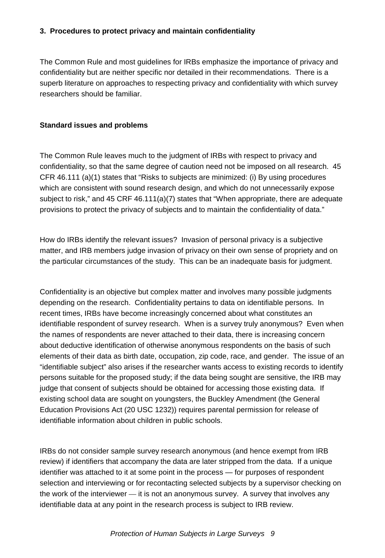#### **3. Procedures to protect privacy and maintain confidentiality**

The Common Rule and most guidelines for IRBs emphasize the importance of privacy and confidentiality but are neither specific nor detailed in their recommendations. There is a superb literature on approaches to respecting privacy and confidentiality with which survey researchers should be familiar.

#### **Standard issues and problems**

The Common Rule leaves much to the judgment of IRBs with respect to privacy and confidentiality, so that the same degree of caution need not be imposed on all research. 45 CFR 46.111 (a)(1) states that "Risks to subjects are minimized: (i) By using procedures which are consistent with sound research design, and which do not unnecessarily expose subject to risk," and 45 CRF 46.111(a)(7) states that "When appropriate, there are adequate provisions to protect the privacy of subjects and to maintain the confidentiality of data."

How do IRBs identify the relevant issues? Invasion of personal privacy is a subjective matter, and IRB members judge invasion of privacy on their own sense of propriety and on the particular circumstances of the study. This can be an inadequate basis for judgment.

Confidentiality is an objective but complex matter and involves many possible judgments depending on the research. Confidentiality pertains to data on identifiable persons. In recent times, IRBs have become increasingly concerned about what constitutes an identifiable respondent of survey research. When is a survey truly anonymous? Even when the names of respondents are never attached to their data, there is increasing concern about deductive identification of otherwise anonymous respondents on the basis of such elements of their data as birth date, occupation, zip code, race, and gender. The issue of an "identifiable subject" also arises if the researcher wants access to existing records to identify persons suitable for the proposed study; if the data being sought are sensitive, the IRB may judge that consent of subjects should be obtained for accessing those existing data. If existing school data are sought on youngsters, the Buckley Amendment (the General Education Provisions Act (20 USC 1232)) requires parental permission for release of identifiable information about children in public schools.

IRBs do not consider sample survey research anonymous (and hence exempt from IRB review) if identifiers that accompany the data are later stripped from the data. If a unique identifier was attached to it at some point in the process — for purposes of respondent selection and interviewing or for recontacting selected subjects by a supervisor checking on the work of the interviewer — it is not an anonymous survey. A survey that involves any identifiable data at any point in the research process is subject to IRB review.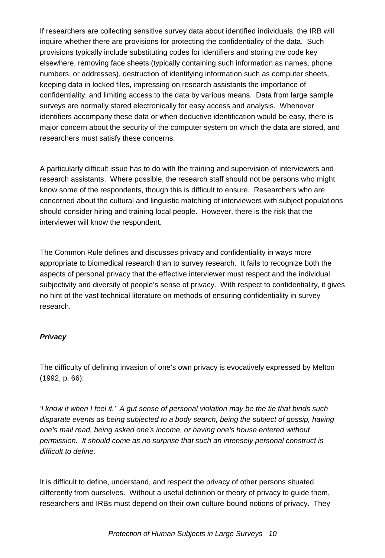If researchers are collecting sensitive survey data about identified individuals, the IRB will inquire whether there are provisions for protecting the confidentiality of the data. Such provisions typically include substituting codes for identifiers and storing the code key elsewhere, removing face sheets (typically containing such information as names, phone numbers, or addresses), destruction of identifying information such as computer sheets, keeping data in locked files, impressing on research assistants the importance of confidentiality, and limiting access to the data by various means. Data from large sample surveys are normally stored electronically for easy access and analysis. Whenever identifiers accompany these data or when deductive identification would be easy, there is major concern about the security of the computer system on which the data are stored, and researchers must satisfy these concerns.

A particularly difficult issue has to do with the training and supervision of interviewers and research assistants. Where possible, the research staff should not be persons who might know some of the respondents, though this is difficult to ensure. Researchers who are concerned about the cultural and linguistic matching of interviewers with subject populations should consider hiring and training local people. However, there is the risk that the interviewer will know the respondent.

The Common Rule defines and discusses privacy and confidentiality in ways more appropriate to biomedical research than to survey research. It fails to recognize both the aspects of personal privacy that the effective interviewer must respect and the individual subjectivity and diversity of people's sense of privacy. With respect to confidentiality, it gives no hint of the vast technical literature on methods of ensuring confidentiality in survey research.

#### *Privacy*

The difficulty of defining invasion of one's own privacy is evocatively expressed by Melton (1992, p. 66):

*'I know it when I feel it.' A gut sense of personal violation may be the tie that binds such disparate events as being subjected to a body search, being the subject of gossip, having one's mail read, being asked one's income, or having one's house entered without permission. It should come as no surprise that such an intensely personal construct is difficult to define.*

It is difficult to define, understand, and respect the privacy of other persons situated differently from ourselves. Without a useful definition or theory of privacy to guide them, researchers and IRBs must depend on their own culture-bound notions of privacy. They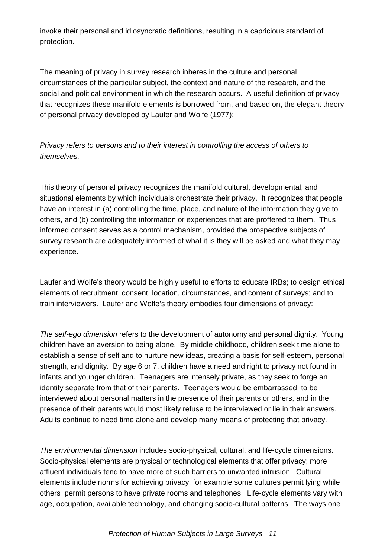invoke their personal and idiosyncratic definitions, resulting in a capricious standard of protection.

The meaning of privacy in survey research inheres in the culture and personal circumstances of the particular subject, the context and nature of the research, and the social and political environment in which the research occurs. A useful definition of privacy that recognizes these manifold elements is borrowed from, and based on, the elegant theory of personal privacy developed by Laufer and Wolfe (1977):

*Privacy refers to persons and to their interest in controlling the access of others to themselves.*

This theory of personal privacy recognizes the manifold cultural, developmental, and situational elements by which individuals orchestrate their privacy. It recognizes that people have an interest in (a) controlling the time, place, and nature of the information they give to others, and (b) controlling the information or experiences that are proffered to them. Thus informed consent serves as a control mechanism, provided the prospective subjects of survey research are adequately informed of what it is they will be asked and what they may experience.

Laufer and Wolfe's theory would be highly useful to efforts to educate IRBs; to design ethical elements of recruitment, consent, location, circumstances, and content of surveys; and to train interviewers. Laufer and Wolfe's theory embodies four dimensions of privacy:

*The self-ego dimension* refers to the development of autonomy and personal dignity. Young children have an aversion to being alone. By middle childhood, children seek time alone to establish a sense of self and to nurture new ideas, creating a basis for self-esteem, personal strength, and dignity. By age 6 or 7, children have a need and right to privacy not found in infants and younger children. Teenagers are intensely private, as they seek to forge an identity separate from that of their parents. Teenagers would be embarrassed to be interviewed about personal matters in the presence of their parents or others, and in the presence of their parents would most likely refuse to be interviewed or lie in their answers. Adults continue to need time alone and develop many means of protecting that privacy.

*The environmental dimension* includes socio-physical, cultural, and life-cycle dimensions. Socio-physical elements are physical or technological elements that offer privacy; more affluent individuals tend to have more of such barriers to unwanted intrusion. Cultural elements include norms for achieving privacy; for example some cultures permit lying while others permit persons to have private rooms and telephones. Life-cycle elements vary with age, occupation, available technology, and changing socio-cultural patterns. The ways one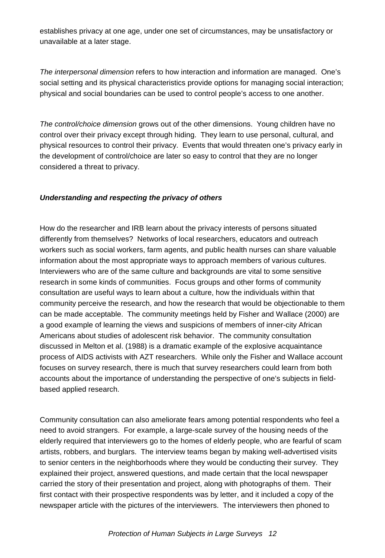establishes privacy at one age, under one set of circumstances, may be unsatisfactory or unavailable at a later stage.

*The interpersonal dimension* refers to how interaction and information are managed. One's social setting and its physical characteristics provide options for managing social interaction; physical and social boundaries can be used to control people's access to one another.

*The control/choice dimension* grows out of the other dimensions. Young children have no control over their privacy except through hiding. They learn to use personal, cultural, and physical resources to control their privacy. Events that would threaten one's privacy early in the development of control/choice are later so easy to control that they are no longer considered a threat to privacy.

#### *Understanding and respecting the privacy of others*

How do the researcher and IRB learn about the privacy interests of persons situated differently from themselves? Networks of local researchers, educators and outreach workers such as social workers, farm agents, and public health nurses can share valuable information about the most appropriate ways to approach members of various cultures. Interviewers who are of the same culture and backgrounds are vital to some sensitive research in some kinds of communities. Focus groups and other forms of community consultation are useful ways to learn about a culture, how the individuals within that community perceive the research, and how the research that would be objectionable to them can be made acceptable. The community meetings held by Fisher and Wallace (2000) are a good example of learning the views and suspicions of members of inner-city African Americans about studies of adolescent risk behavior. The community consultation discussed in Melton et al. (1988) is a dramatic example of the explosive acquaintance process of AIDS activists with AZT researchers. While only the Fisher and Wallace account focuses on survey research, there is much that survey researchers could learn from both accounts about the importance of understanding the perspective of one's subjects in fieldbased applied research.

Community consultation can also ameliorate fears among potential respondents who feel a need to avoid strangers. For example, a large-scale survey of the housing needs of the elderly required that interviewers go to the homes of elderly people, who are fearful of scam artists, robbers, and burglars. The interview teams began by making well-advertised visits to senior centers in the neighborhoods where they would be conducting their survey. They explained their project, answered questions, and made certain that the local newspaper carried the story of their presentation and project, along with photographs of them. Their first contact with their prospective respondents was by letter, and it included a copy of the newspaper article with the pictures of the interviewers. The interviewers then phoned to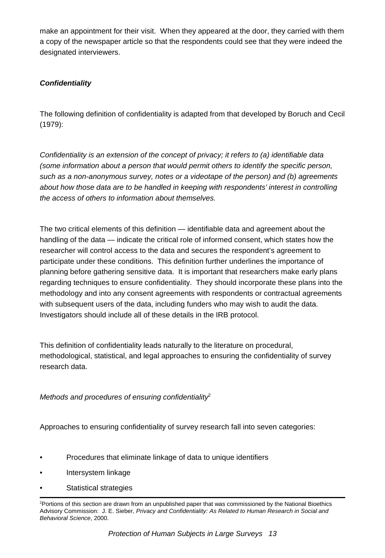make an appointment for their visit. When they appeared at the door, they carried with them a copy of the newspaper article so that the respondents could see that they were indeed the designated interviewers.

# *Confidentiality*

The following definition of confidentiality is adapted from that developed by Boruch and Cecil (1979):

*Confidentiality is an extension of the concept of privacy; it refers to (a) identifiable data (some information about a person that would permit others to identify the specific person, such as a non-anonymous survey, notes or a videotape of the person) and (b) agreements about how those data are to be handled in keeping with respondents' interest in controlling the access of others to information about themselves.*

The two critical elements of this definition — identifiable data and agreement about the handling of the data — indicate the critical role of informed consent, which states how the researcher will control access to the data and secures the respondent's agreement to participate under these conditions. This definition further underlines the importance of planning before gathering sensitive data. It is important that researchers make early plans regarding techniques to ensure confidentiality. They should incorporate these plans into the methodology and into any consent agreements with respondents or contractual agreements with subsequent users of the data, including funders who may wish to audit the data. Investigators should include all of these details in the IRB protocol.

This definition of confidentiality leads naturally to the literature on procedural, methodological, statistical, and legal approaches to ensuring the confidentiality of survey research data.

*Methods and procedures of ensuring confidentiality*<sup>2</sup>

Approaches to ensuring confidentiality of survey research fall into seven categories:

- Procedures that eliminate linkage of data to unique identifiers
- Intersystem linkage
- Statistical strategies

<sup>2</sup> Portions of this section are drawn from an unpublished paper that was commissioned by the National Bioethics Advisory Commission: J. E. Sieber, *Privacy and Confidentiality: As Related to Human Research in Social and Behavioral Science*, 2000.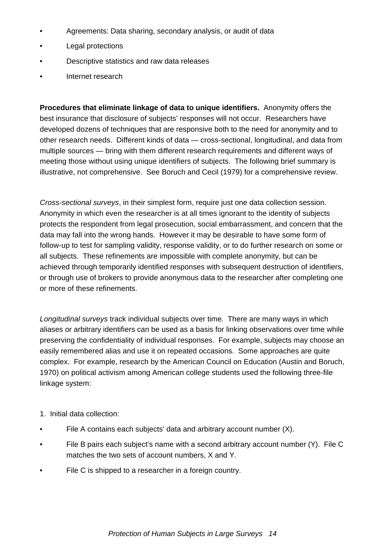- Agreements: Data sharing, secondary analysis, or audit of data
- Legal protections
- Descriptive statistics and raw data releases
- Internet research

**Procedures that eliminate linkage of data to unique identifiers.** Anonymity offers the best insurance that disclosure of subjects' responses will not occur. Researchers have developed dozens of techniques that are responsive both to the need for anonymity and to other research needs. Different kinds of data — cross-sectional, longitudinal, and data from multiple sources — bring with them different research requirements and different ways of meeting those without using unique identifiers of subjects. The following brief summary is illustrative, not comprehensive. See Boruch and Cecil (1979) for a comprehensive review.

*Cross-sectional surveys*, in their simplest form, require just one data collection session. Anonymity in which even the researcher is at all times ignorant to the identity of subjects protects the respondent from legal prosecution, social embarrassment, and concern that the data may fall into the wrong hands. However it may be desirable to have some form of follow-up to test for sampling validity, response validity, or to do further research on some or all subjects. These refinements are impossible with complete anonymity, but can be achieved through temporarily identified responses with subsequent destruction of identifiers, or through use of brokers to provide anonymous data to the researcher after completing one or more of these refinements.

*Longitudinal surveys* track individual subjects over time*.* There are many ways in which aliases or arbitrary identifiers can be used as a basis for linking observations over time while preserving the confidentiality of individual responses. For example, subjects may choose an easily remembered alias and use it on repeated occasions. Some approaches are quite complex. For example, research by the American Council on Education (Austin and Boruch, 1970) on political activism among American college students used the following three-file linkage system:

- 1. Initial data collection:
- File A contains each subjects' data and arbitrary account number (X).
- File B pairs each subject's name with a second arbitrary account number (Y). File C matches the two sets of account numbers, X and Y.
- File C is shipped to a researcher in a foreign country.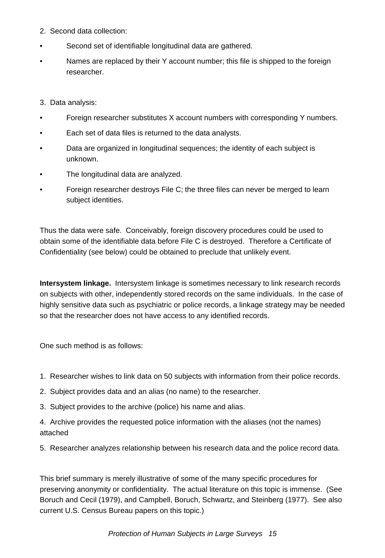- 2. Second data collection:
- Second set of identifiable longitudinal data are gathered.
- Names are replaced by their Y account number; this file is shipped to the foreign researcher.

#### 3. Data analysis:

- Foreign researcher substitutes X account numbers with corresponding Y numbers.
- Each set of data files is returned to the data analysts.
- Data are organized in longitudinal sequences; the identity of each subject is unknown.
- The longitudinal data are analyzed.
- Foreign researcher destroys File C; the three files can never be merged to learn subject identities.

Thus the data were safe. Conceivably, foreign discovery procedures could be used to obtain some of the identifiable data before File C is destroyed. Therefore a Certificate of Confidentiality (see below) could be obtained to preclude that unlikely event.

**Intersystem linkage.** Intersystem linkage is sometimes necessary to link research records on subjects with other, independently stored records on the same individuals. In the case of highly sensitive data such as psychiatric or police records, a linkage strategy may be needed so that the researcher does not have access to any identified records.

One such method is as follows:

- 1. Researcher wishes to link data on 50 subjects with information from their police records.
- 2. Subject provides data and an alias (no name) to the researcher.
- 3. Subject provides to the archive (police) his name and alias.

4. Archive provides the requested police information with the aliases (not the names) attached

5. Researcher analyzes relationship between his research data and the police record data.

This brief summary is merely illustrative of some of the many specific procedures for preserving anonymity or confidentiality. The actual literature on this topic is immense. (See Boruch and Cecil (1979), and Campbell, Boruch, Schwartz, and Steinberg (1977). See also current U.S. Census Bureau papers on this topic.)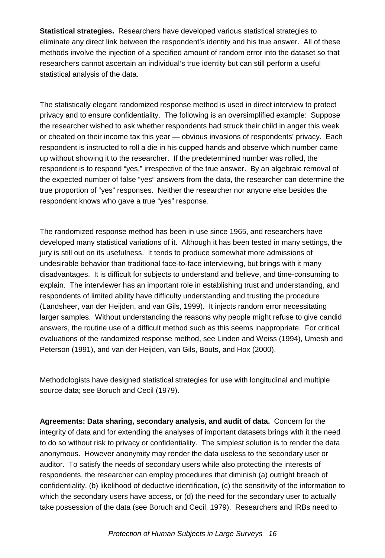**Statistical strategies.** Researchers have developed various statistical strategies to eliminate any direct link between the respondent's identity and his true answer. All of these methods involve the injection of a specified amount of random error into the dataset so that researchers cannot ascertain an individual's true identity but can still perform a useful statistical analysis of the data.

The statistically elegant randomized response method is used in direct interview to protect privacy and to ensure confidentiality. The following is an oversimplified example: Suppose the researcher wished to ask whether respondents had struck their child in anger this week or cheated on their income tax this year — obvious invasions of respondents' privacy. Each respondent is instructed to roll a die in his cupped hands and observe which number came up without showing it to the researcher. If the predetermined number was rolled, the respondent is to respond "yes," irrespective of the true answer. By an algebraic removal of the expected number of false "yes" answers from the data, the researcher can determine the true proportion of "yes" responses. Neither the researcher nor anyone else besides the respondent knows who gave a true "yes" response.

The randomized response method has been in use since 1965, and researchers have developed many statistical variations of it. Although it has been tested in many settings, the jury is still out on its usefulness. It tends to produce somewhat more admissions of undesirable behavior than traditional face-to-face interviewing, but brings with it many disadvantages. It is difficult for subjects to understand and believe, and time-consuming to explain. The interviewer has an important role in establishing trust and understanding, and respondents of limited ability have difficulty understanding and trusting the procedure (Landsheer, van der Heijden, and van Gils, 1999). It injects random error necessitating larger samples. Without understanding the reasons why people might refuse to give candid answers, the routine use of a difficult method such as this seems inappropriate. For critical evaluations of the randomized response method, see Linden and Weiss (1994), Umesh and Peterson (1991), and van der Heijden, van Gils, Bouts, and Hox (2000).

Methodologists have designed statistical strategies for use with longitudinal and multiple source data; see Boruch and Cecil (1979).

**Agreements: Data sharing, secondary analysis, and audit of data.** Concern for the integrity of data and for extending the analyses of important datasets brings with it the need to do so without risk to privacy or confidentiality. The simplest solution is to render the data anonymous. However anonymity may render the data useless to the secondary user or auditor. To satisfy the needs of secondary users while also protecting the interests of respondents, the researcher can employ procedures that diminish (a) outright breach of confidentiality, (b) likelihood of deductive identification, (c) the sensitivity of the information to which the secondary users have access, or (d) the need for the secondary user to actually take possession of the data (see Boruch and Cecil, 1979). Researchers and IRBs need to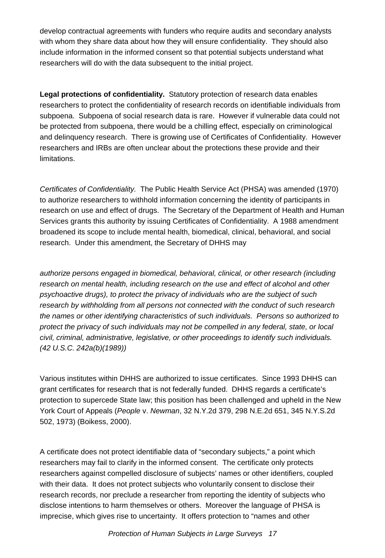develop contractual agreements with funders who require audits and secondary analysts with whom they share data about how they will ensure confidentiality. They should also include information in the informed consent so that potential subjects understand what researchers will do with the data subsequent to the initial project.

**Legal protections of confidentiality.** Statutory protection of research data enables researchers to protect the confidentiality of research records on identifiable individuals from subpoena. Subpoena of social research data is rare. However if vulnerable data could not be protected from subpoena, there would be a chilling effect, especially on criminological and delinquency research. There is growing use of Certificates of Confidentiality. However researchers and IRBs are often unclear about the protections these provide and their limitations.

*Certificates of Confidentiality.* The Public Health Service Act (PHSA) was amended (1970) to authorize researchers to withhold information concerning the identity of participants in research on use and effect of drugs. The Secretary of the Department of Health and Human Services grants this authority by issuing Certificates of Confidentiality. A 1988 amendment broadened its scope to include mental health, biomedical, clinical, behavioral, and social research. Under this amendment, the Secretary of DHHS may

*authorize persons engaged in biomedical, behavioral, clinical, or other research (including research on mental health, including research on the use and effect of alcohol and other psychoactive drugs), to protect the privacy of individuals who are the subject of such research by withholding from all persons not connected with the conduct of such research the names or other identifying characteristics of such individuals. Persons so authorized to protect the privacy of such individuals may not be compelled in any federal, state, or local civil, criminal, administrative, legislative, or other proceedings to identify such individuals. (42 U.S.C. 242a(b)(1989))*

Various institutes within DHHS are authorized to issue certificates. Since 1993 DHHS can grant certificates for research that is not federally funded. DHHS regards a certificate's protection to supercede State law; this position has been challenged and upheld in the New York Court of Appeals (*People* v. *Newman*, 32 N.Y.2d 379, 298 N.E.2d 651, 345 N.Y.S.2d 502, 1973) (Boikess, 2000).

A certificate does not protect identifiable data of "secondary subjects," a point which researchers may fail to clarify in the informed consent. The certificate only protects researchers against compelled disclosure of subjects' names or other identifiers, coupled with their data. It does not protect subjects who voluntarily consent to disclose their research records, nor preclude a researcher from reporting the identity of subjects who disclose intentions to harm themselves or others. Moreover the language of PHSA is imprecise, which gives rise to uncertainty. It offers protection to "names and other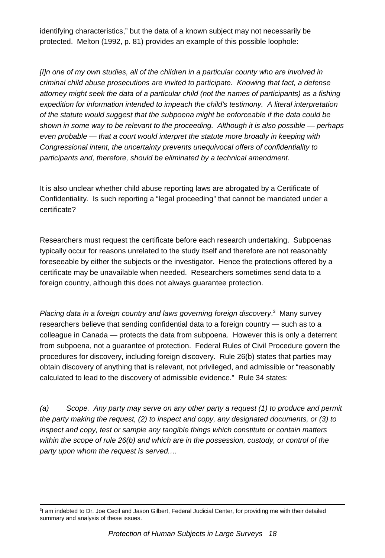identifying characteristics," but the data of a known subject may not necessarily be protected. Melton (1992, p. 81) provides an example of this possible loophole:

*[I]n one of my own studies, all of the children in a particular county who are involved in criminal child abuse prosecutions are invited to participate. Knowing that fact, a defense attorney might seek the data of a particular child (not the names of participants) as a fishing expedition for information intended to impeach the child's testimony. A literal interpretation of the statute would suggest that the subpoena might be enforceable if the data could be shown in some way to be relevant to the proceeding. Although it is also possible — perhaps even probable — that a court would interpret the statute more broadly in keeping with Congressional intent, the uncertainty prevents unequivocal offers of confidentiality to participants and, therefore, should be eliminated by a technical amendment.*

It is also unclear whether child abuse reporting laws are abrogated by a Certificate of Confidentiality. Is such reporting a "legal proceeding" that cannot be mandated under a certificate?

Researchers must request the certificate before each research undertaking. Subpoenas typically occur for reasons unrelated to the study itself and therefore are not reasonably foreseeable by either the subjects or the investigator. Hence the protections offered by a certificate may be unavailable when needed. Researchers sometimes send data to a foreign country, although this does not always guarantee protection.

Placing data in a foreign country and laws governing foreign discovery.<sup>3</sup> Many survey researchers believe that sending confidential data to a foreign country — such as to a colleague in Canada — protects the data from subpoena. However this is only a deterrent from subpoena, not a guarantee of protection. Federal Rules of Civil Procedure govern the procedures for discovery, including foreign discovery. Rule 26(b) states that parties may obtain discovery of anything that is relevant, not privileged, and admissible or "reasonably calculated to lead to the discovery of admissible evidence." Rule 34 states:

*(a) Scope. Any party may serve on any other party a request (1) to produce and permit the party making the request, (2) to inspect and copy, any designated documents, or (3) to inspect and copy, test or sample any tangible things which constitute or contain matters within the scope of rule 26(b) and which are in the possession, custody, or control of the party upon whom the request is served.…*

<sup>&</sup>lt;sup>3</sup>l am indebted to Dr. Joe Cecil and Jason Gilbert, Federal Judicial Center, for providing me with their detailed summary and analysis of these issues.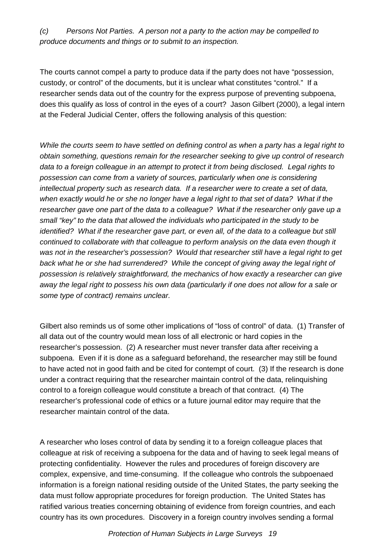*(c) Persons Not Parties. A person not a party to the action may be compelled to produce documents and things or to submit to an inspection.*

The courts cannot compel a party to produce data if the party does not have "possession, custody, or control" of the documents, but it is unclear what constitutes "control." If a researcher sends data out of the country for the express purpose of preventing subpoena, does this qualify as loss of control in the eyes of a court? Jason Gilbert (2000), a legal intern at the Federal Judicial Center, offers the following analysis of this question:

*While the courts seem to have settled on defining control as when a party has a legal right to obtain something, questions remain for the researcher seeking to give up control of research data to a foreign colleague in an attempt to protect it from being disclosed. Legal rights to possession can come from a variety of sources, particularly when one is considering intellectual property such as research data. If a researcher were to create a set of data, when exactly would he or she no longer have a legal right to that set of data? What if the researcher gave one part of the data to a colleague? What if the researcher only gave up a small "key" to the data that allowed the individuals who participated in the study to be identified? What if the researcher gave part, or even all, of the data to a colleague but still continued to collaborate with that colleague to perform analysis on the data even though it was not in the researcher's possession? Would that researcher still have a legal right to get back what he or she had surrendered? While the concept of giving away the legal right of possession is relatively straightforward, the mechanics of how exactly a researcher can give away the legal right to possess his own data (particularly if one does not allow for a sale or some type of contract) remains unclear.*

Gilbert also reminds us of some other implications of "loss of control" of data. (1) Transfer of all data out of the country would mean loss of all electronic or hard copies in the researcher's possession. (2) A researcher must never transfer data after receiving a subpoena. Even if it is done as a safeguard beforehand, the researcher may still be found to have acted not in good faith and be cited for contempt of court. (3) If the research is done under a contract requiring that the researcher maintain control of the data, relinquishing control to a foreign colleague would constitute a breach of that contract. (4) The researcher's professional code of ethics or a future journal editor may require that the researcher maintain control of the data.

A researcher who loses control of data by sending it to a foreign colleague places that colleague at risk of receiving a subpoena for the data and of having to seek legal means of protecting confidentiality. However the rules and procedures of foreign discovery are complex, expensive, and time-consuming. If the colleague who controls the subpoenaed information is a foreign national residing outside of the United States, the party seeking the data must follow appropriate procedures for foreign production. The United States has ratified various treaties concerning obtaining of evidence from foreign countries, and each country has its own procedures. Discovery in a foreign country involves sending a formal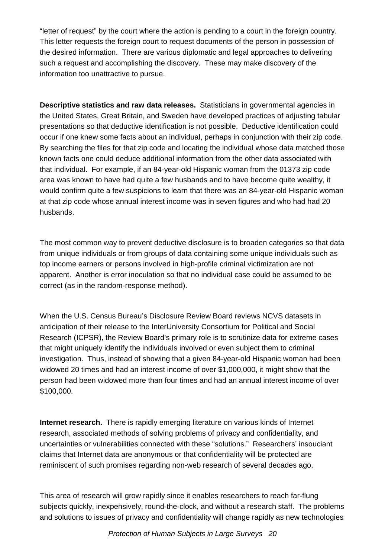"letter of request" by the court where the action is pending to a court in the foreign country. This letter requests the foreign court to request documents of the person in possession of the desired information. There are various diplomatic and legal approaches to delivering such a request and accomplishing the discovery. These may make discovery of the information too unattractive to pursue.

**Descriptive statistics and raw data releases.** Statisticians in governmental agencies in the United States, Great Britain, and Sweden have developed practices of adjusting tabular presentations so that deductive identification is not possible. Deductive identification could occur if one knew some facts about an individual, perhaps in conjunction with their zip code. By searching the files for that zip code and locating the individual whose data matched those known facts one could deduce additional information from the other data associated with that individual. For example, if an 84-year-old Hispanic woman from the 01373 zip code area was known to have had quite a few husbands and to have become quite wealthy, it would confirm quite a few suspicions to learn that there was an 84-year-old Hispanic woman at that zip code whose annual interest income was in seven figures and who had had 20 husbands.

The most common way to prevent deductive disclosure is to broaden categories so that data from unique individuals or from groups of data containing some unique individuals such as top income earners or persons involved in high-profile criminal victimization are not apparent. Another is error inoculation so that no individual case could be assumed to be correct (as in the random-response method).

When the U.S. Census Bureau's Disclosure Review Board reviews NCVS datasets in anticipation of their release to the InterUniversity Consortium for Political and Social Research (ICPSR), the Review Board's primary role is to scrutinize data for extreme cases that might uniquely identify the individuals involved or even subject them to criminal investigation. Thus, instead of showing that a given 84-year-old Hispanic woman had been widowed 20 times and had an interest income of over \$1,000,000, it might show that the person had been widowed more than four times and had an annual interest income of over \$100,000.

**Internet research.** There is rapidly emerging literature on various kinds of Internet research, associated methods of solving problems of privacy and confidentiality, and uncertainties or vulnerabilities connected with these "solutions." Researchers' insouciant claims that Internet data are anonymous or that confidentiality will be protected are reminiscent of such promises regarding non-web research of several decades ago.

This area of research will grow rapidly since it enables researchers to reach far-flung subjects quickly, inexpensively, round-the-clock, and without a research staff. The problems and solutions to issues of privacy and confidentiality will change rapidly as new technologies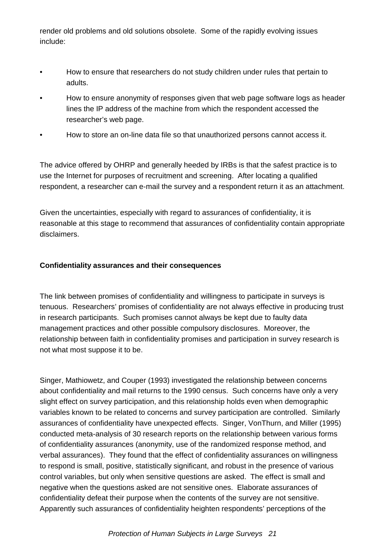render old problems and old solutions obsolete. Some of the rapidly evolving issues include:

- How to ensure that researchers do not study children under rules that pertain to adults.
- How to ensure anonymity of responses given that web page software logs as header lines the IP address of the machine from which the respondent accessed the researcher's web page.
- How to store an on-line data file so that unauthorized persons cannot access it.

The advice offered by OHRP and generally heeded by IRBs is that the safest practice is to use the Internet for purposes of recruitment and screening. After locating a qualified respondent, a researcher can e-mail the survey and a respondent return it as an attachment.

Given the uncertainties, especially with regard to assurances of confidentiality, it is reasonable at this stage to recommend that assurances of confidentiality contain appropriate disclaimers.

#### **Confidentiality assurances and their consequences**

The link between promises of confidentiality and willingness to participate in surveys is tenuous. Researchers' promises of confidentiality are not always effective in producing trust in research participants. Such promises cannot always be kept due to faulty data management practices and other possible compulsory disclosures. Moreover, the relationship between faith in confidentiality promises and participation in survey research is not what most suppose it to be.

Singer, Mathiowetz, and Couper (1993) investigated the relationship between concerns about confidentiality and mail returns to the 1990 census. Such concerns have only a very slight effect on survey participation, and this relationship holds even when demographic variables known to be related to concerns and survey participation are controlled. Similarly assurances of confidentiality have unexpected effects. Singer, VonThurn, and Miller (1995) conducted meta-analysis of 30 research reports on the relationship between various forms of confidentiality assurances (anonymity, use of the randomized response method, and verbal assurances). They found that the effect of confidentiality assurances on willingness to respond is small, positive, statistically significant, and robust in the presence of various control variables, but only when sensitive questions are asked. The effect is small and negative when the questions asked are not sensitive ones. Elaborate assurances of confidentiality defeat their purpose when the contents of the survey are not sensitive. Apparently such assurances of confidentiality heighten respondents' perceptions of the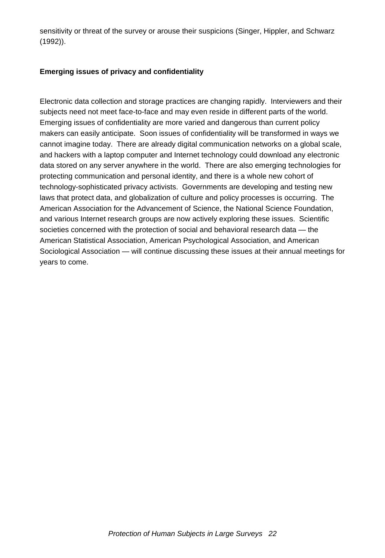sensitivity or threat of the survey or arouse their suspicions (Singer, Hippler, and Schwarz (1992)).

### **Emerging issues of privacy and confidentiality**

Electronic data collection and storage practices are changing rapidly. Interviewers and their subjects need not meet face-to-face and may even reside in different parts of the world. Emerging issues of confidentiality are more varied and dangerous than current policy makers can easily anticipate. Soon issues of confidentiality will be transformed in ways we cannot imagine today. There are already digital communication networks on a global scale, and hackers with a laptop computer and Internet technology could download any electronic data stored on any server anywhere in the world. There are also emerging technologies for protecting communication and personal identity, and there is a whole new cohort of technology-sophisticated privacy activists. Governments are developing and testing new laws that protect data, and globalization of culture and policy processes is occurring. The American Association for the Advancement of Science, the National Science Foundation, and various Internet research groups are now actively exploring these issues. Scientific societies concerned with the protection of social and behavioral research data — the American Statistical Association, American Psychological Association, and American Sociological Association — will continue discussing these issues at their annual meetings for years to come.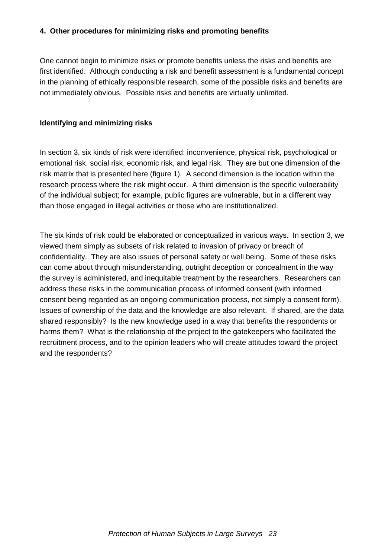#### **4. Other procedures for minimizing risks and promoting benefits**

One cannot begin to minimize risks or promote benefits unless the risks and benefits are first identified. Although conducting a risk and benefit assessment is a fundamental concept in the planning of ethically responsible research, some of the possible risks and benefits are not immediately obvious. Possible risks and benefits are virtually unlimited.

#### **Identifying and minimizing risks**

In section 3, six kinds of risk were identified: inconvenience, physical risk, psychological or emotional risk, social risk, economic risk, and legal risk. They are but one dimension of the risk matrix that is presented here (figure 1). A second dimension is the location within the research process where the risk might occur. A third dimension is the specific vulnerability of the individual subject; for example, public figures are vulnerable, but in a different way than those engaged in illegal activities or those who are institutionalized.

The six kinds of risk could be elaborated or conceptualized in various ways. In section 3, we viewed them simply as subsets of risk related to invasion of privacy or breach of confidentiality. They are also issues of personal safety or well being. Some of these risks can come about through misunderstanding, outright deception or concealment in the way the survey is administered, and inequitable treatment by the researchers. Researchers can address these risks in the communication process of informed consent (with informed consent being regarded as an ongoing communication process, not simply a consent form). Issues of ownership of the data and the knowledge are also relevant. If shared, are the data shared responsibly? Is the new knowledge used in a way that benefits the respondents or harms them? What is the relationship of the project to the gatekeepers who facilitated the recruitment process, and to the opinion leaders who will create attitudes toward the project and the respondents?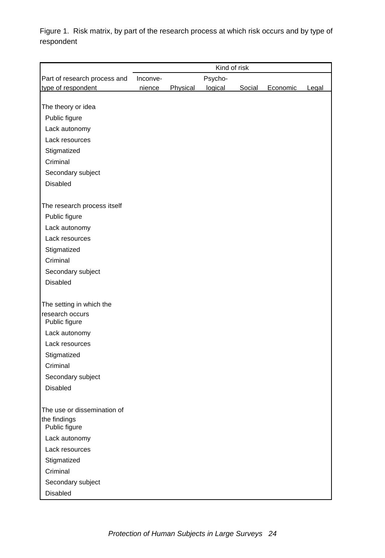Figure 1. Risk matrix, by part of the research process at which risk occurs and by type of respondent

|                               | Kind of risk |          |         |        |          |       |
|-------------------------------|--------------|----------|---------|--------|----------|-------|
| Part of research process and  | Inconve-     |          | Psycho- |        |          |       |
| type of respondent            | nience       | Physical | logical | Social | Economic | Legal |
|                               |              |          |         |        |          |       |
| The theory or idea            |              |          |         |        |          |       |
| Public figure                 |              |          |         |        |          |       |
| Lack autonomy                 |              |          |         |        |          |       |
| Lack resources                |              |          |         |        |          |       |
| Stigmatized                   |              |          |         |        |          |       |
| Criminal                      |              |          |         |        |          |       |
| Secondary subject             |              |          |         |        |          |       |
| Disabled                      |              |          |         |        |          |       |
| The research process itself   |              |          |         |        |          |       |
| Public figure                 |              |          |         |        |          |       |
| Lack autonomy                 |              |          |         |        |          |       |
| Lack resources                |              |          |         |        |          |       |
| Stigmatized                   |              |          |         |        |          |       |
| Criminal                      |              |          |         |        |          |       |
| Secondary subject             |              |          |         |        |          |       |
| Disabled                      |              |          |         |        |          |       |
|                               |              |          |         |        |          |       |
| The setting in which the      |              |          |         |        |          |       |
| research occurs               |              |          |         |        |          |       |
| Public figure                 |              |          |         |        |          |       |
| Lack autonomy                 |              |          |         |        |          |       |
| Lack resources                |              |          |         |        |          |       |
| Stigmatized                   |              |          |         |        |          |       |
| Criminal                      |              |          |         |        |          |       |
| Secondary subject             |              |          |         |        |          |       |
| Disabled                      |              |          |         |        |          |       |
| The use or dissemination of   |              |          |         |        |          |       |
| the findings<br>Public figure |              |          |         |        |          |       |
| Lack autonomy                 |              |          |         |        |          |       |
| Lack resources                |              |          |         |        |          |       |
| Stigmatized                   |              |          |         |        |          |       |
| Criminal                      |              |          |         |        |          |       |
| Secondary subject             |              |          |         |        |          |       |
| Disabled                      |              |          |         |        |          |       |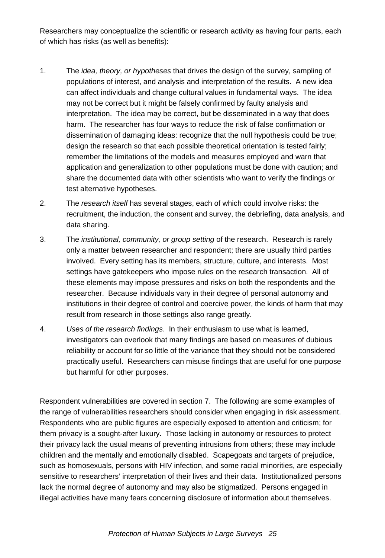Researchers may conceptualize the scientific or research activity as having four parts, each of which has risks (as well as benefits):

- 1. The *idea, theory, or hypotheses* that drives the design of the survey, sampling of populations of interest, and analysis and interpretation of the results. A new idea can affect individuals and change cultural values in fundamental ways. The idea may not be correct but it might be falsely confirmed by faulty analysis and interpretation. The idea may be correct, but be disseminated in a way that does harm. The researcher has four ways to reduce the risk of false confirmation or dissemination of damaging ideas: recognize that the null hypothesis could be true; design the research so that each possible theoretical orientation is tested fairly; remember the limitations of the models and measures employed and warn that application and generalization to other populations must be done with caution; and share the documented data with other scientists who want to verify the findings or test alternative hypotheses.
- 2. The *research itself* has several stages, each of which could involve risks: the recruitment, the induction, the consent and survey, the debriefing, data analysis, and data sharing.
- 3. The *institutional, community, or group setting* of the research. Research is rarely only a matter between researcher and respondent; there are usually third parties involved. Every setting has its members, structure, culture, and interests. Most settings have gatekeepers who impose rules on the research transaction. All of these elements may impose pressures and risks on both the respondents and the researcher. Because individuals vary in their degree of personal autonomy and institutions in their degree of control and coercive power, the kinds of harm that may result from research in those settings also range greatly.
- 4. *Uses of the research findings*. In their enthusiasm to use what is learned, investigators can overlook that many findings are based on measures of dubious reliability or account for so little of the variance that they should not be considered practically useful. Researchers can misuse findings that are useful for one purpose but harmful for other purposes.

Respondent vulnerabilities are covered in section 7. The following are some examples of the range of vulnerabilities researchers should consider when engaging in risk assessment. Respondents who are public figures are especially exposed to attention and criticism; for them privacy is a sought-after luxury. Those lacking in autonomy or resources to protect their privacy lack the usual means of preventing intrusions from others; these may include children and the mentally and emotionally disabled. Scapegoats and targets of prejudice, such as homosexuals, persons with HIV infection, and some racial minorities, are especially sensitive to researchers' interpretation of their lives and their data. Institutionalized persons lack the normal degree of autonomy and may also be stigmatized. Persons engaged in illegal activities have many fears concerning disclosure of information about themselves.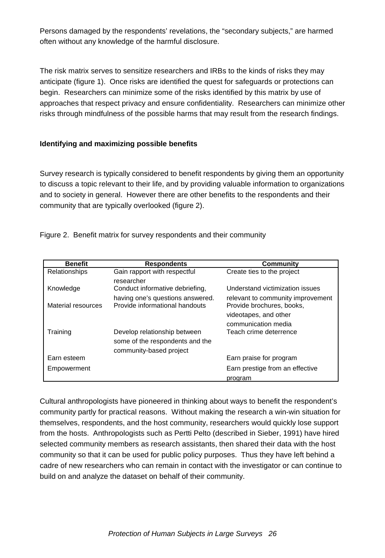Persons damaged by the respondents' revelations, the "secondary subjects," are harmed often without any knowledge of the harmful disclosure.

The risk matrix serves to sensitize researchers and IRBs to the kinds of risks they may anticipate (figure 1). Once risks are identified the quest for safeguards or protections can begin. Researchers can minimize some of the risks identified by this matrix by use of approaches that respect privacy and ensure confidentiality. Researchers can minimize other risks through mindfulness of the possible harms that may result from the research findings.

#### **Identifying and maximizing possible benefits**

Survey research is typically considered to benefit respondents by giving them an opportunity to discuss a topic relevant to their life, and by providing valuable information to organizations and to society in general. However there are other benefits to the respondents and their community that are typically overlooked (figure 2).

Figure 2. Benefit matrix for survey respondents and their community

| <b>Benefit</b>       | <b>Respondents</b>                                                 | Community                                                      |
|----------------------|--------------------------------------------------------------------|----------------------------------------------------------------|
| <b>Relationships</b> | Gain rapport with respectful                                       | Create ties to the project                                     |
| Knowledge            | researcher<br>Conduct informative debriefing,                      | Understand victimization issues                                |
| Material resources   | having one's questions answered.<br>Provide informational handouts | relevant to community improvement<br>Provide brochures, books, |
|                      |                                                                    | videotapes, and other                                          |
|                      |                                                                    | communication media                                            |
| Training             | Develop relationship between<br>some of the respondents and the    | Teach crime deterrence                                         |
|                      | community-based project                                            |                                                                |
| Earn esteem          |                                                                    | Earn praise for program                                        |
| Empowerment          |                                                                    | Earn prestige from an effective                                |
|                      |                                                                    | program                                                        |

Cultural anthropologists have pioneered in thinking about ways to benefit the respondent's community partly for practical reasons. Without making the research a win-win situation for themselves, respondents, and the host community, researchers would quickly lose support from the hosts. Anthropologists such as Pertti Pelto (described in Sieber, 1991) have hired selected community members as research assistants, then shared their data with the host community so that it can be used for public policy purposes. Thus they have left behind a cadre of new researchers who can remain in contact with the investigator or can continue to build on and analyze the dataset on behalf of their community.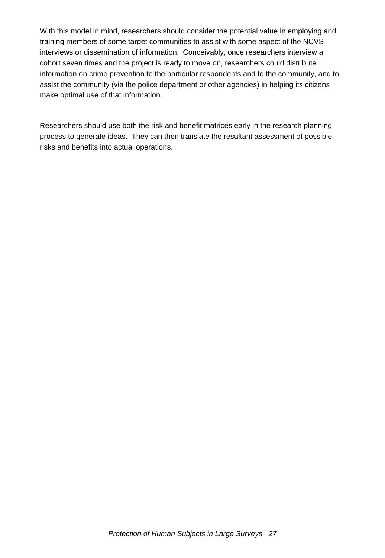With this model in mind, researchers should consider the potential value in employing and training members of some target communities to assist with some aspect of the NCVS interviews or dissemination of information. Conceivably, once researchers interview a cohort seven times and the project is ready to move on, researchers could distribute information on crime prevention to the particular respondents and to the community, and to assist the community (via the police department or other agencies) in helping its citizens make optimal use of that information.

Researchers should use both the risk and benefit matrices early in the research planning process to generate ideas. They can then translate the resultant assessment of possible risks and benefits into actual operations.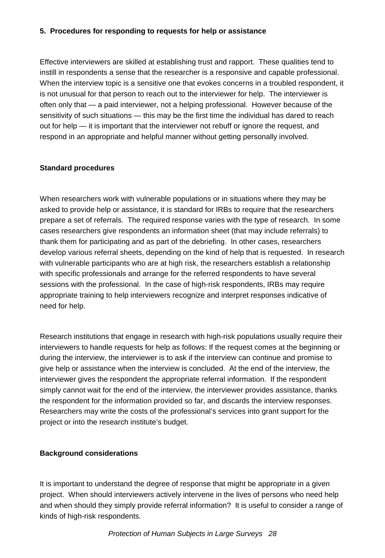#### **5. Procedures for responding to requests for help or assistance**

Effective interviewers are skilled at establishing trust and rapport. These qualities tend to instill in respondents a sense that the researcher is a responsive and capable professional. When the interview topic is a sensitive one that evokes concerns in a troubled respondent, it is not unusual for that person to reach out to the interviewer for help. The interviewer is often only that — a paid interviewer, not a helping professional. However because of the sensitivity of such situations — this may be the first time the individual has dared to reach out for help — it is important that the interviewer not rebuff or ignore the request, and respond in an appropriate and helpful manner without getting personally involved.

#### **Standard procedures**

When researchers work with vulnerable populations or in situations where they may be asked to provide help or assistance, it is standard for IRBs to require that the researchers prepare a set of referrals. The required response varies with the type of research. In some cases researchers give respondents an information sheet (that may include referrals) to thank them for participating and as part of the debriefing. In other cases, researchers develop various referral sheets, depending on the kind of help that is requested. In research with vulnerable participants who are at high risk, the researchers establish a relationship with specific professionals and arrange for the referred respondents to have several sessions with the professional. In the case of high-risk respondents, IRBs may require appropriate training to help interviewers recognize and interpret responses indicative of need for help.

Research institutions that engage in research with high-risk populations usually require their interviewers to handle requests for help as follows: If the request comes at the beginning or during the interview, the interviewer is to ask if the interview can continue and promise to give help or assistance when the interview is concluded. At the end of the interview, the interviewer gives the respondent the appropriate referral information. If the respondent simply cannot wait for the end of the interview, the interviewer provides assistance, thanks the respondent for the information provided so far, and discards the interview responses. Researchers may write the costs of the professional's services into grant support for the project or into the research institute's budget.

#### **Background considerations**

It is important to understand the degree of response that might be appropriate in a given project. When should interviewers actively intervene in the lives of persons who need help and when should they simply provide referral information? It is useful to consider a range of kinds of high-risk respondents.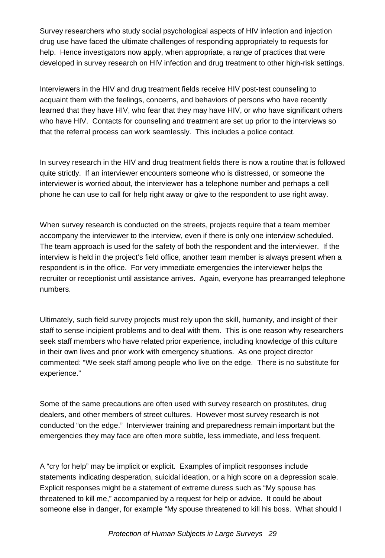Survey researchers who study social psychological aspects of HIV infection and injection drug use have faced the ultimate challenges of responding appropriately to requests for help. Hence investigators now apply, when appropriate, a range of practices that were developed in survey research on HIV infection and drug treatment to other high-risk settings.

Interviewers in the HIV and drug treatment fields receive HIV post-test counseling to acquaint them with the feelings, concerns, and behaviors of persons who have recently learned that they have HIV, who fear that they may have HIV, or who have significant others who have HIV. Contacts for counseling and treatment are set up prior to the interviews so that the referral process can work seamlessly. This includes a police contact.

In survey research in the HIV and drug treatment fields there is now a routine that is followed quite strictly. If an interviewer encounters someone who is distressed, or someone the interviewer is worried about, the interviewer has a telephone number and perhaps a cell phone he can use to call for help right away or give to the respondent to use right away.

When survey research is conducted on the streets, projects require that a team member accompany the interviewer to the interview, even if there is only one interview scheduled. The team approach is used for the safety of both the respondent and the interviewer. If the interview is held in the project's field office, another team member is always present when a respondent is in the office. For very immediate emergencies the interviewer helps the recruiter or receptionist until assistance arrives. Again, everyone has prearranged telephone numbers.

Ultimately, such field survey projects must rely upon the skill, humanity, and insight of their staff to sense incipient problems and to deal with them. This is one reason why researchers seek staff members who have related prior experience, including knowledge of this culture in their own lives and prior work with emergency situations. As one project director commented: "We seek staff among people who live on the edge. There is no substitute for experience."

Some of the same precautions are often used with survey research on prostitutes, drug dealers, and other members of street cultures. However most survey research is not conducted "on the edge." Interviewer training and preparedness remain important but the emergencies they may face are often more subtle, less immediate, and less frequent.

A "cry for help" may be implicit or explicit. Examples of implicit responses include statements indicating desperation, suicidal ideation, or a high score on a depression scale. Explicit responses might be a statement of extreme duress such as "My spouse has threatened to kill me," accompanied by a request for help or advice. It could be about someone else in danger, for example "My spouse threatened to kill his boss. What should I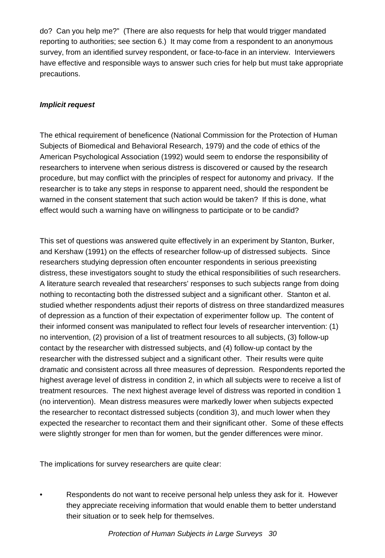do? Can you help me?" (There are also requests for help that would trigger mandated reporting to authorities; see section 6.) It may come from a respondent to an anonymous survey, from an identified survey respondent, or face-to-face in an interview. Interviewers have effective and responsible ways to answer such cries for help but must take appropriate precautions.

### *Implicit request*

The ethical requirement of beneficence (National Commission for the Protection of Human Subjects of Biomedical and Behavioral Research, 1979) and the code of ethics of the American Psychological Association (1992) would seem to endorse the responsibility of researchers to intervene when serious distress is discovered or caused by the research procedure, but may conflict with the principles of respect for autonomy and privacy. If the researcher is to take any steps in response to apparent need, should the respondent be warned in the consent statement that such action would be taken? If this is done, what effect would such a warning have on willingness to participate or to be candid?

This set of questions was answered quite effectively in an experiment by Stanton, Burker, and Kershaw (1991) on the effects of researcher follow-up of distressed subjects. Since researchers studying depression often encounter respondents in serious preexisting distress, these investigators sought to study the ethical responsibilities of such researchers. A literature search revealed that researchers' responses to such subjects range from doing nothing to recontacting both the distressed subject and a significant other. Stanton et al. studied whether respondents adjust their reports of distress on three standardized measures of depression as a function of their expectation of experimenter follow up. The content of their informed consent was manipulated to reflect four levels of researcher intervention: (1) no intervention, (2) provision of a list of treatment resources to all subjects, (3) follow-up contact by the researcher with distressed subjects, and (4) follow-up contact by the researcher with the distressed subject and a significant other. Their results were quite dramatic and consistent across all three measures of depression. Respondents reported the highest average level of distress in condition 2, in which all subjects were to receive a list of treatment resources. The next highest average level of distress was reported in condition 1 (no intervention). Mean distress measures were markedly lower when subjects expected the researcher to recontact distressed subjects (condition 3), and much lower when they expected the researcher to recontact them and their significant other. Some of these effects were slightly stronger for men than for women, but the gender differences were minor.

The implications for survey researchers are quite clear:

• Respondents do not want to receive personal help unless they ask for it. However they appreciate receiving information that would enable them to better understand their situation or to seek help for themselves.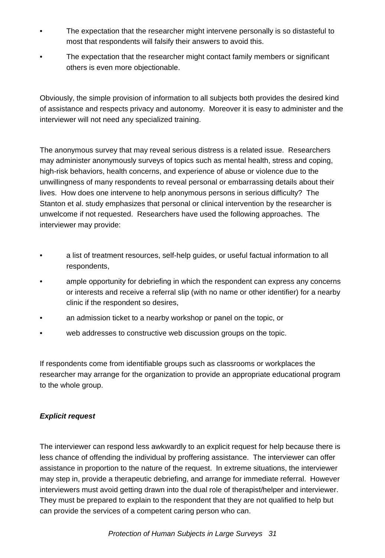- The expectation that the researcher might intervene personally is so distasteful to most that respondents will falsify their answers to avoid this.
- The expectation that the researcher might contact family members or significant others is even more objectionable.

Obviously, the simple provision of information to all subjects both provides the desired kind of assistance and respects privacy and autonomy. Moreover it is easy to administer and the interviewer will not need any specialized training.

The anonymous survey that may reveal serious distress is a related issue. Researchers may administer anonymously surveys of topics such as mental health, stress and coping, high-risk behaviors, health concerns, and experience of abuse or violence due to the unwillingness of many respondents to reveal personal or embarrassing details about their lives. How does one intervene to help anonymous persons in serious difficulty? The Stanton et al. study emphasizes that personal or clinical intervention by the researcher is unwelcome if not requested. Researchers have used the following approaches. The interviewer may provide:

- a list of treatment resources, self-help guides, or useful factual information to all respondents,
- ample opportunity for debriefing in which the respondent can express any concerns or interests and receive a referral slip (with no name or other identifier) for a nearby clinic if the respondent so desires,
- an admission ticket to a nearby workshop or panel on the topic, or
- web addresses to constructive web discussion groups on the topic.

If respondents come from identifiable groups such as classrooms or workplaces the researcher may arrange for the organization to provide an appropriate educational program to the whole group.

#### *Explicit request*

The interviewer can respond less awkwardly to an explicit request for help because there is less chance of offending the individual by proffering assistance. The interviewer can offer assistance in proportion to the nature of the request. In extreme situations, the interviewer may step in, provide a therapeutic debriefing, and arrange for immediate referral. However interviewers must avoid getting drawn into the dual role of therapist/helper and interviewer. They must be prepared to explain to the respondent that they are not qualified to help but can provide the services of a competent caring person who can.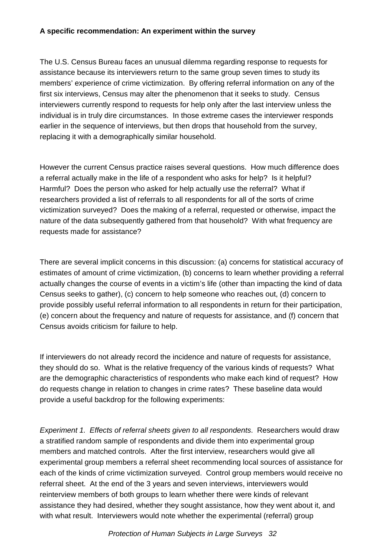## **A specific recommendation: An experiment within the survey**

The U.S. Census Bureau faces an unusual dilemma regarding response to requests for assistance because its interviewers return to the same group seven times to study its members' experience of crime victimization. By offering referral information on any of the first six interviews, Census may alter the phenomenon that it seeks to study. Census interviewers currently respond to requests for help only after the last interview unless the individual is in truly dire circumstances. In those extreme cases the interviewer responds earlier in the sequence of interviews, but then drops that household from the survey, replacing it with a demographically similar household.

However the current Census practice raises several questions. How much difference does a referral actually make in the life of a respondent who asks for help? Is it helpful? Harmful? Does the person who asked for help actually use the referral? What if researchers provided a list of referrals to all respondents for all of the sorts of crime victimization surveyed? Does the making of a referral, requested or otherwise, impact the nature of the data subsequently gathered from that household? With what frequency are requests made for assistance?

There are several implicit concerns in this discussion: (a) concerns for statistical accuracy of estimates of amount of crime victimization, (b) concerns to learn whether providing a referral actually changes the course of events in a victim's life (other than impacting the kind of data Census seeks to gather), (c) concern to help someone who reaches out, (d) concern to provide possibly useful referral information to all respondents in return for their participation, (e) concern about the frequency and nature of requests for assistance, and (f) concern that Census avoids criticism for failure to help.

If interviewers do not already record the incidence and nature of requests for assistance, they should do so. What is the relative frequency of the various kinds of requests? What are the demographic characteristics of respondents who make each kind of request? How do requests change in relation to changes in crime rates? These baseline data would provide a useful backdrop for the following experiments:

*Experiment 1. Effects of referral sheets given to all respondents*. Researchers would draw a stratified random sample of respondents and divide them into experimental group members and matched controls. After the first interview, researchers would give all experimental group members a referral sheet recommending local sources of assistance for each of the kinds of crime victimization surveyed. Control group members would receive no referral sheet. At the end of the 3 years and seven interviews, interviewers would reinterview members of both groups to learn whether there were kinds of relevant assistance they had desired, whether they sought assistance, how they went about it, and with what result. Interviewers would note whether the experimental (referral) group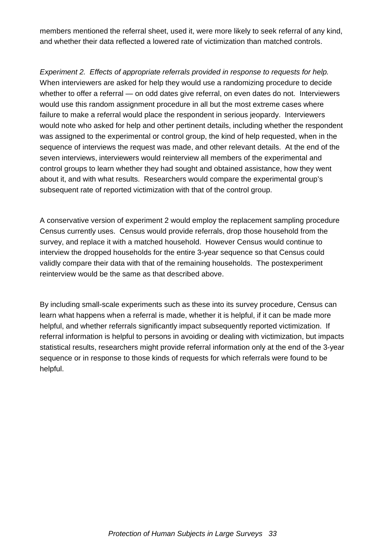members mentioned the referral sheet, used it, were more likely to seek referral of any kind, and whether their data reflected a lowered rate of victimization than matched controls.

*Experiment 2. Effects of appropriate referrals provided in response to requests for help.*  When interviewers are asked for help they would use a randomizing procedure to decide whether to offer a referral — on odd dates give referral, on even dates do not. Interviewers would use this random assignment procedure in all but the most extreme cases where failure to make a referral would place the respondent in serious jeopardy. Interviewers would note who asked for help and other pertinent details, including whether the respondent was assigned to the experimental or control group, the kind of help requested, when in the sequence of interviews the request was made, and other relevant details. At the end of the seven interviews, interviewers would reinterview all members of the experimental and control groups to learn whether they had sought and obtained assistance, how they went about it, and with what results. Researchers would compare the experimental group's subsequent rate of reported victimization with that of the control group.

A conservative version of experiment 2 would employ the replacement sampling procedure Census currently uses. Census would provide referrals, drop those household from the survey, and replace it with a matched household. However Census would continue to interview the dropped households for the entire 3-year sequence so that Census could validly compare their data with that of the remaining households. The postexperiment reinterview would be the same as that described above.

By including small-scale experiments such as these into its survey procedure, Census can learn what happens when a referral is made, whether it is helpful, if it can be made more helpful, and whether referrals significantly impact subsequently reported victimization. If referral information is helpful to persons in avoiding or dealing with victimization, but impacts statistical results, researchers might provide referral information only at the end of the 3-year sequence or in response to those kinds of requests for which referrals were found to be helpful.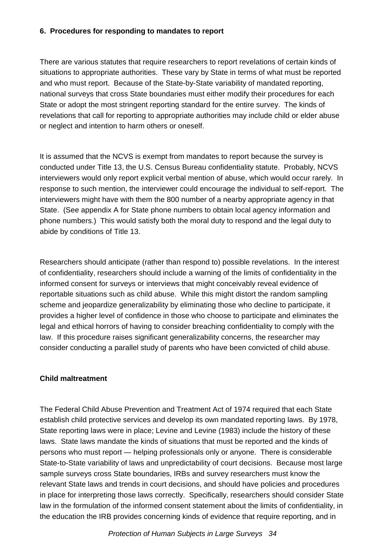#### **6. Procedures for responding to mandates to report**

There are various statutes that require researchers to report revelations of certain kinds of situations to appropriate authorities. These vary by State in terms of what must be reported and who must report. Because of the State-by-State variability of mandated reporting, national surveys that cross State boundaries must either modify their procedures for each State or adopt the most stringent reporting standard for the entire survey. The kinds of revelations that call for reporting to appropriate authorities may include child or elder abuse or neglect and intention to harm others or oneself.

It is assumed that the NCVS is exempt from mandates to report because the survey is conducted under Title 13, the U.S. Census Bureau confidentiality statute. Probably, NCVS interviewers would only report explicit verbal mention of abuse, which would occur rarely. In response to such mention, the interviewer could encourage the individual to self-report. The interviewers might have with them the 800 number of a nearby appropriate agency in that State. (See appendix A for State phone numbers to obtain local agency information and phone numbers.) This would satisfy both the moral duty to respond and the legal duty to abide by conditions of Title 13.

Researchers should anticipate (rather than respond to) possible revelations. In the interest of confidentiality, researchers should include a warning of the limits of confidentiality in the informed consent for surveys or interviews that might conceivably reveal evidence of reportable situations such as child abuse. While this might distort the random sampling scheme and jeopardize generalizability by eliminating those who decline to participate, it provides a higher level of confidence in those who choose to participate and eliminates the legal and ethical horrors of having to consider breaching confidentiality to comply with the law. If this procedure raises significant generalizability concerns, the researcher may consider conducting a parallel study of parents who have been convicted of child abuse.

## **Child maltreatment**

The Federal Child Abuse Prevention and Treatment Act of 1974 required that each State establish child protective services and develop its own mandated reporting laws. By 1978, State reporting laws were in place; Levine and Levine (1983) include the history of these laws. State laws mandate the kinds of situations that must be reported and the kinds of persons who must report — helping professionals only or anyone. There is considerable State-to-State variability of laws and unpredictability of court decisions. Because most large sample surveys cross State boundaries, IRBs and survey researchers must know the relevant State laws and trends in court decisions, and should have policies and procedures in place for interpreting those laws correctly. Specifically, researchers should consider State law in the formulation of the informed consent statement about the limits of confidentiality, in the education the IRB provides concerning kinds of evidence that require reporting, and in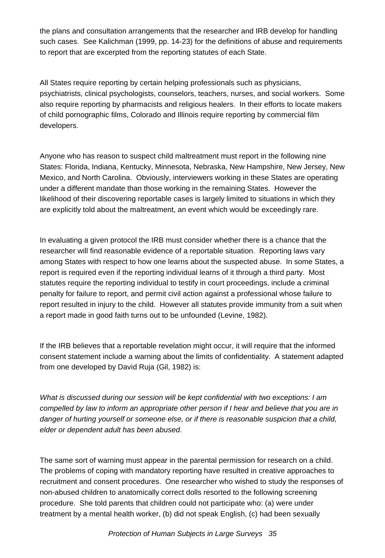the plans and consultation arrangements that the researcher and IRB develop for handling such cases. See Kalichman (1999, pp. 14-23) for the definitions of abuse and requirements to report that are excerpted from the reporting statutes of each State.

All States require reporting by certain helping professionals such as physicians, psychiatrists, clinical psychologists, counselors, teachers, nurses, and social workers. Some also require reporting by pharmacists and religious healers. In their efforts to locate makers of child pornographic films, Colorado and Illinois require reporting by commercial film developers.

Anyone who has reason to suspect child maltreatment must report in the following nine States: Florida, Indiana, Kentucky, Minnesota, Nebraska, New Hampshire, New Jersey, New Mexico, and North Carolina. Obviously, interviewers working in these States are operating under a different mandate than those working in the remaining States. However the likelihood of their discovering reportable cases is largely limited to situations in which they are explicitly told about the maltreatment, an event which would be exceedingly rare.

In evaluating a given protocol the IRB must consider whether there is a chance that the researcher will find reasonable evidence of a reportable situation. Reporting laws vary among States with respect to how one learns about the suspected abuse. In some States, a report is required even if the reporting individual learns of it through a third party. Most statutes require the reporting individual to testify in court proceedings, include a criminal penalty for failure to report, and permit civil action against a professional whose failure to report resulted in injury to the child. However all statutes provide immunity from a suit when a report made in good faith turns out to be unfounded (Levine, 1982).

If the IRB believes that a reportable revelation might occur, it will require that the informed consent statement include a warning about the limits of confidentiality. A statement adapted from one developed by David Ruja (Gil, 1982) is:

*What is discussed during our session will be kept confidential with two exceptions: I am compelled by law to inform an appropriate other person if I hear and believe that you are in danger of hurting yourself or someone else, or if there is reasonable suspicion that a child, elder or dependent adult has been abused*.

The same sort of warning must appear in the parental permission for research on a child. The problems of coping with mandatory reporting have resulted in creative approaches to recruitment and consent procedures. One researcher who wished to study the responses of non-abused children to anatomically correct dolls resorted to the following screening procedure. She told parents that children could not participate who: (a) were under treatment by a mental health worker, (b) did not speak English, (c) had been sexually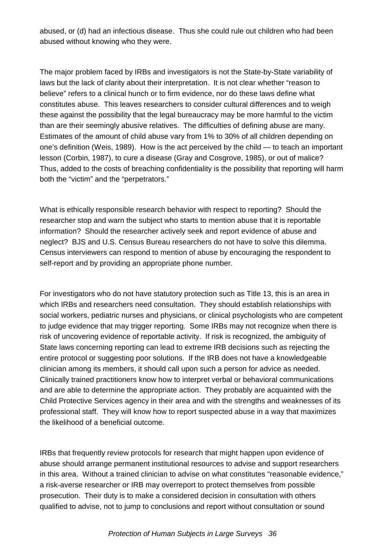abused, or (d) had an infectious disease. Thus she could rule out children who had been abused without knowing who they were.

The major problem faced by IRBs and investigators is not the State-by-State variability of laws but the lack of clarity about their interpretation. It is not clear whether "reason to believe" refers to a clinical hunch or to firm evidence, nor do these laws define what constitutes abuse. This leaves researchers to consider cultural differences and to weigh these against the possibility that the legal bureaucracy may be more harmful to the victim than are their seemingly abusive relatives. The difficulties of defining abuse are many. Estimates of the amount of child abuse vary from 1% to 30% of all children depending on one's definition (Weis, 1989). How is the act perceived by the child — to teach an important lesson (Corbin, 1987), to cure a disease (Gray and Cosgrove, 1985), or out of malice? Thus, added to the costs of breaching confidentiality is the possibility that reporting will harm both the "victim" and the "perpetrators."

What is ethically responsible research behavior with respect to reporting? Should the researcher stop and warn the subject who starts to mention abuse that it is reportable information? Should the researcher actively seek and report evidence of abuse and neglect? BJS and U.S. Census Bureau researchers do not have to solve this dilemma. Census interviewers can respond to mention of abuse by encouraging the respondent to self-report and by providing an appropriate phone number.

For investigators who do not have statutory protection such as Title 13, this is an area in which IRBs and researchers need consultation. They should establish relationships with social workers, pediatric nurses and physicians, or clinical psychologists who are competent to judge evidence that may trigger reporting. Some IRBs may not recognize when there is risk of uncovering evidence of reportable activity. If risk is recognized, the ambiguity of State laws concerning reporting can lead to extreme IRB decisions such as rejecting the entire protocol or suggesting poor solutions. If the IRB does not have a knowledgeable clinician among its members, it should call upon such a person for advice as needed. Clinically trained practitioners know how to interpret verbal or behavioral communications and are able to determine the appropriate action. They probably are acquainted with the Child Protective Services agency in their area and with the strengths and weaknesses of its professional staff. They will know how to report suspected abuse in a way that maximizes the likelihood of a beneficial outcome.

IRBs that frequently review protocols for research that might happen upon evidence of abuse should arrange permanent institutional resources to advise and support researchers in this area. Without a trained clinician to advise on what constitutes "reasonable evidence," a risk-averse researcher or IRB may overreport to protect themselves from possible prosecution. Their duty is to make a considered decision in consultation with others qualified to advise, not to jump to conclusions and report without consultation or sound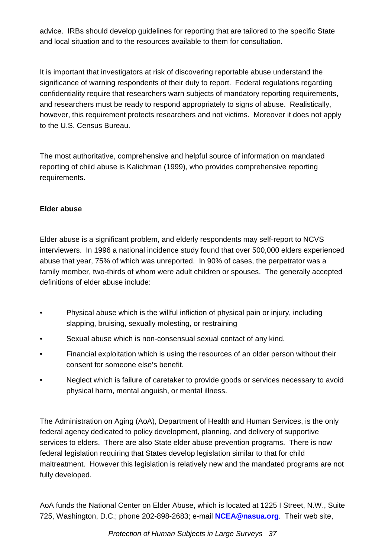advice. IRBs should develop guidelines for reporting that are tailored to the specific State and local situation and to the resources available to them for consultation.

It is important that investigators at risk of discovering reportable abuse understand the significance of warning respondents of their duty to report. Federal regulations regarding confidentiality require that researchers warn subjects of mandatory reporting requirements, and researchers must be ready to respond appropriately to signs of abuse. Realistically, however, this requirement protects researchers and not victims. Moreover it does not apply to the U.S. Census Bureau.

The most authoritative, comprehensive and helpful source of information on mandated reporting of child abuse is Kalichman (1999), who provides comprehensive reporting requirements.

## **Elder abuse**

Elder abuse is a significant problem, and elderly respondents may self-report to NCVS interviewers. In 1996 a national incidence study found that over 500,000 elders experienced abuse that year, 75% of which was unreported. In 90% of cases, the perpetrator was a family member, two-thirds of whom were adult children or spouses. The generally accepted definitions of elder abuse include:

- Physical abuse which is the willful infliction of physical pain or injury, including slapping, bruising, sexually molesting, or restraining
- Sexual abuse which is non-consensual sexual contact of any kind.
- Financial exploitation which is using the resources of an older person without their consent for someone else's benefit.
- Neglect which is failure of caretaker to provide goods or services necessary to avoid physical harm, mental anguish, or mental illness.

The Administration on Aging (AoA), Department of Health and Human Services, is the only federal agency dedicated to policy development, planning, and delivery of supportive services to elders. There are also State elder abuse prevention programs. There is now federal legislation requiring that States develop legislation similar to that for child maltreatment. However this legislation is relatively new and the mandated programs are not fully developed.

AoA funds the National Center on Elder Abuse, which is located at 1225 I Street, N.W., Suite 725, Washington, D.C.; phone 202-898-2683; e-mail **NCEA@nasua.org**. Their web site,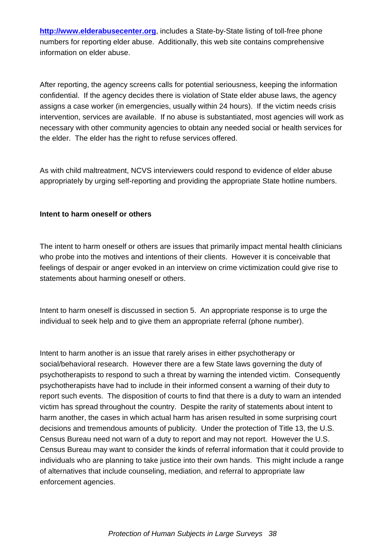**http://www.elderabusecenter.org**, includes a State-by-State listing of toll-free phone numbers for reporting elder abuse. Additionally, this web site contains comprehensive information on elder abuse.

After reporting, the agency screens calls for potential seriousness, keeping the information confidential. If the agency decides there is violation of State elder abuse laws, the agency assigns a case worker (in emergencies, usually within 24 hours). If the victim needs crisis intervention, services are available. If no abuse is substantiated, most agencies will work as necessary with other community agencies to obtain any needed social or health services for the elder. The elder has the right to refuse services offered.

As with child maltreatment, NCVS interviewers could respond to evidence of elder abuse appropriately by urging self-reporting and providing the appropriate State hotline numbers.

#### **Intent to harm oneself or others**

The intent to harm oneself or others are issues that primarily impact mental health clinicians who probe into the motives and intentions of their clients. However it is conceivable that feelings of despair or anger evoked in an interview on crime victimization could give rise to statements about harming oneself or others.

Intent to harm oneself is discussed in section 5. An appropriate response is to urge the individual to seek help and to give them an appropriate referral (phone number).

Intent to harm another is an issue that rarely arises in either psychotherapy or social/behavioral research. However there are a few State laws governing the duty of psychotherapists to respond to such a threat by warning the intended victim. Consequently psychotherapists have had to include in their informed consent a warning of their duty to report such events. The disposition of courts to find that there is a duty to warn an intended victim has spread throughout the country. Despite the rarity of statements about intent to harm another, the cases in which actual harm has arisen resulted in some surprising court decisions and tremendous amounts of publicity. Under the protection of Title 13, the U.S. Census Bureau need not warn of a duty to report and may not report. However the U.S. Census Bureau may want to consider the kinds of referral information that it could provide to individuals who are planning to take justice into their own hands. This might include a range of alternatives that include counseling, mediation, and referral to appropriate law enforcement agencies.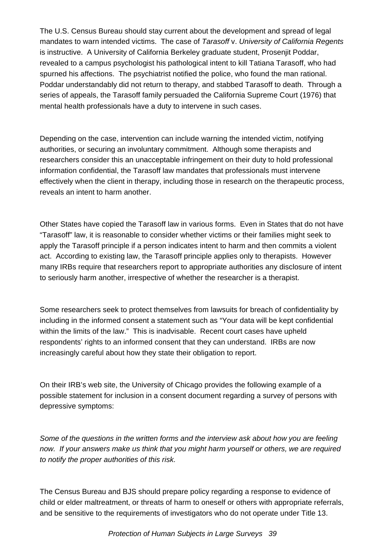The U.S. Census Bureau should stay current about the development and spread of legal mandates to warn intended victims. The case of *Tarasoff* v. *University of California Regents* is instructive. A University of California Berkeley graduate student, Prosenjit Poddar, revealed to a campus psychologist his pathological intent to kill Tatiana Tarasoff, who had spurned his affections. The psychiatrist notified the police, who found the man rational. Poddar understandably did not return to therapy, and stabbed Tarasoff to death. Through a series of appeals, the Tarasoff family persuaded the California Supreme Court (1976) that mental health professionals have a duty to intervene in such cases.

Depending on the case, intervention can include warning the intended victim, notifying authorities, or securing an involuntary commitment. Although some therapists and researchers consider this an unacceptable infringement on their duty to hold professional information confidential, the Tarasoff law mandates that professionals must intervene effectively when the client in therapy, including those in research on the therapeutic process, reveals an intent to harm another.

Other States have copied the Tarasoff law in various forms. Even in States that do not have "Tarasoff" law, it is reasonable to consider whether victims or their families might seek to apply the Tarasoff principle if a person indicates intent to harm and then commits a violent act. According to existing law, the Tarasoff principle applies only to therapists. However many IRBs require that researchers report to appropriate authorities any disclosure of intent to seriously harm another, irrespective of whether the researcher is a therapist.

Some researchers seek to protect themselves from lawsuits for breach of confidentiality by including in the informed consent a statement such as "Your data will be kept confidential within the limits of the law." This is inadvisable. Recent court cases have upheld respondents' rights to an informed consent that they can understand. IRBs are now increasingly careful about how they state their obligation to report.

On their IRB's web site, the University of Chicago provides the following example of a possible statement for inclusion in a consent document regarding a survey of persons with depressive symptoms:

*Some of the questions in the written forms and the interview ask about how you are feeling now. If your answers make us think that you might harm yourself or others, we are required to notify the proper authorities of this risk.*

The Census Bureau and BJS should prepare policy regarding a response to evidence of child or elder maltreatment, or threats of harm to oneself or others with appropriate referrals, and be sensitive to the requirements of investigators who do not operate under Title 13.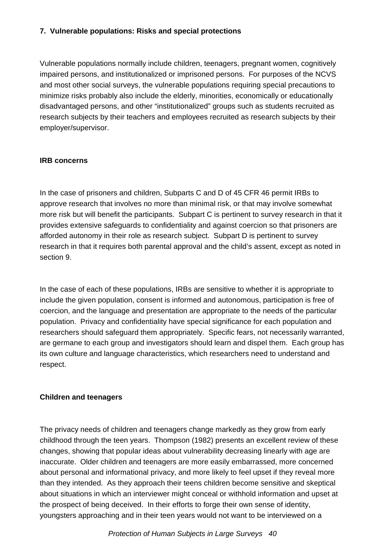## **7. Vulnerable populations: Risks and special protections**

Vulnerable populations normally include children, teenagers, pregnant women, cognitively impaired persons, and institutionalized or imprisoned persons. For purposes of the NCVS and most other social surveys, the vulnerable populations requiring special precautions to minimize risks probably also include the elderly, minorities, economically or educationally disadvantaged persons, and other "institutionalized" groups such as students recruited as research subjects by their teachers and employees recruited as research subjects by their employer/supervisor.

## **IRB concerns**

In the case of prisoners and children, Subparts C and D of 45 CFR 46 permit IRBs to approve research that involves no more than minimal risk, or that may involve somewhat more risk but will benefit the participants. Subpart C is pertinent to survey research in that it provides extensive safeguards to confidentiality and against coercion so that prisoners are afforded autonomy in their role as research subject. Subpart D is pertinent to survey research in that it requires both parental approval and the child's assent, except as noted in section 9.

In the case of each of these populations, IRBs are sensitive to whether it is appropriate to include the given population, consent is informed and autonomous, participation is free of coercion, and the language and presentation are appropriate to the needs of the particular population. Privacy and confidentiality have special significance for each population and researchers should safeguard them appropriately. Specific fears, not necessarily warranted, are germane to each group and investigators should learn and dispel them. Each group has its own culture and language characteristics, which researchers need to understand and respect.

## **Children and teenagers**

The privacy needs of children and teenagers change markedly as they grow from early childhood through the teen years. Thompson (1982) presents an excellent review of these changes, showing that popular ideas about vulnerability decreasing linearly with age are inaccurate. Older children and teenagers are more easily embarrassed, more concerned about personal and informational privacy, and more likely to feel upset if they reveal more than they intended. As they approach their teens children become sensitive and skeptical about situations in which an interviewer might conceal or withhold information and upset at the prospect of being deceived. In their efforts to forge their own sense of identity, youngsters approaching and in their teen years would not want to be interviewed on a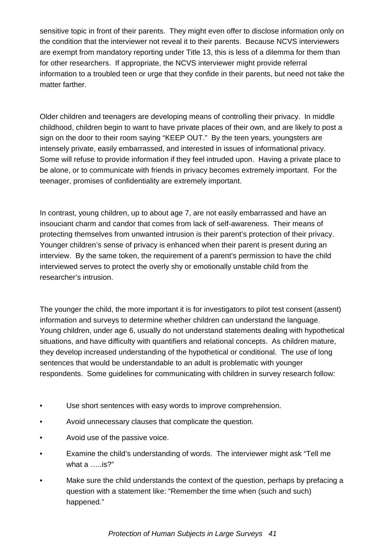sensitive topic in front of their parents. They might even offer to disclose information only on the condition that the interviewer not reveal it to their parents. Because NCVS interviewers are exempt from mandatory reporting under Title 13, this is less of a dilemma for them than for other researchers. If appropriate, the NCVS interviewer might provide referral information to a troubled teen or urge that they confide in their parents, but need not take the matter farther.

Older children and teenagers are developing means of controlling their privacy. In middle childhood, children begin to want to have private places of their own, and are likely to post a sign on the door to their room saying "KEEP OUT." By the teen years, youngsters are intensely private, easily embarrassed, and interested in issues of informational privacy. Some will refuse to provide information if they feel intruded upon. Having a private place to be alone, or to communicate with friends in privacy becomes extremely important. For the teenager, promises of confidentiality are extremely important.

In contrast, young children, up to about age 7, are not easily embarrassed and have an insouciant charm and candor that comes from lack of self-awareness. Their means of protecting themselves from unwanted intrusion is their parent's protection of their privacy. Younger children's sense of privacy is enhanced when their parent is present during an interview. By the same token, the requirement of a parent's permission to have the child interviewed serves to protect the overly shy or emotionally unstable child from the researcher's intrusion.

The younger the child, the more important it is for investigators to pilot test consent (assent) information and surveys to determine whether children can understand the language. Young children, under age 6, usually do not understand statements dealing with hypothetical situations, and have difficulty with quantifiers and relational concepts. As children mature, they develop increased understanding of the hypothetical or conditional. The use of long sentences that would be understandable to an adult is problematic with younger respondents. Some guidelines for communicating with children in survey research follow:

- Use short sentences with easy words to improve comprehension.
- Avoid unnecessary clauses that complicate the question.
- Avoid use of the passive voice.
- Examine the child's understanding of words. The interviewer might ask "Tell me what a …..is?"
- Make sure the child understands the context of the question, perhaps by prefacing a question with a statement like: "Remember the time when (such and such) happened."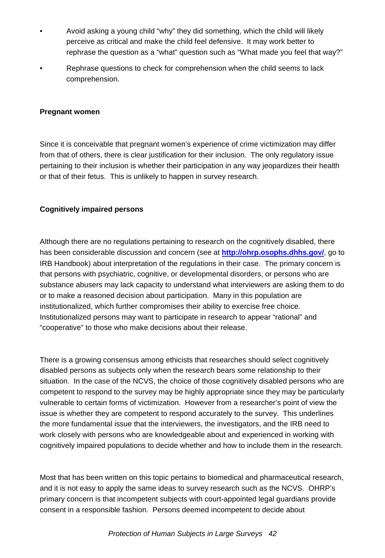- Avoid asking a young child "why" they did something, which the child will likely perceive as critical and make the child feel defensive. It may work better to rephrase the question as a "what" question such as "What made you feel that way?"
- Rephrase questions to check for comprehension when the child seems to lack comprehension.

#### **Pregnant women**

Since it is conceivable that pregnant women's experience of crime victimization may differ from that of others, there is clear justification for their inclusion. The only regulatory issue pertaining to their inclusion is whether their participation in any way jeopardizes their health or that of their fetus. This is unlikely to happen in survey research.

#### **Cognitively impaired persons**

Although there are no regulations pertaining to research on the cognitively disabled, there has been considerable discussion and concern (see at **http://ohrp.osophs.dhhs.gov/**, go to IRB Handbook) about interpretation of the regulations in their case. The primary concern is that persons with psychiatric, cognitive, or developmental disorders, or persons who are substance abusers may lack capacity to understand what interviewers are asking them to do or to make a reasoned decision about participation. Many in this population are institutionalized, which further compromises their ability to exercise free choice. Institutionalized persons may want to participate in research to appear "rational" and "cooperative" to those who make decisions about their release.

There is a growing consensus among ethicists that researches should select cognitively disabled persons as subjects only when the research bears some relationship to their situation. In the case of the NCVS, the choice of those cognitively disabled persons who are competent to respond to the survey may be highly appropriate since they may be particularly vulnerable to certain forms of victimization. However from a researcher's point of view the issue is whether they are competent to respond accurately to the survey. This underlines the more fundamental issue that the interviewers, the investigators, and the IRB need to work closely with persons who are knowledgeable about and experienced in working with cognitively impaired populations to decide whether and how to include them in the research.

Most that has been written on this topic pertains to biomedical and pharmaceutical research, and it is not easy to apply the same ideas to survey research such as the NCVS. OHRP's primary concern is that incompetent subjects with court-appointed legal guardians provide consent in a responsible fashion. Persons deemed incompetent to decide about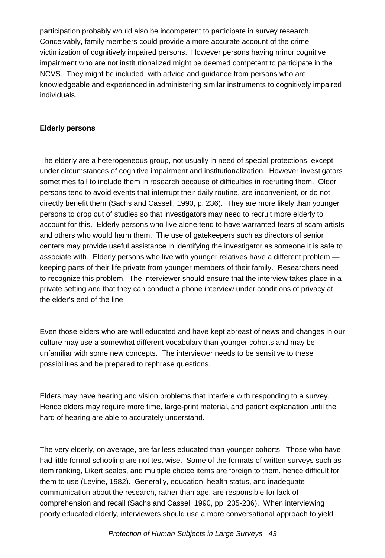participation probably would also be incompetent to participate in survey research. Conceivably, family members could provide a more accurate account of the crime victimization of cognitively impaired persons. However persons having minor cognitive impairment who are not institutionalized might be deemed competent to participate in the NCVS. They might be included, with advice and guidance from persons who are knowledgeable and experienced in administering similar instruments to cognitively impaired individuals.

#### **Elderly persons**

The elderly are a heterogeneous group, not usually in need of special protections, except under circumstances of cognitive impairment and institutionalization. However investigators sometimes fail to include them in research because of difficulties in recruiting them. Older persons tend to avoid events that interrupt their daily routine, are inconvenient, or do not directly benefit them (Sachs and Cassell, 1990, p. 236). They are more likely than younger persons to drop out of studies so that investigators may need to recruit more elderly to account for this. Elderly persons who live alone tend to have warranted fears of scam artists and others who would harm them. The use of gatekeepers such as directors of senior centers may provide useful assistance in identifying the investigator as someone it is safe to associate with. Elderly persons who live with younger relatives have a different problem keeping parts of their life private from younger members of their family. Researchers need to recognize this problem. The interviewer should ensure that the interview takes place in a private setting and that they can conduct a phone interview under conditions of privacy at the elder's end of the line.

Even those elders who are well educated and have kept abreast of news and changes in our culture may use a somewhat different vocabulary than younger cohorts and may be unfamiliar with some new concepts. The interviewer needs to be sensitive to these possibilities and be prepared to rephrase questions.

Elders may have hearing and vision problems that interfere with responding to a survey. Hence elders may require more time, large-print material, and patient explanation until the hard of hearing are able to accurately understand.

The very elderly, on average, are far less educated than younger cohorts. Those who have had little formal schooling are not test wise. Some of the formats of written surveys such as item ranking, Likert scales, and multiple choice items are foreign to them, hence difficult for them to use (Levine, 1982). Generally, education, health status, and inadequate communication about the research, rather than age, are responsible for lack of comprehension and recall (Sachs and Cassel, 1990, pp. 235-236). When interviewing poorly educated elderly, interviewers should use a more conversational approach to yield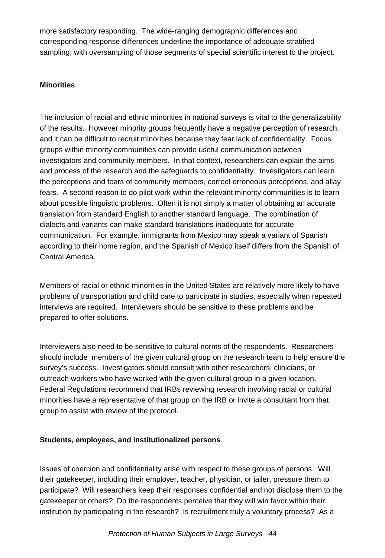more satisfactory responding. The wide-ranging demographic differences and corresponding response differences underline the importance of adequate stratified sampling, with oversampling of those segments of special scientific interest to the project.

#### **Minorities**

The inclusion of racial and ethnic minorities in national surveys is vital to the generalizability of the results. However minority groups frequently have a negative perception of research, and it can be difficult to recruit minorities because they fear lack of confidentiality. Focus groups within minority communities can provide useful communication between investigators and community members. In that context, researchers can explain the aims and process of the research and the safeguards to confidentiality. Investigators can learn the perceptions and fears of community members, correct erroneous perceptions, and allay fears. A second reason to do pilot work within the relevant minority communities is to learn about possible linguistic problems. Often it is not simply a matter of obtaining an accurate translation from standard English to another standard language. The combination of dialects and variants can make standard translations inadequate for accurate communication. For example, immigrants from Mexico may speak a variant of Spanish according to their home region, and the Spanish of Mexico itself differs from the Spanish of Central America.

Members of racial or ethnic minorities in the United States are relatively more likely to have problems of transportation and child care to participate in studies, especially when repeated interviews are required. Interviewers should be sensitive to these problems and be prepared to offer solutions.

Interviewers also need to be sensitive to cultural norms of the respondents. Researchers should include members of the given cultural group on the research team to help ensure the survey's success. Investigators should consult with other researchers, clinicians, or outreach workers who have worked with the given cultural group in a given location. Federal Regulations recommend that IRBs reviewing research involving racial or cultural minorities have a representative of that group on the IRB or invite a consultant from that group to assist with review of the protocol.

## **Students, employees, and institutionalized persons**

Issues of coercion and confidentiality arise with respect to these groups of persons. Will their gatekeeper, including their employer, teacher, physician, or jailer, pressure them to participate? Will researchers keep their responses confidential and not disclose them to the gatekeeper or others? Do the respondents perceive that they will win favor within their institution by participating in the research? Is recruitment truly a voluntary process? As a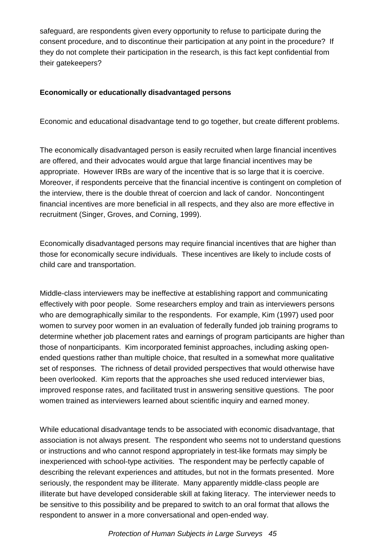safeguard, are respondents given every opportunity to refuse to participate during the consent procedure, and to discontinue their participation at any point in the procedure? If they do not complete their participation in the research, is this fact kept confidential from their gatekeepers?

## **Economically or educationally disadvantaged persons**

Economic and educational disadvantage tend to go together, but create different problems.

The economically disadvantaged person is easily recruited when large financial incentives are offered, and their advocates would argue that large financial incentives may be appropriate. However IRBs are wary of the incentive that is so large that it is coercive. Moreover, if respondents perceive that the financial incentive is contingent on completion of the interview, there is the double threat of coercion and lack of candor. Noncontingent financial incentives are more beneficial in all respects, and they also are more effective in recruitment (Singer, Groves, and Corning, 1999).

Economically disadvantaged persons may require financial incentives that are higher than those for economically secure individuals. These incentives are likely to include costs of child care and transportation.

Middle-class interviewers may be ineffective at establishing rapport and communicating effectively with poor people. Some researchers employ and train as interviewers persons who are demographically similar to the respondents. For example, Kim (1997) used poor women to survey poor women in an evaluation of federally funded job training programs to determine whether job placement rates and earnings of program participants are higher than those of nonparticipants. Kim incorporated feminist approaches, including asking openended questions rather than multiple choice, that resulted in a somewhat more qualitative set of responses. The richness of detail provided perspectives that would otherwise have been overlooked. Kim reports that the approaches she used reduced interviewer bias, improved response rates, and facilitated trust in answering sensitive questions. The poor women trained as interviewers learned about scientific inquiry and earned money.

While educational disadvantage tends to be associated with economic disadvantage, that association is not always present. The respondent who seems not to understand questions or instructions and who cannot respond appropriately in test-like formats may simply be inexperienced with school-type activities. The respondent may be perfectly capable of describing the relevant experiences and attitudes, but not in the formats presented. More seriously, the respondent may be illiterate. Many apparently middle-class people are illiterate but have developed considerable skill at faking literacy. The interviewer needs to be sensitive to this possibility and be prepared to switch to an oral format that allows the respondent to answer in a more conversational and open-ended way.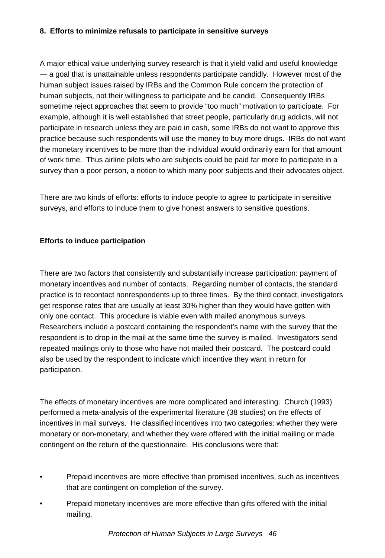#### **8. Efforts to minimize refusals to participate in sensitive surveys**

A major ethical value underlying survey research is that it yield valid and useful knowledge — a goal that is unattainable unless respondents participate candidly. However most of the human subject issues raised by IRBs and the Common Rule concern the protection of human subjects, not their willingness to participate and be candid. Consequently IRBs sometime reject approaches that seem to provide "too much" motivation to participate. For example, although it is well established that street people, particularly drug addicts, will not participate in research unless they are paid in cash, some IRBs do not want to approve this practice because such respondents will use the money to buy more drugs. IRBs do not want the monetary incentives to be more than the individual would ordinarily earn for that amount of work time. Thus airline pilots who are subjects could be paid far more to participate in a survey than a poor person, a notion to which many poor subjects and their advocates object.

There are two kinds of efforts: efforts to induce people to agree to participate in sensitive surveys, and efforts to induce them to give honest answers to sensitive questions.

#### **Efforts to induce participation**

There are two factors that consistently and substantially increase participation: payment of monetary incentives and number of contacts. Regarding number of contacts, the standard practice is to recontact nonrespondents up to three times. By the third contact, investigators get response rates that are usually at least 30% higher than they would have gotten with only one contact. This procedure is viable even with mailed anonymous surveys. Researchers include a postcard containing the respondent's name with the survey that the respondent is to drop in the mail at the same time the survey is mailed. Investigators send repeated mailings only to those who have not mailed their postcard. The postcard could also be used by the respondent to indicate which incentive they want in return for participation.

The effects of monetary incentives are more complicated and interesting. Church (1993) performed a meta-analysis of the experimental literature (38 studies) on the effects of incentives in mail surveys. He classified incentives into two categories: whether they were monetary or non-monetary, and whether they were offered with the initial mailing or made contingent on the return of the questionnaire. His conclusions were that:

- Prepaid incentives are more effective than promised incentives, such as incentives that are contingent on completion of the survey.
- Prepaid monetary incentives are more effective than gifts offered with the initial mailing.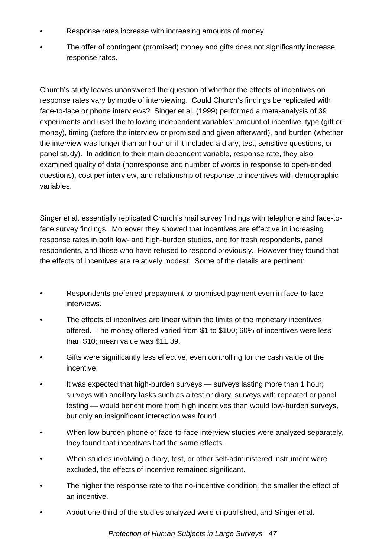- Response rates increase with increasing amounts of money
- The offer of contingent (promised) money and gifts does not significantly increase response rates.

Church's study leaves unanswered the question of whether the effects of incentives on response rates vary by mode of interviewing. Could Church's findings be replicated with face-to-face or phone interviews? Singer et al. (1999) performed a meta-analysis of 39 experiments and used the following independent variables: amount of incentive, type (gift or money), timing (before the interview or promised and given afterward), and burden (whether the interview was longer than an hour or if it included a diary, test, sensitive questions, or panel study). In addition to their main dependent variable, response rate, they also examined quality of data (nonresponse and number of words in response to open-ended questions), cost per interview, and relationship of response to incentives with demographic variables.

Singer et al. essentially replicated Church's mail survey findings with telephone and face-toface survey findings. Moreover they showed that incentives are effective in increasing response rates in both low- and high-burden studies, and for fresh respondents, panel respondents, and those who have refused to respond previously. However they found that the effects of incentives are relatively modest. Some of the details are pertinent:

- Respondents preferred prepayment to promised payment even in face-to-face interviews.
- The effects of incentives are linear within the limits of the monetary incentives offered. The money offered varied from \$1 to \$100; 60% of incentives were less than \$10; mean value was \$11.39.
- Gifts were significantly less effective, even controlling for the cash value of the incentive.
- It was expected that high-burden surveys surveys lasting more than 1 hour; surveys with ancillary tasks such as a test or diary, surveys with repeated or panel testing — would benefit more from high incentives than would low-burden surveys, but only an insignificant interaction was found.
- When low-burden phone or face-to-face interview studies were analyzed separately, they found that incentives had the same effects.
- When studies involving a diary, test, or other self-administered instrument were excluded, the effects of incentive remained significant.
- The higher the response rate to the no-incentive condition, the smaller the effect of an incentive.
- About one-third of the studies analyzed were unpublished, and Singer et al.

*Protection of Human Subjects in Large Surveys 47*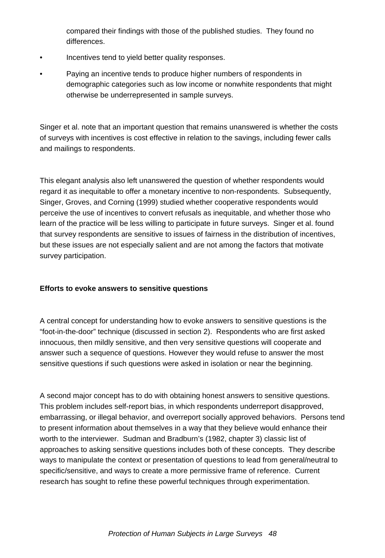compared their findings with those of the published studies. They found no differences.

- Incentives tend to yield better quality responses.
- Paying an incentive tends to produce higher numbers of respondents in demographic categories such as low income or nonwhite respondents that might otherwise be underrepresented in sample surveys.

Singer et al. note that an important question that remains unanswered is whether the costs of surveys with incentives is cost effective in relation to the savings, including fewer calls and mailings to respondents.

This elegant analysis also left unanswered the question of whether respondents would regard it as inequitable to offer a monetary incentive to non-respondents. Subsequently, Singer, Groves, and Corning (1999) studied whether cooperative respondents would perceive the use of incentives to convert refusals as inequitable, and whether those who learn of the practice will be less willing to participate in future surveys. Singer et al. found that survey respondents are sensitive to issues of fairness in the distribution of incentives, but these issues are not especially salient and are not among the factors that motivate survey participation.

## **Efforts to evoke answers to sensitive questions**

A central concept for understanding how to evoke answers to sensitive questions is the "foot-in-the-door" technique (discussed in section 2). Respondents who are first asked innocuous, then mildly sensitive, and then very sensitive questions will cooperate and answer such a sequence of questions. However they would refuse to answer the most sensitive questions if such questions were asked in isolation or near the beginning.

A second major concept has to do with obtaining honest answers to sensitive questions. This problem includes self-report bias, in which respondents underreport disapproved, embarrassing, or illegal behavior, and overreport socially approved behaviors. Persons tend to present information about themselves in a way that they believe would enhance their worth to the interviewer. Sudman and Bradburn's (1982, chapter 3) classic list of approaches to asking sensitive questions includes both of these concepts. They describe ways to manipulate the context or presentation of questions to lead from general/neutral to specific/sensitive, and ways to create a more permissive frame of reference. Current research has sought to refine these powerful techniques through experimentation.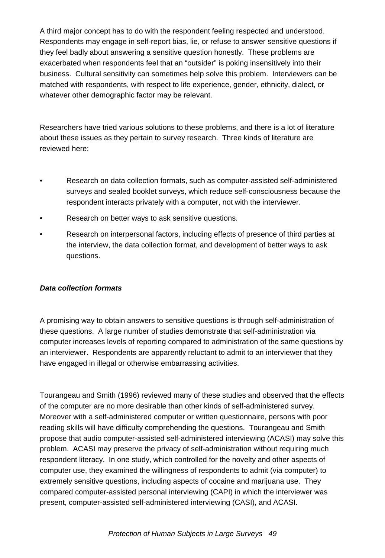A third major concept has to do with the respondent feeling respected and understood. Respondents may engage in self-report bias, lie, or refuse to answer sensitive questions if they feel badly about answering a sensitive question honestly. These problems are exacerbated when respondents feel that an "outsider" is poking insensitively into their business. Cultural sensitivity can sometimes help solve this problem. Interviewers can be matched with respondents, with respect to life experience, gender, ethnicity, dialect, or whatever other demographic factor may be relevant.

Researchers have tried various solutions to these problems, and there is a lot of literature about these issues as they pertain to survey research. Three kinds of literature are reviewed here:

- Research on data collection formats, such as computer-assisted self-administered surveys and sealed booklet surveys, which reduce self-consciousness because the respondent interacts privately with a computer, not with the interviewer.
- Research on better ways to ask sensitive questions.
- Research on interpersonal factors, including effects of presence of third parties at the interview, the data collection format, and development of better ways to ask questions.

#### *Data collection formats*

A promising way to obtain answers to sensitive questions is through self-administration of these questions. A large number of studies demonstrate that self-administration via computer increases levels of reporting compared to administration of the same questions by an interviewer. Respondents are apparently reluctant to admit to an interviewer that they have engaged in illegal or otherwise embarrassing activities.

Tourangeau and Smith (1996) reviewed many of these studies and observed that the effects of the computer are no more desirable than other kinds of self-administered survey. Moreover with a self-administered computer or written questionnaire, persons with poor reading skills will have difficulty comprehending the questions. Tourangeau and Smith propose that audio computer-assisted self-administered interviewing (ACASI) may solve this problem. ACASI may preserve the privacy of self-administration without requiring much respondent literacy. In one study, which controlled for the novelty and other aspects of computer use, they examined the willingness of respondents to admit (via computer) to extremely sensitive questions, including aspects of cocaine and marijuana use. They compared computer-assisted personal interviewing (CAPI) in which the interviewer was present, computer-assisted self-administered interviewing (CASI), and ACASI.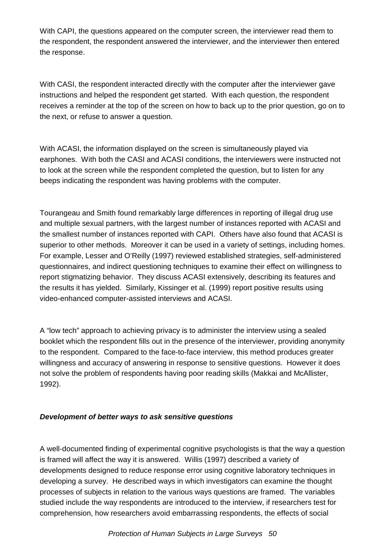With CAPI, the questions appeared on the computer screen, the interviewer read them to the respondent, the respondent answered the interviewer, and the interviewer then entered the response.

With CASI, the respondent interacted directly with the computer after the interviewer gave instructions and helped the respondent get started. With each question, the respondent receives a reminder at the top of the screen on how to back up to the prior question, go on to the next, or refuse to answer a question.

With ACASI, the information displayed on the screen is simultaneously played via earphones. With both the CASI and ACASI conditions, the interviewers were instructed not to look at the screen while the respondent completed the question, but to listen for any beeps indicating the respondent was having problems with the computer.

Tourangeau and Smith found remarkably large differences in reporting of illegal drug use and multiple sexual partners, with the largest number of instances reported with ACASI and the smallest number of instances reported with CAPI. Others have also found that ACASI is superior to other methods. Moreover it can be used in a variety of settings, including homes. For example, Lesser and O'Reilly (1997) reviewed established strategies, self-administered questionnaires, and indirect questioning techniques to examine their effect on willingness to report stigmatizing behavior. They discuss ACASI extensively, describing its features and the results it has yielded. Similarly, Kissinger et al. (1999) report positive results using video-enhanced computer-assisted interviews and ACASI.

A "low tech" approach to achieving privacy is to administer the interview using a sealed booklet which the respondent fills out in the presence of the interviewer, providing anonymity to the respondent. Compared to the face-to-face interview, this method produces greater willingness and accuracy of answering in response to sensitive questions. However it does not solve the problem of respondents having poor reading skills (Makkai and McAllister, 1992).

## *Development of better ways to ask sensitive questions*

A well-documented finding of experimental cognitive psychologists is that the way a question is framed will affect the way it is answered. Willis (1997) described a variety of developments designed to reduce response error using cognitive laboratory techniques in developing a survey. He described ways in which investigators can examine the thought processes of subjects in relation to the various ways questions are framed. The variables studied include the way respondents are introduced to the interview, if researchers test for comprehension, how researchers avoid embarrassing respondents, the effects of social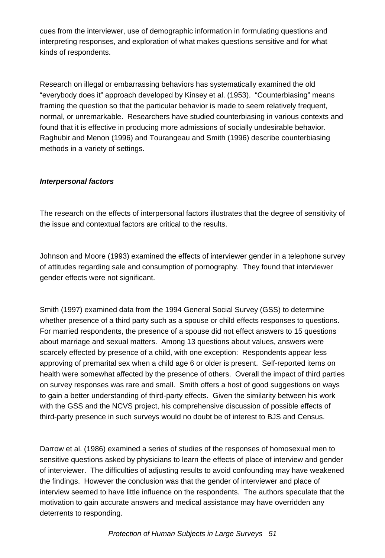cues from the interviewer, use of demographic information in formulating questions and interpreting responses, and exploration of what makes questions sensitive and for what kinds of respondents.

Research on illegal or embarrassing behaviors has systematically examined the old "everybody does it" approach developed by Kinsey et al. (1953). "Counterbiasing" means framing the question so that the particular behavior is made to seem relatively frequent, normal, or unremarkable. Researchers have studied counterbiasing in various contexts and found that it is effective in producing more admissions of socially undesirable behavior. Raghubir and Menon (1996) and Tourangeau and Smith (1996) describe counterbiasing methods in a variety of settings.

## *Interpersonal factors*

The research on the effects of interpersonal factors illustrates that the degree of sensitivity of the issue and contextual factors are critical to the results.

Johnson and Moore (1993) examined the effects of interviewer gender in a telephone survey of attitudes regarding sale and consumption of pornography. They found that interviewer gender effects were not significant.

Smith (1997) examined data from the 1994 General Social Survey (GSS) to determine whether presence of a third party such as a spouse or child effects responses to questions. For married respondents, the presence of a spouse did not effect answers to 15 questions about marriage and sexual matters. Among 13 questions about values, answers were scarcely effected by presence of a child, with one exception: Respondents appear less approving of premarital sex when a child age 6 or older is present. Self-reported items on health were somewhat affected by the presence of others. Overall the impact of third parties on survey responses was rare and small. Smith offers a host of good suggestions on ways to gain a better understanding of third-party effects. Given the similarity between his work with the GSS and the NCVS project, his comprehensive discussion of possible effects of third-party presence in such surveys would no doubt be of interest to BJS and Census.

Darrow et al. (1986) examined a series of studies of the responses of homosexual men to sensitive questions asked by physicians to learn the effects of place of interview and gender of interviewer. The difficulties of adjusting results to avoid confounding may have weakened the findings. However the conclusion was that the gender of interviewer and place of interview seemed to have little influence on the respondents. The authors speculate that the motivation to gain accurate answers and medical assistance may have overridden any deterrents to responding.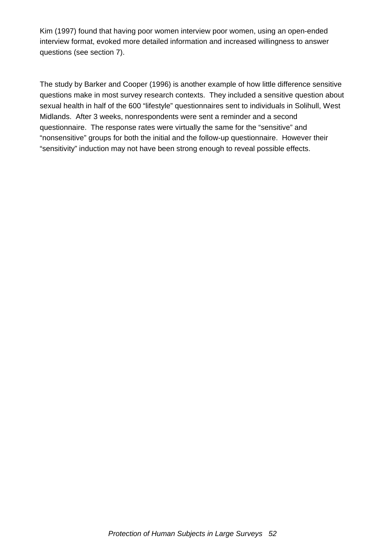Kim (1997) found that having poor women interview poor women, using an open-ended interview format, evoked more detailed information and increased willingness to answer questions (see section 7).

The study by Barker and Cooper (1996) is another example of how little difference sensitive questions make in most survey research contexts. They included a sensitive question about sexual health in half of the 600 "lifestyle" questionnaires sent to individuals in Solihull, West Midlands. After 3 weeks, nonrespondents were sent a reminder and a second questionnaire. The response rates were virtually the same for the "sensitive" and "nonsensitive" groups for both the initial and the follow-up questionnaire. However their "sensitivity" induction may not have been strong enough to reveal possible effects.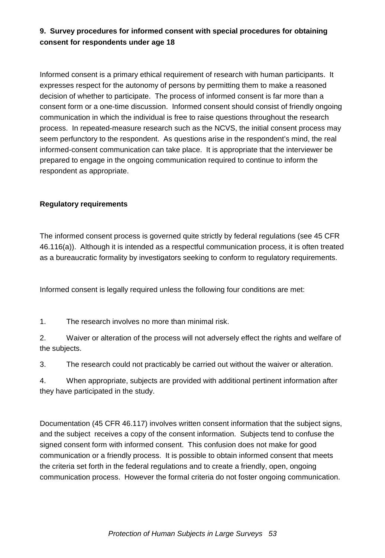# **9. Survey procedures for informed consent with special procedures for obtaining consent for respondents under age 18**

Informed consent is a primary ethical requirement of research with human participants. It expresses respect for the autonomy of persons by permitting them to make a reasoned decision of whether to participate. The process of informed consent is far more than a consent form or a one-time discussion. Informed consent should consist of friendly ongoing communication in which the individual is free to raise questions throughout the research process. In repeated-measure research such as the NCVS, the initial consent process may seem perfunctory to the respondent. As questions arise in the respondent's mind, the real informed-consent communication can take place. It is appropriate that the interviewer be prepared to engage in the ongoing communication required to continue to inform the respondent as appropriate.

## **Regulatory requirements**

The informed consent process is governed quite strictly by federal regulations (see 45 CFR 46.116(a)). Although it is intended as a respectful communication process, it is often treated as a bureaucratic formality by investigators seeking to conform to regulatory requirements.

Informed consent is legally required unless the following four conditions are met:

1. The research involves no more than minimal risk.

2. Waiver or alteration of the process will not adversely effect the rights and welfare of the subjects.

3. The research could not practicably be carried out without the waiver or alteration.

4. When appropriate, subjects are provided with additional pertinent information after they have participated in the study.

Documentation (45 CFR 46.117) involves written consent information that the subject signs, and the subject receives a copy of the consent information. Subjects tend to confuse the signed consent form with informed consent. This confusion does not make for good communication or a friendly process. It is possible to obtain informed consent that meets the criteria set forth in the federal regulations and to create a friendly, open, ongoing communication process. However the formal criteria do not foster ongoing communication.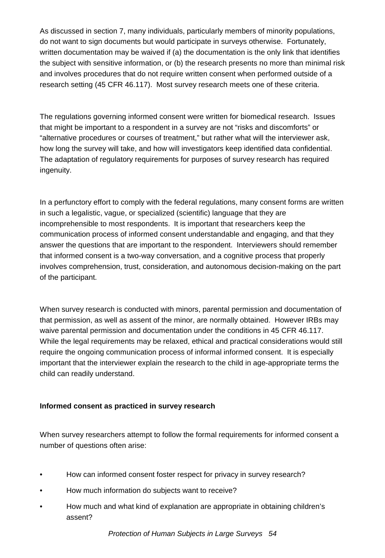As discussed in section 7, many individuals, particularly members of minority populations, do not want to sign documents but would participate in surveys otherwise. Fortunately, written documentation may be waived if (a) the documentation is the only link that identifies the subject with sensitive information, or (b) the research presents no more than minimal risk and involves procedures that do not require written consent when performed outside of a research setting (45 CFR 46.117). Most survey research meets one of these criteria.

The regulations governing informed consent were written for biomedical research. Issues that might be important to a respondent in a survey are not "risks and discomforts" or "alternative procedures or courses of treatment," but rather what will the interviewer ask, how long the survey will take, and how will investigators keep identified data confidential. The adaptation of regulatory requirements for purposes of survey research has required ingenuity.

In a perfunctory effort to comply with the federal regulations, many consent forms are written in such a legalistic, vague, or specialized (scientific) language that they are incomprehensible to most respondents. It is important that researchers keep the communication process of informed consent understandable and engaging, and that they answer the questions that are important to the respondent. Interviewers should remember that informed consent is a two-way conversation, and a cognitive process that properly involves comprehension, trust, consideration, and autonomous decision-making on the part of the participant.

When survey research is conducted with minors, parental permission and documentation of that permission, as well as assent of the minor, are normally obtained. However IRBs may waive parental permission and documentation under the conditions in 45 CFR 46.117. While the legal requirements may be relaxed, ethical and practical considerations would still require the ongoing communication process of informal informed consent. It is especially important that the interviewer explain the research to the child in age-appropriate terms the child can readily understand.

## **Informed consent as practiced in survey research**

When survey researchers attempt to follow the formal requirements for informed consent a number of questions often arise:

- How can informed consent foster respect for privacy in survey research?
- How much information do subjects want to receive?
- How much and what kind of explanation are appropriate in obtaining children's assent?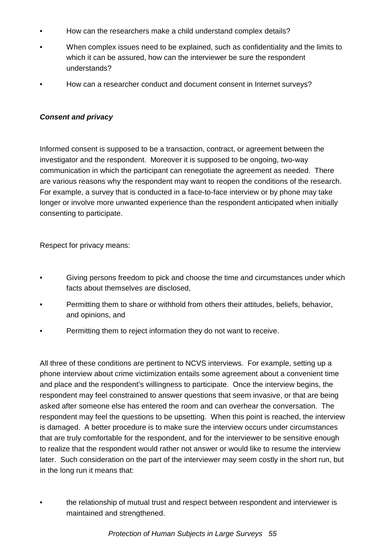- How can the researchers make a child understand complex details?
- When complex issues need to be explained, such as confidentiality and the limits to which it can be assured, how can the interviewer be sure the respondent understands?
- How can a researcher conduct and document consent in Internet surveys?

#### *Consent and privacy*

Informed consent is supposed to be a transaction, contract, or agreement between the investigator and the respondent. Moreover it is supposed to be ongoing, two-way communication in which the participant can renegotiate the agreement as needed. There are various reasons why the respondent may want to reopen the conditions of the research. For example, a survey that is conducted in a face-to-face interview or by phone may take longer or involve more unwanted experience than the respondent anticipated when initially consenting to participate.

Respect for privacy means:

- Giving persons freedom to pick and choose the time and circumstances under which facts about themselves are disclosed,
- Permitting them to share or withhold from others their attitudes, beliefs, behavior, and opinions, and
- Permitting them to reject information they do not want to receive.

All three of these conditions are pertinent to NCVS interviews. For example, setting up a phone interview about crime victimization entails some agreement about a convenient time and place and the respondent's willingness to participate. Once the interview begins, the respondent may feel constrained to answer questions that seem invasive, or that are being asked after someone else has entered the room and can overhear the conversation. The respondent may feel the questions to be upsetting. When this point is reached, the interview is damaged. A better procedure is to make sure the interview occurs under circumstances that are truly comfortable for the respondent, and for the interviewer to be sensitive enough to realize that the respondent would rather not answer or would like to resume the interview later. Such consideration on the part of the interviewer may seem costly in the short run, but in the long run it means that:

• the relationship of mutual trust and respect between respondent and interviewer is maintained and strengthened.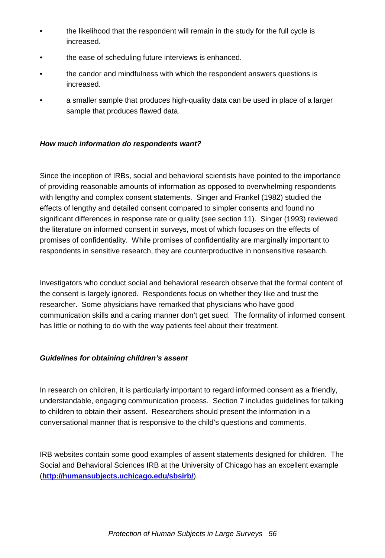- the likelihood that the respondent will remain in the study for the full cycle is increased.
- the ease of scheduling future interviews is enhanced.
- the candor and mindfulness with which the respondent answers questions is increased.
- a smaller sample that produces high-quality data can be used in place of a larger sample that produces flawed data.

#### *How much information do respondents want?*

Since the inception of IRBs, social and behavioral scientists have pointed to the importance of providing reasonable amounts of information as opposed to overwhelming respondents with lengthy and complex consent statements. Singer and Frankel (1982) studied the effects of lengthy and detailed consent compared to simpler consents and found no significant differences in response rate or quality (see section 11). Singer (1993) reviewed the literature on informed consent in surveys, most of which focuses on the effects of promises of confidentiality. While promises of confidentiality are marginally important to respondents in sensitive research, they are counterproductive in nonsensitive research.

Investigators who conduct social and behavioral research observe that the formal content of the consent is largely ignored. Respondents focus on whether they like and trust the researcher. Some physicians have remarked that physicians who have good communication skills and a caring manner don't get sued. The formality of informed consent has little or nothing to do with the way patients feel about their treatment.

## *Guidelines for obtaining children's assent*

In research on children, it is particularly important to regard informed consent as a friendly, understandable, engaging communication process. Section 7 includes guidelines for talking to children to obtain their assent. Researchers should present the information in a conversational manner that is responsive to the child's questions and comments.

IRB websites contain some good examples of assent statements designed for children. The Social and Behavioral Sciences IRB at the University of Chicago has an excellent example (**http://humansubjects.uchicago.edu/sbsirb/**).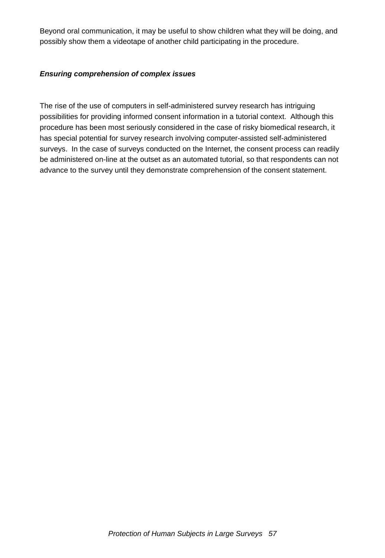Beyond oral communication, it may be useful to show children what they will be doing, and possibly show them a videotape of another child participating in the procedure.

#### *Ensuring comprehension of complex issues*

The rise of the use of computers in self-administered survey research has intriguing possibilities for providing informed consent information in a tutorial context. Although this procedure has been most seriously considered in the case of risky biomedical research, it has special potential for survey research involving computer-assisted self-administered surveys. In the case of surveys conducted on the Internet, the consent process can readily be administered on-line at the outset as an automated tutorial, so that respondents can not advance to the survey until they demonstrate comprehension of the consent statement.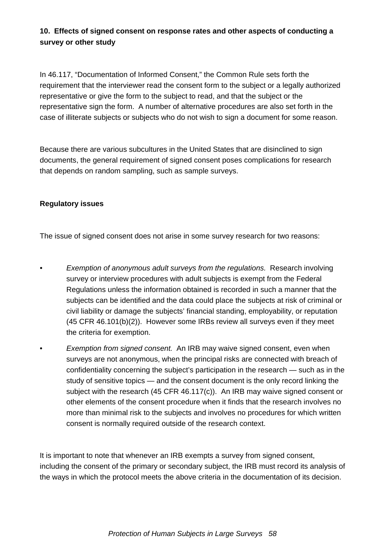# **10. Effects of signed consent on response rates and other aspects of conducting a survey or other study**

In 46.117, "Documentation of Informed Consent," the Common Rule sets forth the requirement that the interviewer read the consent form to the subject or a legally authorized representative or give the form to the subject to read, and that the subject or the representative sign the form. A number of alternative procedures are also set forth in the case of illiterate subjects or subjects who do not wish to sign a document for some reason.

Because there are various subcultures in the United States that are disinclined to sign documents, the general requirement of signed consent poses complications for research that depends on random sampling, such as sample surveys.

#### **Regulatory issues**

The issue of signed consent does not arise in some survey research for two reasons:

- *Exemption of anonymous adult surveys from the regulations. Research involving* survey or interview procedures with adult subjects is exempt from the Federal Regulations unless the information obtained is recorded in such a manner that the subjects can be identified and the data could place the subjects at risk of criminal or civil liability or damage the subjects' financial standing, employability, or reputation (45 CFR 46.101(b)(2)). However some IRBs review all surveys even if they meet the criteria for exemption.
- *Exemption from signed consent.* An IRB may waive signed consent, even when surveys are not anonymous, when the principal risks are connected with breach of confidentiality concerning the subject's participation in the research — such as in the study of sensitive topics — and the consent document is the only record linking the subject with the research (45 CFR 46.117 $(c)$ ). An IRB may waive signed consent or other elements of the consent procedure when it finds that the research involves no more than minimal risk to the subjects and involves no procedures for which written consent is normally required outside of the research context.

It is important to note that whenever an IRB exempts a survey from signed consent, including the consent of the primary or secondary subject, the IRB must record its analysis of the ways in which the protocol meets the above criteria in the documentation of its decision.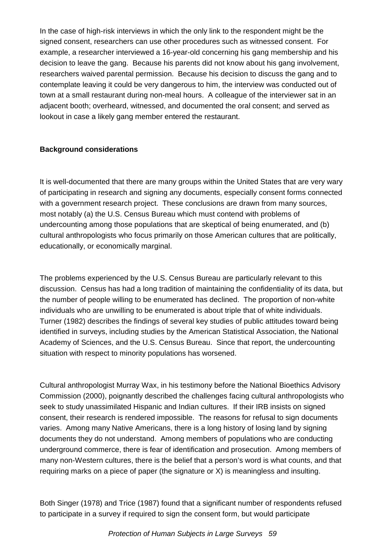In the case of high-risk interviews in which the only link to the respondent might be the signed consent, researchers can use other procedures such as witnessed consent. For example, a researcher interviewed a 16-year-old concerning his gang membership and his decision to leave the gang. Because his parents did not know about his gang involvement, researchers waived parental permission. Because his decision to discuss the gang and to contemplate leaving it could be very dangerous to him, the interview was conducted out of town at a small restaurant during non-meal hours. A colleague of the interviewer sat in an adjacent booth; overheard, witnessed, and documented the oral consent; and served as lookout in case a likely gang member entered the restaurant.

## **Background considerations**

It is well-documented that there are many groups within the United States that are very wary of participating in research and signing any documents, especially consent forms connected with a government research project. These conclusions are drawn from many sources, most notably (a) the U.S. Census Bureau which must contend with problems of undercounting among those populations that are skeptical of being enumerated, and (b) cultural anthropologists who focus primarily on those American cultures that are politically, educationally, or economically marginal.

The problems experienced by the U.S. Census Bureau are particularly relevant to this discussion. Census has had a long tradition of maintaining the confidentiality of its data, but the number of people willing to be enumerated has declined. The proportion of non-white individuals who are unwilling to be enumerated is about triple that of white individuals. Turner (1982) describes the findings of several key studies of public attitudes toward being identified in surveys, including studies by the American Statistical Association, the National Academy of Sciences, and the U.S. Census Bureau. Since that report, the undercounting situation with respect to minority populations has worsened.

Cultural anthropologist Murray Wax, in his testimony before the National Bioethics Advisory Commission (2000), poignantly described the challenges facing cultural anthropologists who seek to study unassimilated Hispanic and Indian cultures. If their IRB insists on signed consent, their research is rendered impossible. The reasons for refusal to sign documents varies. Among many Native Americans, there is a long history of losing land by signing documents they do not understand. Among members of populations who are conducting underground commerce, there is fear of identification and prosecution. Among members of many non-Western cultures, there is the belief that a person's word is what counts, and that requiring marks on a piece of paper (the signature or X) is meaningless and insulting.

Both Singer (1978) and Trice (1987) found that a significant number of respondents refused to participate in a survey if required to sign the consent form, but would participate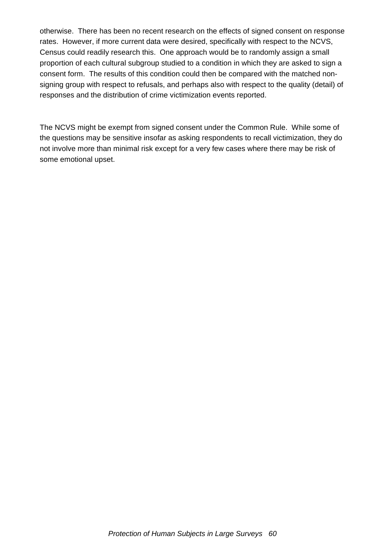otherwise. There has been no recent research on the effects of signed consent on response rates. However, if more current data were desired, specifically with respect to the NCVS, Census could readily research this. One approach would be to randomly assign a small proportion of each cultural subgroup studied to a condition in which they are asked to sign a consent form. The results of this condition could then be compared with the matched nonsigning group with respect to refusals, and perhaps also with respect to the quality (detail) of responses and the distribution of crime victimization events reported.

The NCVS might be exempt from signed consent under the Common Rule. While some of the questions may be sensitive insofar as asking respondents to recall victimization, they do not involve more than minimal risk except for a very few cases where there may be risk of some emotional upset.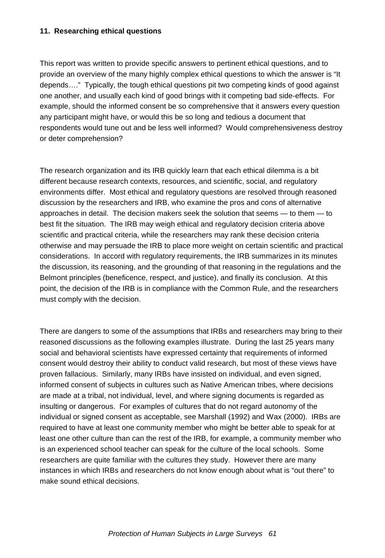#### **11. Researching ethical questions**

This report was written to provide specific answers to pertinent ethical questions, and to provide an overview of the many highly complex ethical questions to which the answer is "It depends…." Typically, the tough ethical questions pit two competing kinds of good against one another, and usually each kind of good brings with it competing bad side-effects. For example, should the informed consent be so comprehensive that it answers every question any participant might have, or would this be so long and tedious a document that respondents would tune out and be less well informed? Would comprehensiveness destroy or deter comprehension?

The research organization and its IRB quickly learn that each ethical dilemma is a bit different because research contexts, resources, and scientific, social, and regulatory environments differ. Most ethical and regulatory questions are resolved through reasoned discussion by the researchers and IRB, who examine the pros and cons of alternative approaches in detail. The decision makers seek the solution that seems — to them — to best fit the situation. The IRB may weigh ethical and regulatory decision criteria above scientific and practical criteria, while the researchers may rank these decision criteria otherwise and may persuade the IRB to place more weight on certain scientific and practical considerations. In accord with regulatory requirements, the IRB summarizes in its minutes the discussion, its reasoning, and the grounding of that reasoning in the regulations and the Belmont principles (beneficence, respect, and justice), and finally its conclusion. At this point, the decision of the IRB is in compliance with the Common Rule, and the researchers must comply with the decision.

There are dangers to some of the assumptions that IRBs and researchers may bring to their reasoned discussions as the following examples illustrate. During the last 25 years many social and behavioral scientists have expressed certainty that requirements of informed consent would destroy their ability to conduct valid research, but most of these views have proven fallacious. Similarly, many IRBs have insisted on individual, and even signed, informed consent of subjects in cultures such as Native American tribes, where decisions are made at a tribal, not individual, level, and where signing documents is regarded as insulting or dangerous. For examples of cultures that do not regard autonomy of the individual or signed consent as acceptable, see Marshall (1992) and Wax (2000). IRBs are required to have at least one community member who might be better able to speak for at least one other culture than can the rest of the IRB, for example, a community member who is an experienced school teacher can speak for the culture of the local schools. Some researchers are quite familiar with the cultures they study. However there are many instances in which IRBs and researchers do not know enough about what is "out there" to make sound ethical decisions.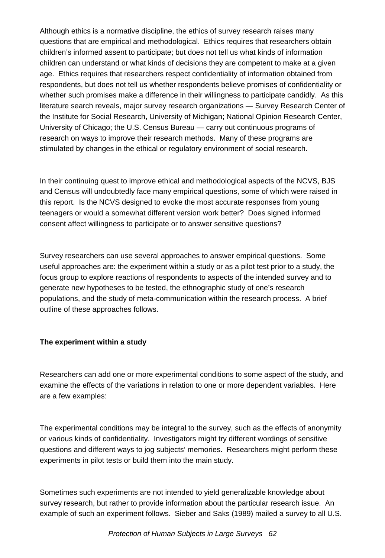Although ethics is a normative discipline, the ethics of survey research raises many questions that are empirical and methodological. Ethics requires that researchers obtain children's informed assent to participate; but does not tell us what kinds of information children can understand or what kinds of decisions they are competent to make at a given age. Ethics requires that researchers respect confidentiality of information obtained from respondents, but does not tell us whether respondents believe promises of confidentiality or whether such promises make a difference in their willingness to participate candidly. As this literature search reveals, major survey research organizations — Survey Research Center of the Institute for Social Research, University of Michigan; National Opinion Research Center, University of Chicago; the U.S. Census Bureau — carry out continuous programs of research on ways to improve their research methods. Many of these programs are stimulated by changes in the ethical or regulatory environment of social research.

In their continuing quest to improve ethical and methodological aspects of the NCVS, BJS and Census will undoubtedly face many empirical questions, some of which were raised in this report. Is the NCVS designed to evoke the most accurate responses from young teenagers or would a somewhat different version work better? Does signed informed consent affect willingness to participate or to answer sensitive questions?

Survey researchers can use several approaches to answer empirical questions. Some useful approaches are: the experiment within a study or as a pilot test prior to a study, the focus group to explore reactions of respondents to aspects of the intended survey and to generate new hypotheses to be tested, the ethnographic study of one's research populations, and the study of meta-communication within the research process. A brief outline of these approaches follows.

## **The experiment within a study**

Researchers can add one or more experimental conditions to some aspect of the study, and examine the effects of the variations in relation to one or more dependent variables. Here are a few examples:

The experimental conditions may be integral to the survey, such as the effects of anonymity or various kinds of confidentiality. Investigators might try different wordings of sensitive questions and different ways to jog subjects' memories. Researchers might perform these experiments in pilot tests or build them into the main study.

Sometimes such experiments are not intended to yield generalizable knowledge about survey research, but rather to provide information about the particular research issue. An example of such an experiment follows. Sieber and Saks (1989) mailed a survey to all U.S.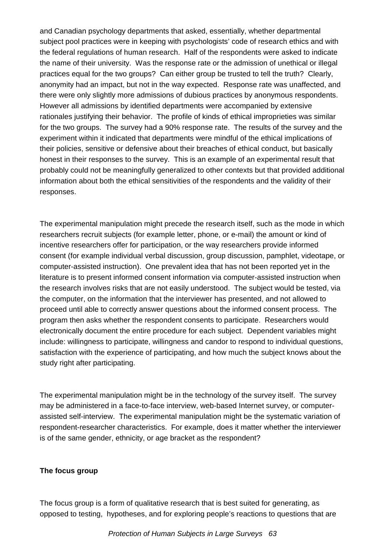and Canadian psychology departments that asked, essentially, whether departmental subject pool practices were in keeping with psychologists' code of research ethics and with the federal regulations of human research. Half of the respondents were asked to indicate the name of their university. Was the response rate or the admission of unethical or illegal practices equal for the two groups? Can either group be trusted to tell the truth? Clearly, anonymity had an impact, but not in the way expected. Response rate was unaffected, and there were only slightly more admissions of dubious practices by anonymous respondents. However all admissions by identified departments were accompanied by extensive rationales justifying their behavior. The profile of kinds of ethical improprieties was similar for the two groups. The survey had a 90% response rate. The results of the survey and the experiment within it indicated that departments were mindful of the ethical implications of their policies, sensitive or defensive about their breaches of ethical conduct, but basically honest in their responses to the survey. This is an example of an experimental result that probably could not be meaningfully generalized to other contexts but that provided additional information about both the ethical sensitivities of the respondents and the validity of their responses.

The experimental manipulation might precede the research itself, such as the mode in which researchers recruit subjects (for example letter, phone, or e-mail) the amount or kind of incentive researchers offer for participation, or the way researchers provide informed consent (for example individual verbal discussion, group discussion, pamphlet, videotape, or computer-assisted instruction). One prevalent idea that has not been reported yet in the literature is to present informed consent information via computer-assisted instruction when the research involves risks that are not easily understood. The subject would be tested, via the computer, on the information that the interviewer has presented, and not allowed to proceed until able to correctly answer questions about the informed consent process. The program then asks whether the respondent consents to participate. Researchers would electronically document the entire procedure for each subject. Dependent variables might include: willingness to participate, willingness and candor to respond to individual questions, satisfaction with the experience of participating, and how much the subject knows about the study right after participating.

The experimental manipulation might be in the technology of the survey itself. The survey may be administered in a face-to-face interview, web-based Internet survey, or computerassisted self-interview. The experimental manipulation might be the systematic variation of respondent-researcher characteristics. For example, does it matter whether the interviewer is of the same gender, ethnicity, or age bracket as the respondent?

## **The focus group**

The focus group is a form of qualitative research that is best suited for generating, as opposed to testing, hypotheses, and for exploring people's reactions to questions that are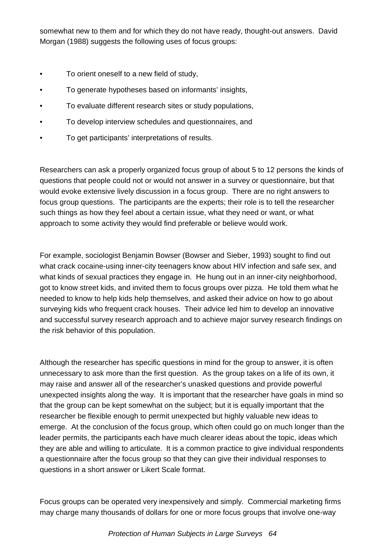somewhat new to them and for which they do not have ready, thought-out answers. David Morgan (1988) suggests the following uses of focus groups:

- To orient oneself to a new field of study,
- To generate hypotheses based on informants' insights,
- To evaluate different research sites or study populations,
- To develop interview schedules and questionnaires, and
- To get participants' interpretations of results.

Researchers can ask a properly organized focus group of about 5 to 12 persons the kinds of questions that people could not or would not answer in a survey or questionnaire, but that would evoke extensive lively discussion in a focus group. There are no right answers to focus group questions. The participants are the experts; their role is to tell the researcher such things as how they feel about a certain issue, what they need or want, or what approach to some activity they would find preferable or believe would work.

For example, sociologist Benjamin Bowser (Bowser and Sieber, 1993) sought to find out what crack cocaine-using inner-city teenagers know about HIV infection and safe sex, and what kinds of sexual practices they engage in. He hung out in an inner-city neighborhood, got to know street kids, and invited them to focus groups over pizza. He told them what he needed to know to help kids help themselves, and asked their advice on how to go about surveying kids who frequent crack houses. Their advice led him to develop an innovative and successful survey research approach and to achieve major survey research findings on the risk behavior of this population.

Although the researcher has specific questions in mind for the group to answer, it is often unnecessary to ask more than the first question. As the group takes on a life of its own, it may raise and answer all of the researcher's unasked questions and provide powerful unexpected insights along the way. It is important that the researcher have goals in mind so that the group can be kept somewhat on the subject; but it is equally important that the researcher be flexible enough to permit unexpected but highly valuable new ideas to emerge. At the conclusion of the focus group, which often could go on much longer than the leader permits, the participants each have much clearer ideas about the topic, ideas which they are able and willing to articulate. It is a common practice to give individual respondents a questionnaire after the focus group so that they can give their individual responses to questions in a short answer or Likert Scale format.

Focus groups can be operated very inexpensively and simply. Commercial marketing firms may charge many thousands of dollars for one or more focus groups that involve one-way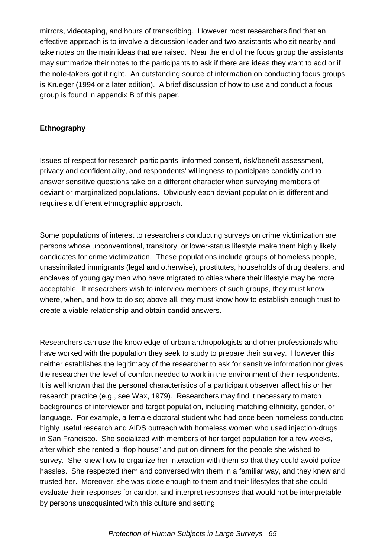mirrors, videotaping, and hours of transcribing. However most researchers find that an effective approach is to involve a discussion leader and two assistants who sit nearby and take notes on the main ideas that are raised. Near the end of the focus group the assistants may summarize their notes to the participants to ask if there are ideas they want to add or if the note-takers got it right. An outstanding source of information on conducting focus groups is Krueger (1994 or a later edition). A brief discussion of how to use and conduct a focus group is found in appendix B of this paper.

## **Ethnography**

Issues of respect for research participants, informed consent, risk/benefit assessment, privacy and confidentiality, and respondents' willingness to participate candidly and to answer sensitive questions take on a different character when surveying members of deviant or marginalized populations. Obviously each deviant population is different and requires a different ethnographic approach.

Some populations of interest to researchers conducting surveys on crime victimization are persons whose unconventional, transitory, or lower-status lifestyle make them highly likely candidates for crime victimization. These populations include groups of homeless people, unassimilated immigrants (legal and otherwise), prostitutes, households of drug dealers, and enclaves of young gay men who have migrated to cities where their lifestyle may be more acceptable. If researchers wish to interview members of such groups, they must know where, when, and how to do so; above all, they must know how to establish enough trust to create a viable relationship and obtain candid answers.

Researchers can use the knowledge of urban anthropologists and other professionals who have worked with the population they seek to study to prepare their survey. However this neither establishes the legitimacy of the researcher to ask for sensitive information nor gives the researcher the level of comfort needed to work in the environment of their respondents. It is well known that the personal characteristics of a participant observer affect his or her research practice (e.g., see Wax, 1979). Researchers may find it necessary to match backgrounds of interviewer and target population, including matching ethnicity, gender, or language. For example, a female doctoral student who had once been homeless conducted highly useful research and AIDS outreach with homeless women who used injection-drugs in San Francisco. She socialized with members of her target population for a few weeks, after which she rented a "flop house" and put on dinners for the people she wished to survey. She knew how to organize her interaction with them so that they could avoid police hassles. She respected them and conversed with them in a familiar way, and they knew and trusted her. Moreover, she was close enough to them and their lifestyles that she could evaluate their responses for candor, and interpret responses that would not be interpretable by persons unacquainted with this culture and setting.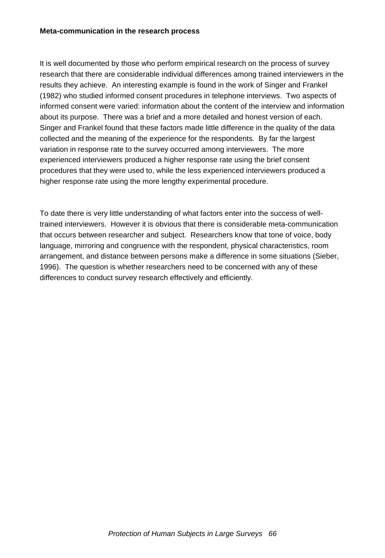It is well documented by those who perform empirical research on the process of survey research that there are considerable individual differences among trained interviewers in the results they achieve. An interesting example is found in the work of Singer and Frankel (1982) who studied informed consent procedures in telephone interviews. Two aspects of informed consent were varied: information about the content of the interview and information about its purpose. There was a brief and a more detailed and honest version of each. Singer and Frankel found that these factors made little difference in the quality of the data collected and the meaning of the experience for the respondents. By far the largest variation in response rate to the survey occurred among interviewers. The more experienced interviewers produced a higher response rate using the brief consent procedures that they were used to, while the less experienced interviewers produced a higher response rate using the more lengthy experimental procedure.

To date there is very little understanding of what factors enter into the success of welltrained interviewers. However it is obvious that there is considerable meta-communication that occurs between researcher and subject. Researchers know that tone of voice, body language, mirroring and congruence with the respondent, physical characteristics, room arrangement, and distance between persons make a difference in some situations (Sieber, 1996). The question is whether researchers need to be concerned with any of these differences to conduct survey research effectively and efficiently.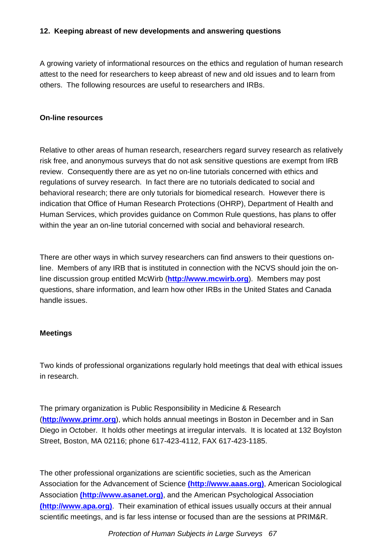## **12. Keeping abreast of new developments and answering questions**

A growing variety of informational resources on the ethics and regulation of human research attest to the need for researchers to keep abreast of new and old issues and to learn from others. The following resources are useful to researchers and IRBs.

#### **On-line resources**

Relative to other areas of human research, researchers regard survey research as relatively risk free, and anonymous surveys that do not ask sensitive questions are exempt from IRB review. Consequently there are as yet no on-line tutorials concerned with ethics and regulations of survey research. In fact there are no tutorials dedicated to social and behavioral research; there are only tutorials for biomedical research. However there is indication that Office of Human Research Protections (OHRP), Department of Health and Human Services, which provides guidance on Common Rule questions, has plans to offer within the year an on-line tutorial concerned with social and behavioral research.

There are other ways in which survey researchers can find answers to their questions online. Members of any IRB that is instituted in connection with the NCVS should join the online discussion group entitled McWirb (**http://www.mcwirb.org**). Members may post questions, share information, and learn how other IRBs in the United States and Canada handle issues.

## **Meetings**

Two kinds of professional organizations regularly hold meetings that deal with ethical issues in research.

The primary organization is Public Responsibility in Medicine & Research (**http://www.primr.org**), which holds annual meetings in Boston in December and in San Diego in October. It holds other meetings at irregular intervals. It is located at 132 Boylston Street, Boston, MA 02116; phone 617-423-4112, FAX 617-423-1185.

The other professional organizations are scientific societies, such as the American Association for the Advancement of Science **(http://www.aaas.org)**, American Sociological Association **(http://www.asanet.org)**, and the American Psychological Association **(http://www.apa.org)**. Their examination of ethical issues usually occurs at their annual scientific meetings, and is far less intense or focused than are the sessions at PRIM&R.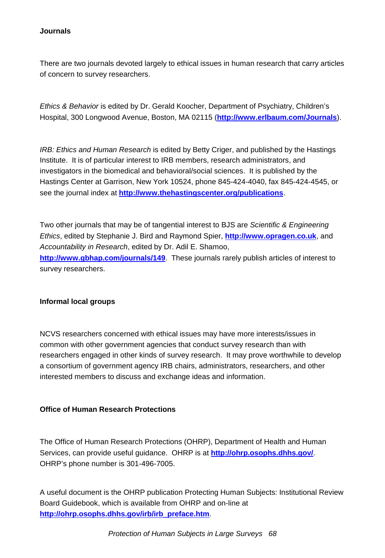## **Journals**

There are two journals devoted largely to ethical issues in human research that carry articles of concern to survey researchers.

*Ethics & Behavior* is edited by Dr. Gerald Koocher, Department of Psychiatry, Children's Hospital, 300 Longwood Avenue, Boston, MA 02115 (**http://www.erlbaum.com/Journals**).

*IRB: Ethics and Human Research* is edited by Betty Criger, and published by the Hastings Institute. It is of particular interest to IRB members, research administrators, and investigators in the biomedical and behavioral/social sciences. It is published by the Hastings Center at Garrison, New York 10524, phone 845-424-4040, fax 845-424-4545, or see the journal index at **http://www.thehastingscenter.org/publications**.

Two other journals that may be of tangential interest to BJS are *Scientific & Engineering Ethics*, edited by Stephanie J. Bird and Raymond Spier, **http://www.opragen.co.uk**, and *Accountability in Research*, edited by Dr. Adil E. Shamoo, **http://www.gbhap.com/journals/149**. These journals rarely publish articles of interest to survey researchers.

## **Informal local groups**

NCVS researchers concerned with ethical issues may have more interests/issues in common with other government agencies that conduct survey research than with researchers engaged in other kinds of survey research. It may prove worthwhile to develop a consortium of government agency IRB chairs, administrators, researchers, and other interested members to discuss and exchange ideas and information.

## **Office of Human Research Protections**

The Office of Human Research Protections (OHRP), Department of Health and Human Services, can provide useful guidance. OHRP is at **http://ohrp.osophs.dhhs.gov/**. OHRP's phone number is 301-496-7005.

A useful document is the OHRP publication Protecting Human Subjects: Institutional Review Board Guidebook, which is available from OHRP and on-line at **http://ohrp.osophs.dhhs.gov/irb/irb\_preface.htm**.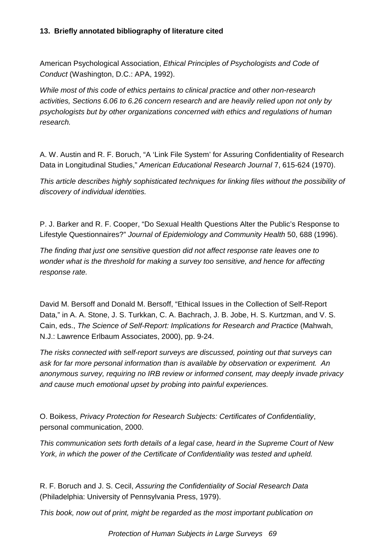# **13. Briefly annotated bibliography of literature cited**

American Psychological Association, *Ethical Principles of Psychologists and Code of Conduct* (Washington, D.C.: APA, 1992).

*While most of this code of ethics pertains to clinical practice and other non-research activities, Sections 6.06 to 6.26 concern research and are heavily relied upon not only by psychologists but by other organizations concerned with ethics and regulations of human research.*

A. W. Austin and R. F. Boruch, "A 'Link File System' for Assuring Confidentiality of Research Data in Longitudinal Studies," *American Educational Research Journal* 7, 615-624 (1970).

*This article describes highly sophisticated techniques for linking files without the possibility of discovery of individual identities.*

P. J. Barker and R. F. Cooper, "Do Sexual Health Questions Alter the Public's Response to Lifestyle Questionnaires?" *Journal of Epidemiology and Community Health* 50, 688 (1996).

*The finding that just one sensitive question did not affect response rate leaves one to wonder what is the threshold for making a survey too sensitive, and hence for affecting response rate.*

David M. Bersoff and Donald M. Bersoff, "Ethical Issues in the Collection of Self-Report Data," in A. A. Stone, J. S. Turkkan, C. A. Bachrach, J. B. Jobe, H. S. Kurtzman, and V. S. Cain, eds., *The Science of Self-Report: Implications for Research and Practice* (Mahwah, N.J.: Lawrence Erlbaum Associates, 2000), pp. 9-24.

*The risks connected with self-report surveys are discussed, pointing out that surveys can ask for far more personal information than is available by observation or experiment. An anonymous survey, requiring no IRB review or informed consent, may deeply invade privacy and cause much emotional upset by probing into painful experiences.*

O. Boikess, *Privacy Protection for Research Subjects: Certificates of Confidentiality*, personal communication, 2000.

*This communication sets forth details of a legal case, heard in the Supreme Court of New York, in which the power of the Certificate of Confidentiality was tested and upheld.*

R. F. Boruch and J. S. Cecil, *Assuring the Confidentiality of Social Research Data* (Philadelphia: University of Pennsylvania Press, 1979).

*This book, now out of print, might be regarded as the most important publication on*

*Protection of Human Subjects in Large Surveys 69*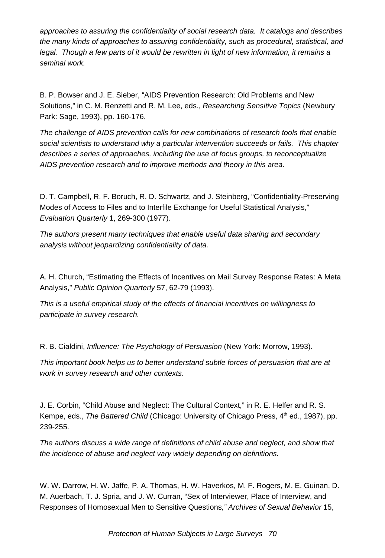*approaches to assuring the confidentiality of social research data. It catalogs and describes the many kinds of approaches to assuring confidentiality, such as procedural, statistical, and legal. Though a few parts of it would be rewritten in light of new information, it remains a seminal work.*

B. P. Bowser and J. E. Sieber, "AIDS Prevention Research: Old Problems and New Solutions," in C. M. Renzetti and R. M. Lee, eds., *Researching Sensitive Topics* (Newbury Park: Sage, 1993), pp. 160-176.

*The challenge of AIDS prevention calls for new combinations of research tools that enable social scientists to understand why a particular intervention succeeds or fails. This chapter describes a series of approaches, including the use of focus groups, to reconceptualize AIDS prevention research and to improve methods and theory in this area.*

D. T. Campbell, R. F. Boruch, R. D. Schwartz, and J. Steinberg, "Confidentiality-Preserving Modes of Access to Files and to Interfile Exchange for Useful Statistical Analysis," *Evaluation Quarterly* 1, 269-300 (1977).

*The authors present many techniques that enable useful data sharing and secondary analysis without jeopardizing confidentiality of data.*

A. H. Church, "Estimating the Effects of Incentives on Mail Survey Response Rates: A Meta Analysis," *Public Opinion Quarterly* 57, 62-79 (1993).

*This is a useful empirical study of the effects of financial incentives on willingness to participate in survey research.*

R. B. Cialdini, *Influence: The Psychology of Persuasion* (New York: Morrow, 1993).

*This important book helps us to better understand subtle forces of persuasion that are at work in survey research and other contexts.*

J. E. Corbin, "Child Abuse and Neglect: The Cultural Context," in R. E. Helfer and R. S. Kempe, eds., *The Battered Child* (Chicago: University of Chicago Press, 4<sup>th</sup> ed., 1987), pp. 239-255.

*The authors discuss a wide range of definitions of child abuse and neglect, and show that the incidence of abuse and neglect vary widely depending on definitions.*

W. W. Darrow, H. W. Jaffe, P. A. Thomas, H. W. Haverkos, M. F. Rogers, M. E. Guinan, D. M. Auerbach, T. J. Spria, and J. W. Curran, "Sex of Interviewer, Place of Interview, and Responses of Homosexual Men to Sensitive Questions*," Archives of Sexual Behavior* 15,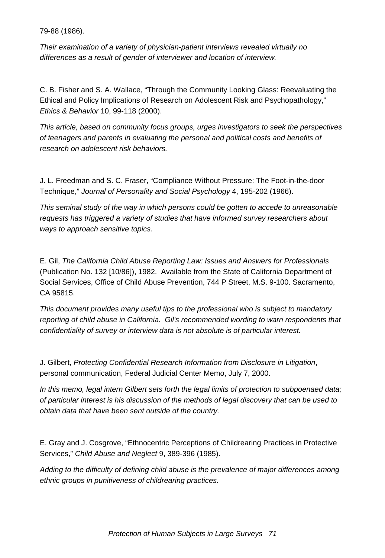79-88 (1986).

*Their examination of a variety of physician-patient interviews revealed virtually no differences as a result of gender of interviewer and location of interview.*

C. B. Fisher and S. A. Wallace, "Through the Community Looking Glass: Reevaluating the Ethical and Policy Implications of Research on Adolescent Risk and Psychopathology," *Ethics & Behavior* 10, 99-118 (2000).

*This article, based on community focus groups, urges investigators to seek the perspectives of teenagers and parents in evaluating the personal and political costs and benefits of research on adolescent risk behaviors.*

J. L. Freedman and S. C. Fraser, "Compliance Without Pressure: The Foot-in-the-door Technique," *Journal of Personality and Social Psychology* 4, 195-202 (1966).

*This seminal study of the way in which persons could be gotten to accede to unreasonable requests has triggered a variety of studies that have informed survey researchers about ways to approach sensitive topics.*

E. Gil, *The California Child Abuse Reporting Law: Issues and Answers for Professionals* (Publication No. 132 [10/86]), 1982. Available from the State of California Department of Social Services, Office of Child Abuse Prevention, 744 P Street, M.S. 9-100. Sacramento, CA 95815.

*This document provides many useful tips to the professional who is subject to mandatory reporting of child abuse in California. Gil's recommended wording to warn respondents that confidentiality of survey or interview data is not absolute is of particular interest.*

J. Gilbert, *Protecting Confidential Research Information from Disclosure in Litigation*, personal communication, Federal Judicial Center Memo, July 7, 2000.

*In this memo, legal intern Gilbert sets forth the legal limits of protection to subpoenaed data; of particular interest is his discussion of the methods of legal discovery that can be used to obtain data that have been sent outside of the country.*

E. Gray and J. Cosgrove, "Ethnocentric Perceptions of Childrearing Practices in Protective Services," *Child Abuse and Neglect* 9, 389-396 (1985).

*Adding to the difficulty of defining child abuse is the prevalence of major differences among ethnic groups in punitiveness of childrearing practices.*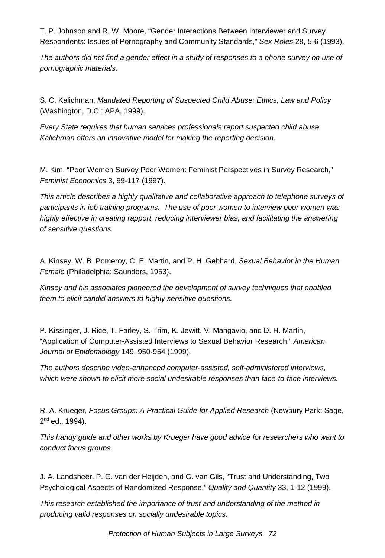T. P. Johnson and R. W. Moore, "Gender Interactions Between Interviewer and Survey Respondents: Issues of Pornography and Community Standards," *Sex Roles* 28, 5-6 (1993).

*The authors did not find a gender effect in a study of responses to a phone survey on use of pornographic materials.*

S. C. Kalichman, *Mandated Reporting of Suspected Child Abuse: Ethics, Law and Policy* (Washington, D.C.: APA, 1999).

*Every State requires that human services professionals report suspected child abuse. Kalichman offers an innovative model for making the reporting decision.*

M. Kim, "Poor Women Survey Poor Women: Feminist Perspectives in Survey Research," *Feminist Economics* 3, 99-117 (1997).

*This article describes a highly qualitative and collaborative approach to telephone surveys of participants in job training programs. The use of poor women to interview poor women was highly effective in creating rapport, reducing interviewer bias, and facilitating the answering of sensitive questions.*

A. Kinsey, W. B. Pomeroy, C. E. Martin, and P. H. Gebhard, *Sexual Behavior in the Human Female* (Philadelphia: Saunders, 1953).

*Kinsey and his associates pioneered the development of survey techniques that enabled them to elicit candid answers to highly sensitive questions.*

P. Kissinger, J. Rice, T. Farley, S. Trim, K. Jewitt, V. Mangavio, and D. H. Martin, "Application of Computer-Assisted Interviews to Sexual Behavior Research," *American Journal of Epidemiology* 149, 950-954 (1999).

*The authors describe video-enhanced computer-assisted, self-administered interviews, which were shown to elicit more social undesirable responses than face-to-face interviews.*

R. A. Krueger, *Focus Groups: A Practical Guide for Applied Research* (Newbury Park: Sage, 2<sup>nd</sup> ed., 1994).

*This handy guide and other works by Krueger have good advice for researchers who want to conduct focus groups.*

J. A. Landsheer, P. G. van der Heijden, and G. van Gils, "Trust and Understanding, Two Psychological Aspects of Randomized Response," *Quality and Quantity* 33, 1-12 (1999).

*This research established the importance of trust and understanding of the method in producing valid responses on socially undesirable topics.*

*Protection of Human Subjects in Large Surveys 72*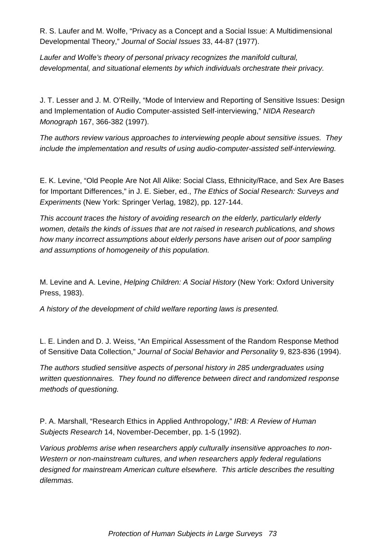R. S. Laufer and M. Wolfe, "Privacy as a Concept and a Social Issue: A Multidimensional Developmental Theory," *Journal of Social Issues* 33, 44-87 (1977).

*Laufer and Wolfe's theory of personal privacy recognizes the manifold cultural, developmental, and situational elements by which individuals orchestrate their privacy.*

J. T. Lesser and J. M. O'Reilly, "Mode of Interview and Reporting of Sensitive Issues: Design and Implementation of Audio Computer-assisted Self-interviewing," *NIDA Research Monograph* 167, 366-382 (1997).

*The authors review various approaches to interviewing people about sensitive issues. They include the implementation and results of using audio-computer-assisted self-interviewing.*

E. K. Levine, "Old People Are Not All Alike: Social Class, Ethnicity/Race, and Sex Are Bases for Important Differences," in J. E. Sieber, ed., *The Ethics of Social Research: Surveys and Experiments* (New York: Springer Verlag, 1982), pp. 127-144.

*This account traces the history of avoiding research on the elderly, particularly elderly women, details the kinds of issues that are not raised in research publications, and shows how many incorrect assumptions about elderly persons have arisen out of poor sampling and assumptions of homogeneity of this population.*

M. Levine and A. Levine, *Helping Children: A Social History* (New York: Oxford University Press, 1983).

*A history of the development of child welfare reporting laws is presented.*

L. E. Linden and D. J. Weiss, "An Empirical Assessment of the Random Response Method of Sensitive Data Collection," *Journal of Social Behavior and Personality* 9, 823-836 (1994).

*The authors studied sensitive aspects of personal history in 285 undergraduates using written questionnaires. They found no difference between direct and randomized response methods of questioning.*

P. A. Marshall, "Research Ethics in Applied Anthropology," *IRB: A Review of Human Subjects Research* 14, November-December, pp. 1-5 (1992).

*Various problems arise when researchers apply culturally insensitive approaches to non-Western or non-mainstream cultures, and when researchers apply federal regulations designed for mainstream American culture elsewhere. This article describes the resulting dilemmas.*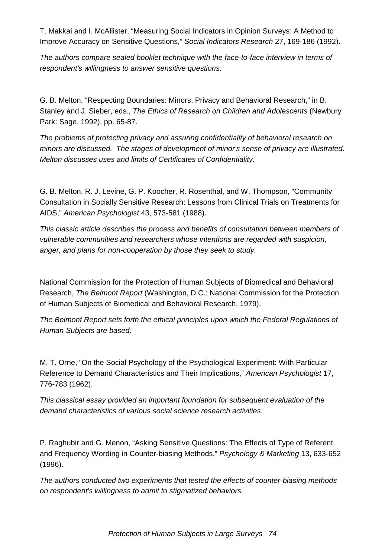T. Makkai and I. McAllister, "Measuring Social Indicators in Opinion Surveys: A Method to Improve Accuracy on Sensitive Questions," *Social Indicators Research* 27, 169-186 (1992).

*The authors compare sealed booklet technique with the face-to-face interview in terms of respondent's willingness to answer sensitive questions.*

G. B. Melton, "Respecting Boundaries: Minors, Privacy and Behavioral Research," in B. Stanley and J. Sieber, eds., *The Ethics of Research on Children and Adolescents* (Newbury Park: Sage, 1992), pp. 65-87.

*The problems of protecting privacy and assuring confidentiality of behavioral research on minors are discussed. The stages of development of minor's sense of privacy are illustrated. Melton discusses uses and limits of Certificates of Confidentiality.*

G. B. Melton, R. J. Levine, G. P. Koocher, R. Rosenthal, and W. Thompson, "Community Consultation in Socially Sensitive Research: Lessons from Clinical Trials on Treatments for AIDS," *American Psychologist* 43, 573-581 (1988).

*This classic article describes the process and benefits of consultation between members of vulnerable communities and researchers whose intentions are regarded with suspicion, anger, and plans for non-cooperation by those they seek to study.*

National Commission for the Protection of Human Subjects of Biomedical and Behavioral Research, *The Belmont Report* (Washington, D.C.: National Commission for the Protection of Human Subjects of Biomedical and Behavioral Research, 1979).

*The Belmont Report sets forth the ethical principles upon which the Federal Regulations of Human Subjects are based.*

M. T. Orne, "On the Social Psychology of the Psychological Experiment: With Particular Reference to Demand Characteristics and Their Implications," *American Psychologist* 17, 776-783 (1962).

*This classical essay provided an important foundation for subsequent evaluation of the demand characteristics of various social science research activities*.

P. Raghubir and G. Menon, "Asking Sensitive Questions: The Effects of Type of Referent and Frequency Wording in Counter-biasing Methods," *Psychology & Marketing* 13, 633-652 (1996).

*The authors conducted two experiments that tested the effects of counter-biasing methods on respondent's willingness to admit to stigmatized behaviors.*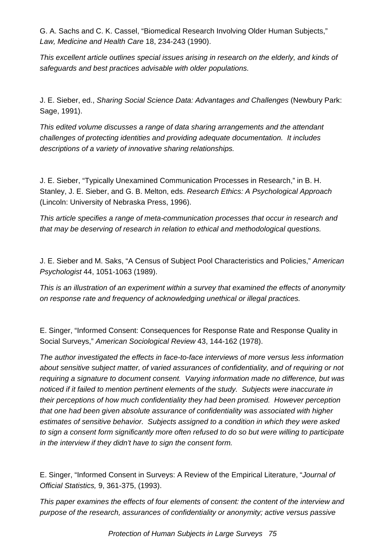G. A. Sachs and C. K. Cassel, "Biomedical Research Involving Older Human Subjects," *Law, Medicine and Health Care* 18, 234-243 (1990).

*This excellent article outlines special issues arising in research on the elderly, and kinds of safeguards and best practices advisable with older populations.*

J. E. Sieber, ed., *Sharing Social Science Data: Advantages and Challenges* (Newbury Park: Sage, 1991).

*This edited volume discusses a range of data sharing arrangements and the attendant challenges of protecting identities and providing adequate documentation. It includes descriptions of a variety of innovative sharing relationships.*

J. E. Sieber, "Typically Unexamined Communication Processes in Research," in B. H. Stanley, J. E. Sieber, and G. B. Melton, eds. *Research Ethics: A Psychological Approach* (Lincoln: University of Nebraska Press, 1996).

*This article specifies a range of meta-communication processes that occur in research and that may be deserving of research in relation to ethical and methodological questions.*

J. E. Sieber and M. Saks, "A Census of Subject Pool Characteristics and Policies," *American Psychologist* 44, 1051-1063 (1989).

*This is an illustration of an experiment within a survey that examined the effects of anonymity on response rate and frequency of acknowledging unethical or illegal practices.*

E. Singer, "Informed Consent: Consequences for Response Rate and Response Quality in Social Surveys," *American Sociological Review* 43, 144-162 (1978).

*The author investigated the effects in face-to-face interviews of more versus less information about sensitive subject matter, of varied assurances of confidentiality, and of requiring or not requiring a signature to document consent. Varying information made no difference, but was noticed if it failed to mention pertinent elements of the study. Subjects were inaccurate in their perceptions of how much confidentiality they had been promised. However perception that one had been given absolute assurance of confidentiality was associated with higher estimates of sensitive behavior. Subjects assigned to a condition in which they were asked to sign a consent form significantly more often refused to do so but were willing to participate in the interview if they didn't have to sign the consent form.*

E. Singer, "Informed Consent in Surveys: A Review of the Empirical Literature, "*Journal of Official Statistics,* 9, 361-375, (1993).

*This paper examines the effects of four elements of consent: the content of the interview and purpose of the research, assurances of confidentiality or anonymity; active versus passive*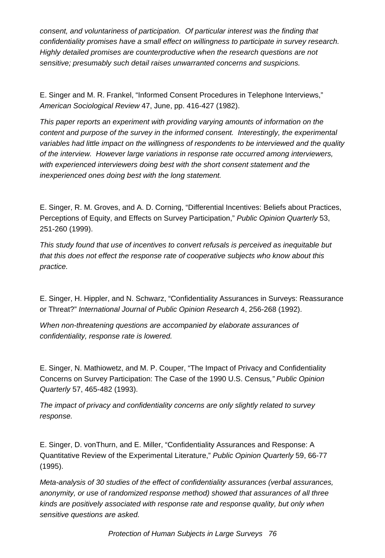*consent, and voluntariness of participation. Of particular interest was the finding that confidentiality promises have a small effect on willingness to participate in survey research. Highly detailed promises are counterproductive when the research questions are not sensitive; presumably such detail raises unwarranted concerns and suspicions.*

E. Singer and M. R. Frankel, "Informed Consent Procedures in Telephone Interviews," *American Sociological Review* 47, June, pp. 416-427 (1982).

*This paper reports an experiment with providing varying amounts of information on the content and purpose of the survey in the informed consent. Interestingly, the experimental variables had little impact on the willingness of respondents to be interviewed and the quality of the interview. However large variations in response rate occurred among interviewers, with experienced interviewers doing best with the short consent statement and the inexperienced ones doing best with the long statement.*

E. Singer, R. M. Groves, and A. D. Corning, "Differential Incentives: Beliefs about Practices, Perceptions of Equity, and Effects on Survey Participation," *Public Opinion Quarterly* 53, 251-260 (1999).

*This study found that use of incentives to convert refusals is perceived as inequitable but that this does not effect the response rate of cooperative subjects who know about this practice.*

E. Singer, H. Hippler, and N. Schwarz, "Confidentiality Assurances in Surveys: Reassurance or Threat?" *International Journal of Public Opinion Research* 4, 256-268 (1992).

*When non-threatening questions are accompanied by elaborate assurances of confidentiality, response rate is lowered.*

E. Singer, N. Mathiowetz, and M. P. Couper, "The Impact of Privacy and Confidentiality Concerns on Survey Participation: The Case of the 1990 U.S. Census*," Public Opinion Quarterly* 57, 465-482 (1993).

*The impact of privacy and confidentiality concerns are only slightly related to survey response.*

E. Singer, D. vonThurn, and E. Miller, "Confidentiality Assurances and Response: A Quantitative Review of the Experimental Literature," *Public Opinion Quarterly* 59, 66-77 (1995).

*Meta-analysis of 30 studies of the effect of confidentiality assurances (verbal assurances, anonymity, or use of randomized response method) showed that assurances of all three kinds are positively associated with response rate and response quality, but only when sensitive questions are asked.*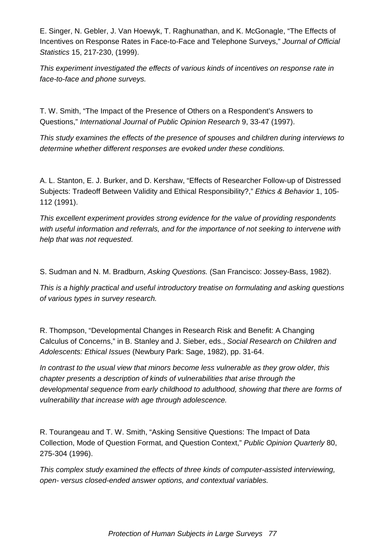E. Singer, N. Gebler, J. Van Hoewyk, T. Raghunathan, and K. McGonagle, "The Effects of Incentives on Response Rates in Face-to-Face and Telephone Surveys," *Journal of Official Statistics* 15, 217-230, (1999).

*This experiment investigated the effects of various kinds of incentives on response rate in face-to-face and phone surveys.*

T. W. Smith, "The Impact of the Presence of Others on a Respondent's Answers to Questions," *International Journal of Public Opinion Research* 9, 33-47 (1997).

*This study examines the effects of the presence of spouses and children during interviews to determine whether different responses are evoked under these conditions.*

A. L. Stanton, E. J. Burker, and D. Kershaw, "Effects of Researcher Follow-up of Distressed Subjects: Tradeoff Between Validity and Ethical Responsibility?," *Ethics & Behavior* 1, 105- 112 (1991).

*This excellent experiment provides strong evidence for the value of providing respondents with useful information and referrals, and for the importance of not seeking to intervene with help that was not requested.*

S. Sudman and N. M. Bradburn, *Asking Questions.* (San Francisco: Jossey-Bass, 1982).

*This is a highly practical and useful introductory treatise on formulating and asking questions of various types in survey research.*

R. Thompson, "Developmental Changes in Research Risk and Benefit: A Changing Calculus of Concerns," in B. Stanley and J. Sieber, eds., *Social Research on Children and Adolescents: Ethical Issues* (Newbury Park: Sage, 1982), pp. 31-64.

*In contrast to the usual view that minors become less vulnerable as they grow older, this chapter presents a description of kinds of vulnerabilities that arise through the developmental sequence from early childhood to adulthood, showing that there are forms of vulnerability that increase with age through adolescence.*

R. Tourangeau and T. W. Smith, "Asking Sensitive Questions: The Impact of Data Collection, Mode of Question Format, and Question Context," *Public Opinion Quarterly* 80, 275-304 (1996).

*This complex study examined the effects of three kinds of computer-assisted interviewing, open- versus closed-ended answer options, and contextual variables.*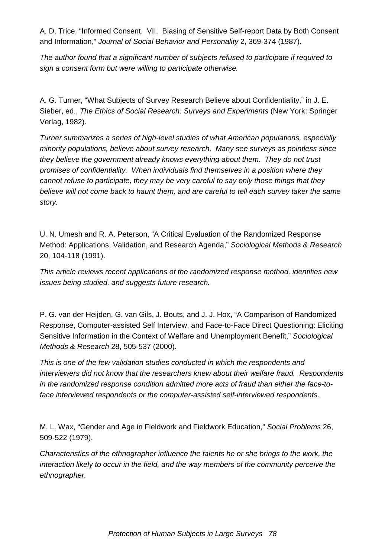A. D. Trice, "Informed Consent. VII. Biasing of Sensitive Self-report Data by Both Consent and Information," *Journal of Social Behavior and Personality* 2, 369-374 (1987).

*The author found that a significant number of subjects refused to participate if required to sign a consent form but were willing to participate otherwise.*

A. G. Turner, "What Subjects of Survey Research Believe about Confidentiality," in J. E. Sieber, ed., *The Ethics of Social Research: Surveys and Experiments* (New York: Springer Verlag, 1982).

*Turner summarizes a series of high-level studies of what American populations, especially minority populations, believe about survey research. Many see surveys as pointless since they believe the government already knows everything about them. They do not trust promises of confidentiality. When individuals find themselves in a position where they cannot refuse to participate, they may be very careful to say only those things that they believe will not come back to haunt them, and are careful to tell each survey taker the same story.*

U. N. Umesh and R. A. Peterson, "A Critical Evaluation of the Randomized Response Method: Applications, Validation, and Research Agenda," *Sociological Methods & Research* 20, 104-118 (1991).

*This article reviews recent applications of the randomized response method, identifies new issues being studied, and suggests future research.*

P. G. van der Heijden, G. van Gils, J. Bouts, and J. J. Hox, "A Comparison of Randomized Response, Computer-assisted Self Interview, and Face-to-Face Direct Questioning: Eliciting Sensitive Information in the Context of Welfare and Unemployment Benefit," *Sociological Methods & Research* 28, 505-537 (2000).

*This is one of the few validation studies conducted in which the respondents and interviewers did not know that the researchers knew about their welfare fraud. Respondents in the randomized response condition admitted more acts of fraud than either the face-toface interviewed respondents or the computer-assisted self-interviewed respondents.*

M. L. Wax, "Gender and Age in Fieldwork and Fieldwork Education," *Social Problems* 26, 509-522 (1979).

*Characteristics of the ethnographer influence the talents he or she brings to the work, the interaction likely to occur in the field, and the way members of the community perceive the ethnographer.*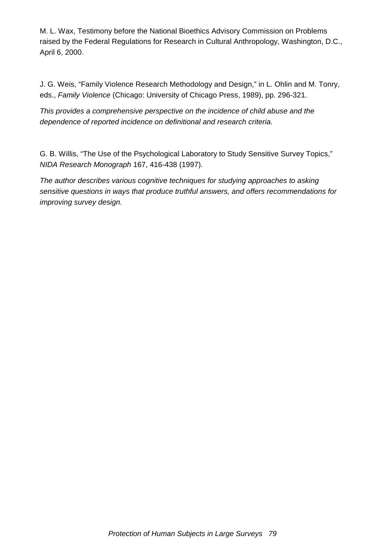M. L. Wax, Testimony before the National Bioethics Advisory Commission on Problems raised by the Federal Regulations for Research in Cultural Anthropology, Washington, D.C., April 6, 2000.

J. G. Weis, "Family Violence Research Methodology and Design," in L. Ohlin and M. Tonry, eds., *Family Violence* (Chicago: University of Chicago Press, 1989), pp. 296-321.

*This provides a comprehensive perspective on the incidence of child abuse and the dependence of reported incidence on definitional and research criteria.*

G. B. Willis, "The Use of the Psychological Laboratory to Study Sensitive Survey Topics," *NIDA Research Monograph* 167, 416-438 (1997).

*The author describes various cognitive techniques for studying approaches to asking sensitive questions in ways that produce truthful answers, and offers recommendations for improving survey design.*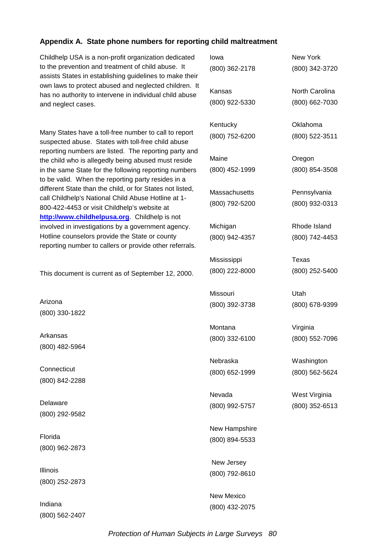#### **Appendix A. State phone numbers for reporting child maltreatment**

Childhelp USA is a non-profit organization dedicate to the prevention and treatment of child abuse. It assists States in establishing guidelines to make the own laws to protect abused and neglected children. has no authority to intervene in individual child abus and neglect cases.

Many States have a toll-free number to call to repor suspected abuse. States with toll-free child abuse reporting numbers are listed. The reporting party and the child who is allegedly being abused must reside in the same State for the following reporting numbe to be valid. When the reporting party resides in a different State than the child, or for States not listed, call Childhelp's National Child Abuse Hotline at 1- 800-422-4453 or visit Childhelp's website at **http://www.childhelpusa.org**. Childhelp is not involved in investigations by a government agency. Hotline counselors provide the State or county reporting number to callers or provide other referrals.

This document is current as of September 12, 2000.

Arizona (800) 330-1822

Arkansas (800) 482-5964

**Connecticut** (800) 842-2288

Delaware (800) 292-9582

Florida (800) 962-2873

Illinois (800) 252-2873

Indiana (800) 562-2407

| d          | lowa           | New York       |
|------------|----------------|----------------|
| eir        | (800) 362-2178 | (800) 342-3720 |
| . It<br>sе | Kansas         | North Carolina |
|            | (800) 922-5330 | (800) 662-7030 |
| t          | Kentucky       | Oklahoma       |
|            | (800) 752-6200 | (800) 522-3511 |
| nd         | Maine          | Oregon         |
| €<br>rs    | (800) 452-1999 | (800) 854-3508 |
|            |                |                |
| I,         | Massachusetts  | Pennsylvania   |
|            | (800) 792-5200 | (800) 932-0313 |
|            |                |                |
|            | Michigan       | Rhode Island   |
| s.         | (800) 942-4357 | (800) 742-4453 |
|            | Mississippi    | Texas          |
| ).         | (800) 222-8000 | (800) 252-5400 |
|            |                |                |
|            | Missouri       | Utah           |
|            | (800) 392-3738 | (800) 678-9399 |
|            | Montana        | Virginia       |
|            | (800) 332-6100 | (800) 552-7096 |
|            |                |                |
|            | Nebraska       | Washington     |
|            | (800) 652-1999 | (800) 562-5624 |
|            |                |                |
|            | Nevada         | West Virginia  |
|            | (800) 992-5757 | (800) 352-6513 |
|            | New Hampshire  |                |
|            | (800) 894-5533 |                |
|            | New Jersey     |                |
|            | (800) 792-8610 |                |
|            |                |                |

New Mexico (800) 432-2075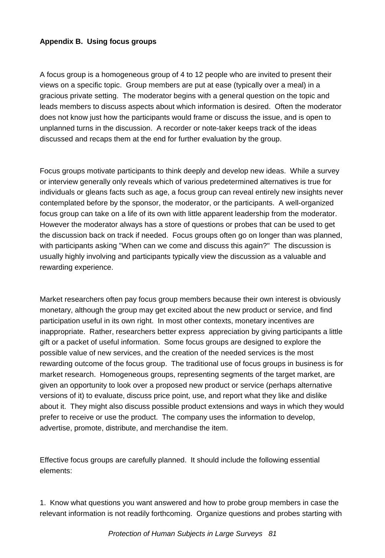## **Appendix B. Using focus groups**

A focus group is a homogeneous group of 4 to 12 people who are invited to present their views on a specific topic. Group members are put at ease (typically over a meal) in a gracious private setting. The moderator begins with a general question on the topic and leads members to discuss aspects about which information is desired. Often the moderator does not know just how the participants would frame or discuss the issue, and is open to unplanned turns in the discussion. A recorder or note-taker keeps track of the ideas discussed and recaps them at the end for further evaluation by the group.

Focus groups motivate participants to think deeply and develop new ideas. While a survey or interview generally only reveals which of various predetermined alternatives is true for individuals or gleans facts such as age, a focus group can reveal entirely new insights never contemplated before by the sponsor, the moderator, or the participants. A well-organized focus group can take on a life of its own with little apparent leadership from the moderator. However the moderator always has a store of questions or probes that can be used to get the discussion back on track if needed. Focus groups often go on longer than was planned, with participants asking "When can we come and discuss this again?" The discussion is usually highly involving and participants typically view the discussion as a valuable and rewarding experience.

Market researchers often pay focus group members because their own interest is obviously monetary, although the group may get excited about the new product or service, and find participation useful in its own right. In most other contexts, monetary incentives are inappropriate. Rather, researchers better express appreciation by giving participants a little gift or a packet of useful information. Some focus groups are designed to explore the possible value of new services, and the creation of the needed services is the most rewarding outcome of the focus group. The traditional use of focus groups in business is for market research. Homogeneous groups, representing segments of the target market, are given an opportunity to look over a proposed new product or service (perhaps alternative versions of it) to evaluate, discuss price point, use, and report what they like and dislike about it. They might also discuss possible product extensions and ways in which they would prefer to receive or use the product. The company uses the information to develop, advertise, promote, distribute, and merchandise the item.

Effective focus groups are carefully planned. It should include the following essential elements:

1. Know what questions you want answered and how to probe group members in case the relevant information is not readily forthcoming. Organize questions and probes starting with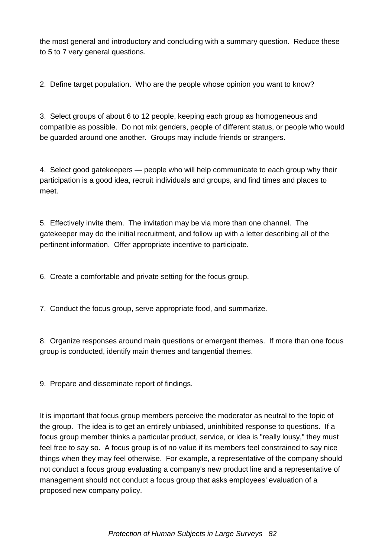the most general and introductory and concluding with a summary question. Reduce these to 5 to 7 very general questions.

2. Define target population. Who are the people whose opinion you want to know?

3. Select groups of about 6 to 12 people, keeping each group as homogeneous and compatible as possible. Do not mix genders, people of different status, or people who would be guarded around one another. Groups may include friends or strangers.

4. Select good gatekeepers — people who will help communicate to each group why their participation is a good idea, recruit individuals and groups, and find times and places to meet.

5. Effectively invite them. The invitation may be via more than one channel. The gatekeeper may do the initial recruitment, and follow up with a letter describing all of the pertinent information. Offer appropriate incentive to participate.

6. Create a comfortable and private setting for the focus group.

7. Conduct the focus group, serve appropriate food, and summarize.

8. Organize responses around main questions or emergent themes. If more than one focus group is conducted, identify main themes and tangential themes.

9. Prepare and disseminate report of findings.

It is important that focus group members perceive the moderator as neutral to the topic of the group. The idea is to get an entirely unbiased, uninhibited response to questions. If a focus group member thinks a particular product, service, or idea is "really lousy," they must feel free to say so. A focus group is of no value if its members feel constrained to say nice things when they may feel otherwise. For example, a representative of the company should not conduct a focus group evaluating a company's new product line and a representative of management should not conduct a focus group that asks employees' evaluation of a proposed new company policy.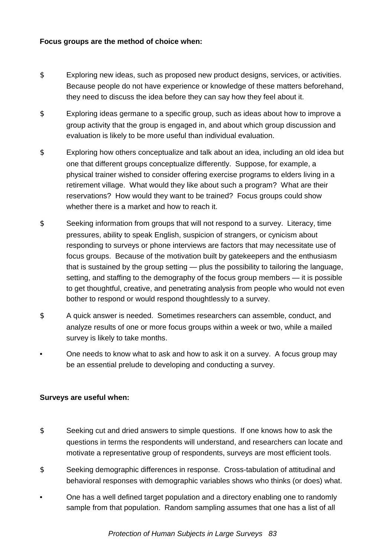#### **Focus groups are the method of choice when:**

- \$ Exploring new ideas, such as proposed new product designs, services, or activities. Because people do not have experience or knowledge of these matters beforehand, they need to discuss the idea before they can say how they feel about it.
- \$ Exploring ideas germane to a specific group, such as ideas about how to improve a group activity that the group is engaged in, and about which group discussion and evaluation is likely to be more useful than individual evaluation.
- \$ Exploring how others conceptualize and talk about an idea, including an old idea but one that different groups conceptualize differently. Suppose, for example, a physical trainer wished to consider offering exercise programs to elders living in a retirement village. What would they like about such a program? What are their reservations? How would they want to be trained? Focus groups could show whether there is a market and how to reach it.
- \$ Seeking information from groups that will not respond to a survey. Literacy, time pressures, ability to speak English, suspicion of strangers, or cynicism about responding to surveys or phone interviews are factors that may necessitate use of focus groups. Because of the motivation built by gatekeepers and the enthusiasm that is sustained by the group setting — plus the possibility to tailoring the language, setting, and staffing to the demography of the focus group members — it is possible to get thoughtful, creative, and penetrating analysis from people who would not even bother to respond or would respond thoughtlessly to a survey.
- \$ A quick answer is needed. Sometimes researchers can assemble, conduct, and analyze results of one or more focus groups within a week or two, while a mailed survey is likely to take months.
- One needs to know what to ask and how to ask it on a survey. A focus group may be an essential prelude to developing and conducting a survey.

## **Surveys are useful when:**

- \$ Seeking cut and dried answers to simple questions. If one knows how to ask the questions in terms the respondents will understand, and researchers can locate and motivate a representative group of respondents, surveys are most efficient tools.
- \$ Seeking demographic differences in response. Cross-tabulation of attitudinal and behavioral responses with demographic variables shows who thinks (or does) what.
- One has a well defined target population and a directory enabling one to randomly sample from that population. Random sampling assumes that one has a list of all